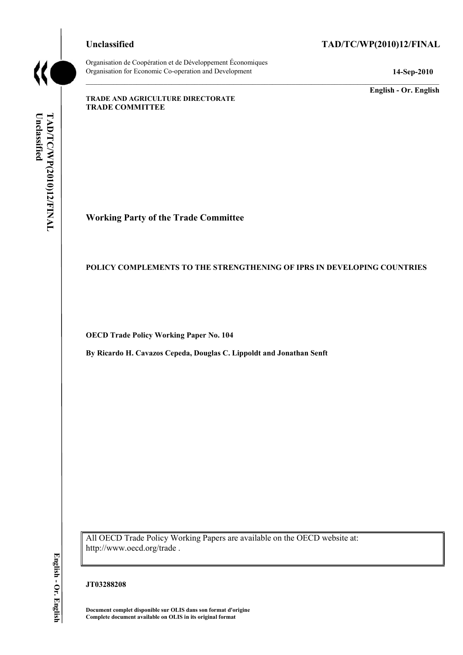Organisation de Coopération et de Développement Économiques Organisation for Economic Co-operation and Development **14-Sep-2010** 

# **Unclassified TAD/TC/WP(2010)12/FINAL**

**English - Or. English** 

**TRADE AND AGRICULTURE DIRECTORATE TRADE COMMITTEE** 

# **Working Party of the Trade Committee**

## **POLICY COMPLEMENTS TO THE STRENGTHENING OF IPRS IN DEVELOPING COUNTRIES**

**OECD Trade Policy Working Paper No. 104** 

**By Ricardo H. Cavazos Cepeda, Douglas C. Lippoldt and Jonathan Senft** 

All OECD Trade Policy Working Papers are available on the OECD website at: http://www.oecd.org/trade .

## **JT03288208**

**Document complet disponible sur OLIS dans son format d'origine Complete document available on OLIS in its original format**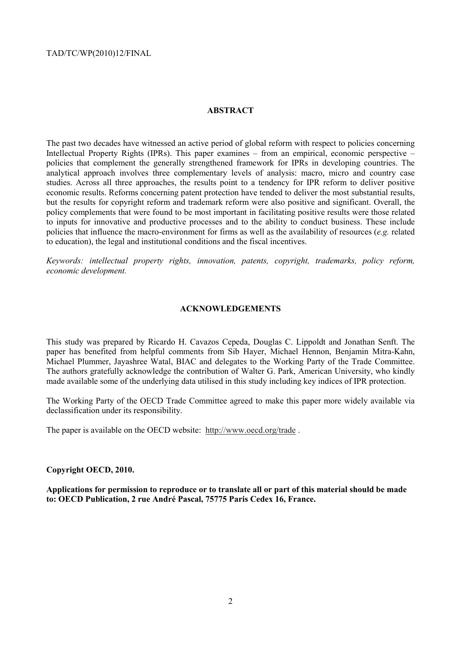## **ABSTRACT**

The past two decades have witnessed an active period of global reform with respect to policies concerning Intellectual Property Rights (IPRs). This paper examines – from an empirical, economic perspective – policies that complement the generally strengthened framework for IPRs in developing countries. The analytical approach involves three complementary levels of analysis: macro, micro and country case studies. Across all three approaches, the results point to a tendency for IPR reform to deliver positive economic results. Reforms concerning patent protection have tended to deliver the most substantial results, but the results for copyright reform and trademark reform were also positive and significant. Overall, the policy complements that were found to be most important in facilitating positive results were those related to inputs for innovative and productive processes and to the ability to conduct business. These include policies that influence the macro-environment for firms as well as the availability of resources (*e.g.* related to education), the legal and institutional conditions and the fiscal incentives.

*Keywords: intellectual property rights, innovation, patents, copyright, trademarks, policy reform, economic development.*

#### **ACKNOWLEDGEMENTS**

This study was prepared by Ricardo H. Cavazos Cepeda, Douglas C. Lippoldt and Jonathan Senft. The paper has benefited from helpful comments from Sib Hayer, Michael Hennon, Benjamin Mitra-Kahn, Michael Plummer, Jayashree Watal, BIAC and delegates to the Working Party of the Trade Committee. The authors gratefully acknowledge the contribution of Walter G. Park, American University, who kindly made available some of the underlying data utilised in this study including key indices of IPR protection.

The Working Party of the OECD Trade Committee agreed to make this paper more widely available via declassification under its responsibility.

The paper is available on the OECD website: http://www.oecd.org/trade .

#### **Copyright OECD, 2010.**

**Applications for permission to reproduce or to translate all or part of this material should be made to: OECD Publication, 2 rue André Pascal, 75775 Paris Cedex 16, France.**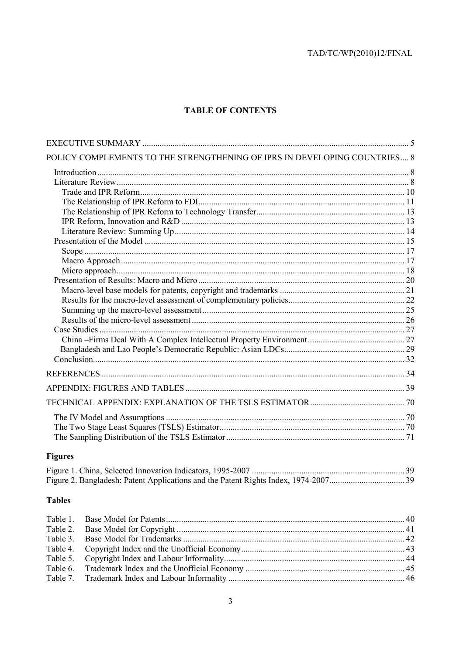# **TABLE OF CONTENTS**

| POLICY COMPLEMENTS TO THE STRENGTHENING OF IPRS IN DEVELOPING COUNTRIES 8 |  |
|---------------------------------------------------------------------------|--|
|                                                                           |  |
|                                                                           |  |
|                                                                           |  |
|                                                                           |  |
|                                                                           |  |
|                                                                           |  |
|                                                                           |  |
|                                                                           |  |
|                                                                           |  |
|                                                                           |  |
|                                                                           |  |
|                                                                           |  |
|                                                                           |  |
|                                                                           |  |
|                                                                           |  |
|                                                                           |  |
|                                                                           |  |
|                                                                           |  |
|                                                                           |  |
|                                                                           |  |
|                                                                           |  |
|                                                                           |  |
|                                                                           |  |
|                                                                           |  |
|                                                                           |  |
|                                                                           |  |

# **Figures**

# **Tables**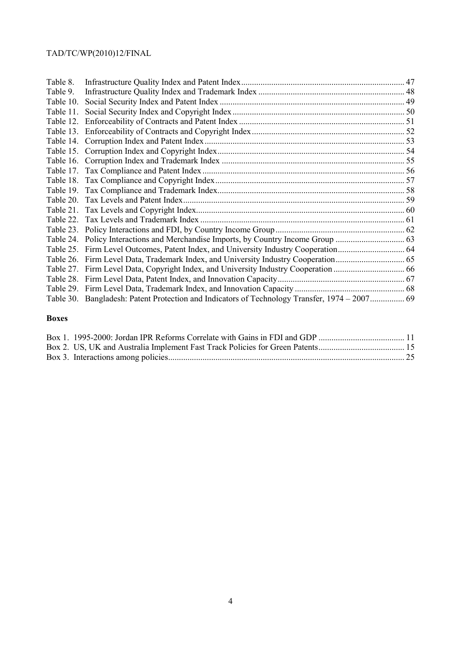| Table 8.  |                                                                                               |  |
|-----------|-----------------------------------------------------------------------------------------------|--|
| Table 9.  |                                                                                               |  |
| Table 10. |                                                                                               |  |
| Table 11. |                                                                                               |  |
|           |                                                                                               |  |
|           |                                                                                               |  |
|           |                                                                                               |  |
|           |                                                                                               |  |
|           |                                                                                               |  |
|           |                                                                                               |  |
|           |                                                                                               |  |
|           |                                                                                               |  |
|           |                                                                                               |  |
|           |                                                                                               |  |
|           |                                                                                               |  |
|           |                                                                                               |  |
|           |                                                                                               |  |
|           |                                                                                               |  |
|           |                                                                                               |  |
|           |                                                                                               |  |
|           |                                                                                               |  |
|           |                                                                                               |  |
|           | Table 30. Bangladesh: Patent Protection and Indicators of Technology Transfer, 1974 – 2007 69 |  |
|           |                                                                                               |  |

# **Boxes**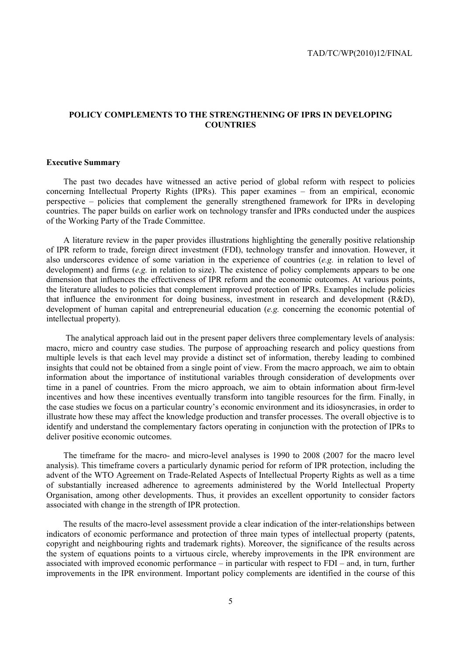# **POLICY COMPLEMENTS TO THE STRENGTHENING OF IPRS IN DEVELOPING COUNTRIES**

#### **Executive Summary**

The past two decades have witnessed an active period of global reform with respect to policies concerning Intellectual Property Rights (IPRs). This paper examines – from an empirical, economic perspective – policies that complement the generally strengthened framework for IPRs in developing countries. The paper builds on earlier work on technology transfer and IPRs conducted under the auspices of the Working Party of the Trade Committee.

A literature review in the paper provides illustrations highlighting the generally positive relationship of IPR reform to trade, foreign direct investment (FDI), technology transfer and innovation. However, it also underscores evidence of some variation in the experience of countries (*e.g.* in relation to level of development) and firms (*e.g.* in relation to size). The existence of policy complements appears to be one dimension that influences the effectiveness of IPR reform and the economic outcomes. At various points, the literature alludes to policies that complement improved protection of IPRs. Examples include policies that influence the environment for doing business, investment in research and development (R&D), development of human capital and entrepreneurial education (*e.g.* concerning the economic potential of intellectual property).

 The analytical approach laid out in the present paper delivers three complementary levels of analysis: macro, micro and country case studies. The purpose of approaching research and policy questions from multiple levels is that each level may provide a distinct set of information, thereby leading to combined insights that could not be obtained from a single point of view. From the macro approach, we aim to obtain information about the importance of institutional variables through consideration of developments over time in a panel of countries. From the micro approach, we aim to obtain information about firm-level incentives and how these incentives eventually transform into tangible resources for the firm. Finally, in the case studies we focus on a particular country's economic environment and its idiosyncrasies, in order to illustrate how these may affect the knowledge production and transfer processes. The overall objective is to identify and understand the complementary factors operating in conjunction with the protection of IPRs to deliver positive economic outcomes.

The timeframe for the macro- and micro-level analyses is 1990 to 2008 (2007 for the macro level analysis). This timeframe covers a particularly dynamic period for reform of IPR protection, including the advent of the WTO Agreement on Trade-Related Aspects of Intellectual Property Rights as well as a time of substantially increased adherence to agreements administered by the World Intellectual Property Organisation, among other developments. Thus, it provides an excellent opportunity to consider factors associated with change in the strength of IPR protection.

The results of the macro-level assessment provide a clear indication of the inter-relationships between indicators of economic performance and protection of three main types of intellectual property (patents, copyright and neighbouring rights and trademark rights). Moreover, the significance of the results across the system of equations points to a virtuous circle, whereby improvements in the IPR environment are associated with improved economic performance – in particular with respect to FDI – and, in turn, further improvements in the IPR environment. Important policy complements are identified in the course of this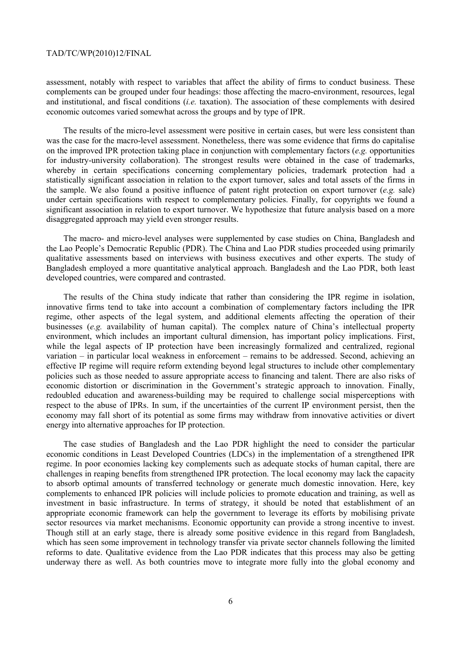assessment, notably with respect to variables that affect the ability of firms to conduct business. These complements can be grouped under four headings: those affecting the macro-environment, resources, legal and institutional, and fiscal conditions (*i.e.* taxation). The association of these complements with desired economic outcomes varied somewhat across the groups and by type of IPR.

The results of the micro-level assessment were positive in certain cases, but were less consistent than was the case for the macro-level assessment. Nonetheless, there was some evidence that firms do capitalise on the improved IPR protection taking place in conjunction with complementary factors (*e.g.* opportunities for industry-university collaboration). The strongest results were obtained in the case of trademarks, whereby in certain specifications concerning complementary policies, trademark protection had a statistically significant association in relation to the export turnover, sales and total assets of the firms in the sample. We also found a positive influence of patent right protection on export turnover (*e.g.* sale) under certain specifications with respect to complementary policies. Finally, for copyrights we found a significant association in relation to export turnover. We hypothesize that future analysis based on a more disaggregated approach may yield even stronger results.

The macro- and micro-level analyses were supplemented by case studies on China, Bangladesh and the Lao People's Democratic Republic (PDR). The China and Lao PDR studies proceeded using primarily qualitative assessments based on interviews with business executives and other experts. The study of Bangladesh employed a more quantitative analytical approach. Bangladesh and the Lao PDR, both least developed countries, were compared and contrasted.

The results of the China study indicate that rather than considering the IPR regime in isolation, innovative firms tend to take into account a combination of complementary factors including the IPR regime, other aspects of the legal system, and additional elements affecting the operation of their businesses (*e.g.* availability of human capital). The complex nature of China's intellectual property environment, which includes an important cultural dimension, has important policy implications. First, while the legal aspects of IP protection have been increasingly formalized and centralized, regional variation – in particular local weakness in enforcement – remains to be addressed. Second, achieving an effective IP regime will require reform extending beyond legal structures to include other complementary policies such as those needed to assure appropriate access to financing and talent. There are also risks of economic distortion or discrimination in the Government's strategic approach to innovation. Finally, redoubled education and awareness-building may be required to challenge social misperceptions with respect to the abuse of IPRs. In sum, if the uncertainties of the current IP environment persist, then the economy may fall short of its potential as some firms may withdraw from innovative activities or divert energy into alternative approaches for IP protection.

The case studies of Bangladesh and the Lao PDR highlight the need to consider the particular economic conditions in Least Developed Countries (LDCs) in the implementation of a strengthened IPR regime. In poor economies lacking key complements such as adequate stocks of human capital, there are challenges in reaping benefits from strengthened IPR protection. The local economy may lack the capacity to absorb optimal amounts of transferred technology or generate much domestic innovation. Here, key complements to enhanced IPR policies will include policies to promote education and training, as well as investment in basic infrastructure. In terms of strategy, it should be noted that establishment of an appropriate economic framework can help the government to leverage its efforts by mobilising private sector resources via market mechanisms. Economic opportunity can provide a strong incentive to invest. Though still at an early stage, there is already some positive evidence in this regard from Bangladesh, which has seen some improvement in technology transfer via private sector channels following the limited reforms to date. Qualitative evidence from the Lao PDR indicates that this process may also be getting underway there as well. As both countries move to integrate more fully into the global economy and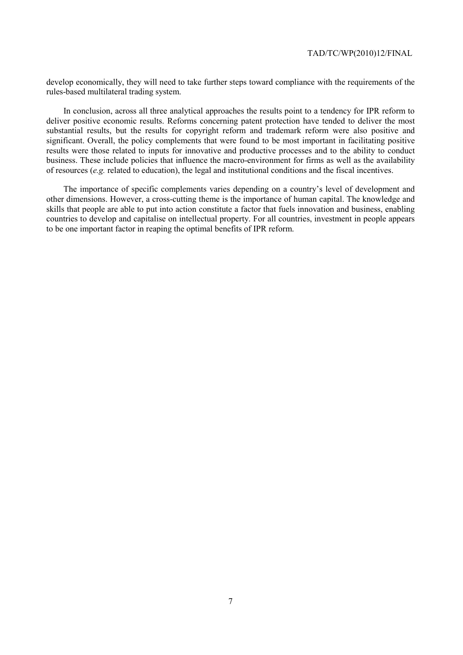develop economically, they will need to take further steps toward compliance with the requirements of the rules-based multilateral trading system.

In conclusion, across all three analytical approaches the results point to a tendency for IPR reform to deliver positive economic results. Reforms concerning patent protection have tended to deliver the most substantial results, but the results for copyright reform and trademark reform were also positive and significant. Overall, the policy complements that were found to be most important in facilitating positive results were those related to inputs for innovative and productive processes and to the ability to conduct business. These include policies that influence the macro-environment for firms as well as the availability of resources (*e.g.* related to education), the legal and institutional conditions and the fiscal incentives.

The importance of specific complements varies depending on a country's level of development and other dimensions. However, a cross-cutting theme is the importance of human capital. The knowledge and skills that people are able to put into action constitute a factor that fuels innovation and business, enabling countries to develop and capitalise on intellectual property. For all countries, investment in people appears to be one important factor in reaping the optimal benefits of IPR reform.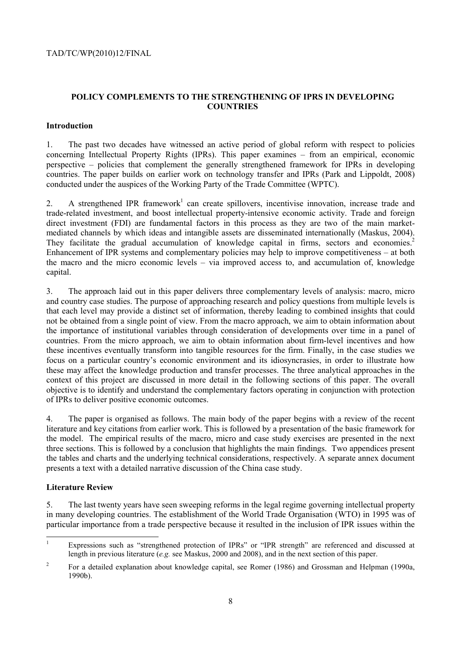# **POLICY COMPLEMENTS TO THE STRENGTHENING OF IPRS IN DEVELOPING COUNTRIES**

# **Introduction**

1. The past two decades have witnessed an active period of global reform with respect to policies concerning Intellectual Property Rights (IPRs). This paper examines – from an empirical, economic perspective – policies that complement the generally strengthened framework for IPRs in developing countries. The paper builds on earlier work on technology transfer and IPRs (Park and Lippoldt, 2008) conducted under the auspices of the Working Party of the Trade Committee (WPTC).

2. A strengthened IPR framework<sup>1</sup> can create spillovers, incentivise innovation, increase trade and trade-related investment, and boost intellectual property-intensive economic activity. Trade and foreign direct investment (FDI) are fundamental factors in this process as they are two of the main marketmediated channels by which ideas and intangible assets are disseminated internationally (Maskus, 2004). They facilitate the gradual accumulation of knowledge capital in firms, sectors and economies.<sup>2</sup> Enhancement of IPR systems and complementary policies may help to improve competitiveness – at both the macro and the micro economic levels – via improved access to, and accumulation of, knowledge capital.

3. The approach laid out in this paper delivers three complementary levels of analysis: macro, micro and country case studies. The purpose of approaching research and policy questions from multiple levels is that each level may provide a distinct set of information, thereby leading to combined insights that could not be obtained from a single point of view. From the macro approach, we aim to obtain information about the importance of institutional variables through consideration of developments over time in a panel of countries. From the micro approach, we aim to obtain information about firm-level incentives and how these incentives eventually transform into tangible resources for the firm. Finally, in the case studies we focus on a particular country's economic environment and its idiosyncrasies, in order to illustrate how these may affect the knowledge production and transfer processes. The three analytical approaches in the context of this project are discussed in more detail in the following sections of this paper. The overall objective is to identify and understand the complementary factors operating in conjunction with protection of IPRs to deliver positive economic outcomes.

4. The paper is organised as follows. The main body of the paper begins with a review of the recent literature and key citations from earlier work. This is followed by a presentation of the basic framework for the model. The empirical results of the macro, micro and case study exercises are presented in the next three sections. This is followed by a conclusion that highlights the main findings. Two appendices present the tables and charts and the underlying technical considerations, respectively. A separate annex document presents a text with a detailed narrative discussion of the China case study.

# **Literature Review**

5. The last twenty years have seen sweeping reforms in the legal regime governing intellectual property in many developing countries. The establishment of the World Trade Organisation (WTO) in 1995 was of particular importance from a trade perspective because it resulted in the inclusion of IPR issues within the

<sup>|&</sup>lt;br>|<br>| Expressions such as "strengthened protection of IPRs" or "IPR strength" are referenced and discussed at length in previous literature (*e.g.* see Maskus, 2000 and 2008), and in the next section of this paper.

<sup>2</sup> For a detailed explanation about knowledge capital, see Romer (1986) and Grossman and Helpman (1990a, 1990b).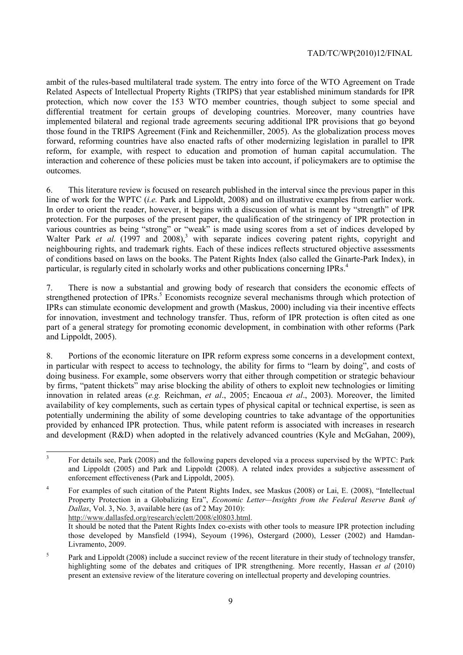ambit of the rules-based multilateral trade system. The entry into force of the WTO Agreement on Trade Related Aspects of Intellectual Property Rights (TRIPS) that year established minimum standards for IPR protection, which now cover the 153 WTO member countries, though subject to some special and differential treatment for certain groups of developing countries. Moreover, many countries have implemented bilateral and regional trade agreements securing additional IPR provisions that go beyond those found in the TRIPS Agreement (Fink and Reichenmiller, 2005). As the globalization process moves forward, reforming countries have also enacted rafts of other modernizing legislation in parallel to IPR reform, for example, with respect to education and promotion of human capital accumulation. The interaction and coherence of these policies must be taken into account, if policymakers are to optimise the outcomes.

6. This literature review is focused on research published in the interval since the previous paper in this line of work for the WPTC (*i.e.* Park and Lippoldt, 2008) and on illustrative examples from earlier work. In order to orient the reader, however, it begins with a discussion of what is meant by "strength" of IPR protection. For the purposes of the present paper, the qualification of the stringency of IPR protection in various countries as being "strong" or "weak" is made using scores from a set of indices developed by Walter Park *et al.* (1997 and 2008),<sup>3</sup> with separate indices covering patent rights, copyright and neighbouring rights, and trademark rights. Each of these indices reflects structured objective assessments of conditions based on laws on the books. The Patent Rights Index (also called the Ginarte-Park Index), in particular, is regularly cited in scholarly works and other publications concerning IPRs.<sup>4</sup>

7. There is now a substantial and growing body of research that considers the economic effects of strengthened protection of IPRs.<sup>5</sup> Economists recognize several mechanisms through which protection of IPRs can stimulate economic development and growth (Maskus, 2000) including via their incentive effects for innovation, investment and technology transfer. Thus, reform of IPR protection is often cited as one part of a general strategy for promoting economic development, in combination with other reforms (Park and Lippoldt, 2005).

8. Portions of the economic literature on IPR reform express some concerns in a development context, in particular with respect to access to technology, the ability for firms to "learn by doing", and costs of doing business. For example, some observers worry that either through competition or strategic behaviour by firms, "patent thickets" may arise blocking the ability of others to exploit new technologies or limiting innovation in related areas (*e.g.* Reichman, *et al*., 2005; Encaoua *et al*., 2003). Moreover, the limited availability of key complements, such as certain types of physical capital or technical expertise, is seen as potentially undermining the ability of some developing countries to take advantage of the opportunities provided by enhanced IPR protection. Thus, while patent reform is associated with increases in research and development (R&D) when adopted in the relatively advanced countries (Kyle and McGahan, 2009),

 It should be noted that the Patent Rights Index co-exists with other tools to measure IPR protection including those developed by Mansfield (1994), Seyoum (1996), Ostergard (2000), Lesser (2002) and Hamdan-Livramento, 2009.

 3 For details see, Park (2008) and the following papers developed via a process supervised by the WPTC: Park and Lippoldt (2005) and Park and Lippoldt (2008). A related index provides a subjective assessment of enforcement effectiveness (Park and Lippoldt, 2005).

<sup>4</sup> For examples of such citation of the Patent Rights Index, see Maskus (2008) or Lai, E. (2008), "Intellectual Property Protection in a Globalizing Era", *Economic Letter—Insights from the Federal Reserve Bank of Dallas*, Vol. 3, No. 3, available here (as of 2 May 2010): http://www.dallasfed.org/research/eclett/2008/el0803.html.

<sup>5</sup> Park and Lippoldt (2008) include a succinct review of the recent literature in their study of technology transfer, highlighting some of the debates and critiques of IPR strengthening. More recently, Hassan *et al* (2010) present an extensive review of the literature covering on intellectual property and developing countries.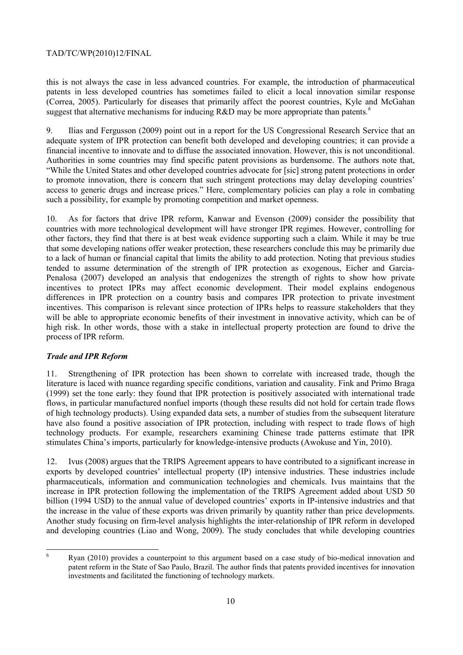this is not always the case in less advanced countries. For example, the introduction of pharmaceutical patents in less developed countries has sometimes failed to elicit a local innovation similar response (Correa, 2005). Particularly for diseases that primarily affect the poorest countries, Kyle and McGahan suggest that alternative mechanisms for inducing R&D may be more appropriate than patents.<sup>6</sup>

9. Ilias and Fergusson (2009) point out in a report for the US Congressional Research Service that an adequate system of IPR protection can benefit both developed and developing countries; it can provide a financial incentive to innovate and to diffuse the associated innovation. However, this is not unconditional. Authorities in some countries may find specific patent provisions as burdensome. The authors note that, "While the United States and other developed countries advocate for [sic] strong patent protections in order to promote innovation, there is concern that such stringent protections may delay developing countries' access to generic drugs and increase prices." Here, complementary policies can play a role in combating such a possibility, for example by promoting competition and market openness.

10. As for factors that drive IPR reform, Kanwar and Evenson (2009) consider the possibility that countries with more technological development will have stronger IPR regimes. However, controlling for other factors, they find that there is at best weak evidence supporting such a claim. While it may be true that some developing nations offer weaker protection, these researchers conclude this may be primarily due to a lack of human or financial capital that limits the ability to add protection. Noting that previous studies tended to assume determination of the strength of IPR protection as exogenous, Eicher and Garcia-Penalosa (2007) developed an analysis that endogenizes the strength of rights to show how private incentives to protect IPRs may affect economic development. Their model explains endogenous differences in IPR protection on a country basis and compares IPR protection to private investment incentives. This comparison is relevant since protection of IPRs helps to reassure stakeholders that they will be able to appropriate economic benefits of their investment in innovative activity, which can be of high risk. In other words, those with a stake in intellectual property protection are found to drive the process of IPR reform.

## *Trade and IPR Reform*

11. Strengthening of IPR protection has been shown to correlate with increased trade, though the literature is laced with nuance regarding specific conditions, variation and causality. Fink and Primo Braga (1999) set the tone early: they found that IPR protection is positively associated with international trade flows, in particular manufactured nonfuel imports (though these results did not hold for certain trade flows of high technology products). Using expanded data sets, a number of studies from the subsequent literature have also found a positive association of IPR protection, including with respect to trade flows of high technology products. For example, researchers examining Chinese trade patterns estimate that IPR stimulates China's imports, particularly for knowledge-intensive products (Awokuse and Yin, 2010).

12. Ivus (2008) argues that the TRIPS Agreement appears to have contributed to a significant increase in exports by developed countries' intellectual property (IP) intensive industries. These industries include pharmaceuticals, information and communication technologies and chemicals. Ivus maintains that the increase in IPR protection following the implementation of the TRIPS Agreement added about USD 50 billion (1994 USD) to the annual value of developed countries' exports in IP-intensive industries and that the increase in the value of these exports was driven primarily by quantity rather than price developments. Another study focusing on firm-level analysis highlights the inter-relationship of IPR reform in developed and developing countries (Liao and Wong, 2009). The study concludes that while developing countries

 6 Ryan (2010) provides a counterpoint to this argument based on a case study of bio-medical innovation and patent reform in the State of Sao Paulo, Brazil. The author finds that patents provided incentives for innovation investments and facilitated the functioning of technology markets.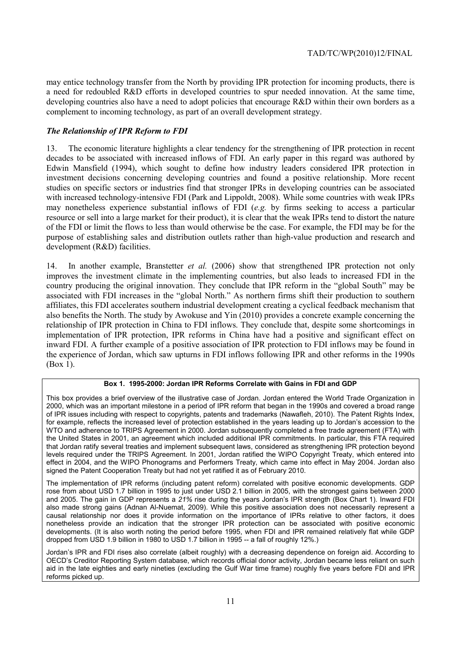may entice technology transfer from the North by providing IPR protection for incoming products, there is a need for redoubled R&D efforts in developed countries to spur needed innovation. At the same time, developing countries also have a need to adopt policies that encourage R&D within their own borders as a complement to incoming technology, as part of an overall development strategy.

# *The Relationship of IPR Reform to FDI*

13. The economic literature highlights a clear tendency for the strengthening of IPR protection in recent decades to be associated with increased inflows of FDI. An early paper in this regard was authored by Edwin Mansfield (1994), which sought to define how industry leaders considered IPR protection in investment decisions concerning developing countries and found a positive relationship. More recent studies on specific sectors or industries find that stronger IPRs in developing countries can be associated with increased technology-intensive FDI (Park and Lippoldt, 2008). While some countries with weak IPRs may nonetheless experience substantial inflows of FDI (*e.g.* by firms seeking to access a particular resource or sell into a large market for their product), it is clear that the weak IPRs tend to distort the nature of the FDI or limit the flows to less than would otherwise be the case. For example, the FDI may be for the purpose of establishing sales and distribution outlets rather than high-value production and research and development (R&D) facilities.

14. In another example, Branstetter *et al.* (2006) show that strengthened IPR protection not only improves the investment climate in the implementing countries, but also leads to increased FDI in the country producing the original innovation. They conclude that IPR reform in the "global South" may be associated with FDI increases in the "global North." As northern firms shift their production to southern affiliates, this FDI accelerates southern industrial development creating a cyclical feedback mechanism that also benefits the North. The study by Awokuse and Yin (2010) provides a concrete example concerning the relationship of IPR protection in China to FDI inflows. They conclude that, despite some shortcomings in implementation of IPR protection, IPR reforms in China have had a positive and significant effect on inward FDI. A further example of a positive association of IPR protection to FDI inflows may be found in the experience of Jordan, which saw upturns in FDI inflows following IPR and other reforms in the 1990s (Box 1).

#### **Box 1. 1995-2000: Jordan IPR Reforms Correlate with Gains in FDI and GDP**

This box provides a brief overview of the illustrative case of Jordan. Jordan entered the World Trade Organization in 2000, which was an important milestone in a period of IPR reform that began in the 1990s and covered a broad range of IPR issues including with respect to copyrights, patents and trademarks (Nawafleh, 2010). The Patent Rights Index, for example, reflects the increased level of protection established in the years leading up to Jordan's accession to the WTO and adherence to TRIPS Agreement in 2000. Jordan subsequently completed a free trade agreement (FTA) with the United States in 2001, an agreement which included additional IPR commitments. In particular, this FTA required that Jordan ratify several treaties and implement subsequent laws, considered as strengthening IPR protection beyond levels required under the TRIPS Agreement. In 2001, Jordan ratified the WIPO Copyright Treaty, which entered into effect in 2004, and the WIPO Phonograms and Performers Treaty, which came into effect in May 2004. Jordan also signed the Patent Cooperation Treaty but had not yet ratified it as of February 2010.

The implementation of IPR reforms (including patent reform) correlated with positive economic developments. GDP rose from about USD 1.7 billion in 1995 to just under USD 2.1 billion in 2005, with the strongest gains between 2000 and 2005. The gain in GDP represents a *21%* rise during the years Jordan's IPR strength (Box Chart 1). Inward FDI also made strong gains (Adnan Al-Nuemat, 2009). While this positive association does not necessarily represent a causal relationship nor does it provide information on the importance of IPRs relative to other factors, it does nonetheless provide an indication that the stronger IPR protection can be associated with positive economic developments. (It is also worth noting the period before 1995, when FDI and IPR remained relatively flat while GDP dropped from USD 1.9 billion in 1980 to USD 1.7 billion in 1995 -- a fall of roughly 12%.)

Jordan's IPR and FDI rises also correlate (albeit roughly) with a decreasing dependence on foreign aid. According to OECD's Creditor Reporting System database, which records official donor activity, Jordan became less reliant on such aid in the late eighties and early nineties (excluding the Gulf War time frame) roughly five years before FDI and IPR reforms picked up.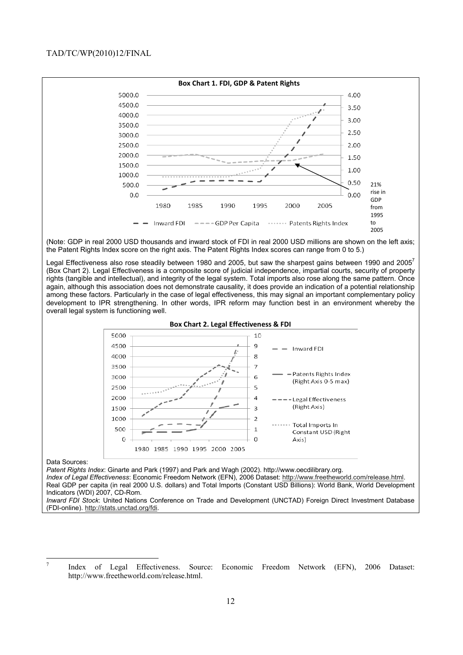

(Note: GDP in real 2000 USD thousands and inward stock of FDI in real 2000 USD millions are shown on the left axis; the Patent Rights Index score on the right axis. The Patent Rights Index scores can range from 0 to 5.)

Legal Effectiveness also rose steadily between 1980 and 2005, but saw the sharpest gains between 1990 and 2005<sup>7</sup> (Box Chart 2). Legal Effectiveness is a composite score of judicial independence, impartial courts, security of property rights (tangible and intellectual), and integrity of the legal system. Total imports also rose along the same pattern. Once again, although this association does not demonstrate causality, it does provide an indication of a potential relationship among these factors. Particularly in the case of legal effectiveness, this may signal an important complementary policy development to IPR strengthening. In other words, IPR reform may function best in an environment whereby the overall legal system is functioning well.



#### Data Sources:

*Patent Rights Index*: Ginarte and Park (1997) and Park and Wagh (2002). http://www.oecdilibrary.org.

*Index of Legal Effectiveness*: Economic Freedom Network (EFN), 2006 Dataset: http://www.freetheworld.com/release.html. Real GDP per capita (in real 2000 U.S. dollars) and Total Imports (Constant USD Billions): World Bank, World Development Indicators (WDI) 2007, CD-Rom.

*Inward FDI Stock*: United Nations Conference on Trade and Development (UNCTAD) Foreign Direct Investment Database (FDI-online). http://stats.unctad.org/fdi.

<sup>&</sup>lt;sup>-</sup> Index of Legal Effectiveness. Source: Economic Freedom Network (EFN), 2006 Dataset: http://www.freetheworld.com/release.html.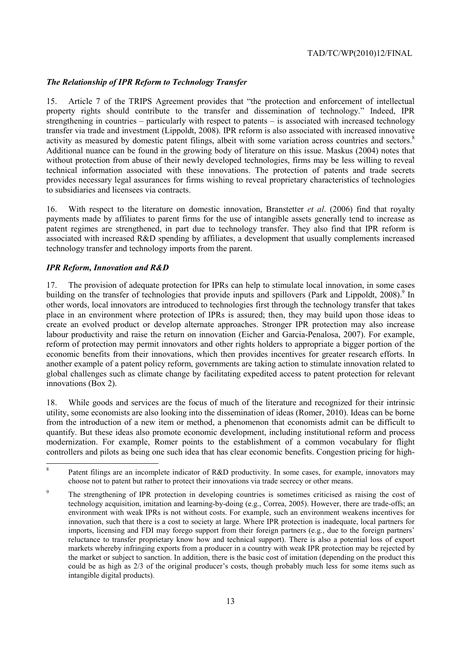# *The Relationship of IPR Reform to Technology Transfer*

15. Article 7 of the TRIPS Agreement provides that "the protection and enforcement of intellectual property rights should contribute to the transfer and dissemination of technology." Indeed, IPR strengthening in countries – particularly with respect to patents – is associated with increased technology transfer via trade and investment (Lippoldt, 2008). IPR reform is also associated with increased innovative activity as measured by domestic patent filings, albeit with some variation across countries and sectors.<sup>8</sup> Additional nuance can be found in the growing body of literature on this issue. Maskus (2004) notes that without protection from abuse of their newly developed technologies, firms may be less willing to reveal technical information associated with these innovations. The protection of patents and trade secrets provides necessary legal assurances for firms wishing to reveal proprietary characteristics of technologies to subsidiaries and licensees via contracts.

16. With respect to the literature on domestic innovation, Branstetter *et al*. (2006) find that royalty payments made by affiliates to parent firms for the use of intangible assets generally tend to increase as patent regimes are strengthened, in part due to technology transfer. They also find that IPR reform is associated with increased R&D spending by affiliates, a development that usually complements increased technology transfer and technology imports from the parent.

# *IPR Reform, Innovation and R&D*

17. The provision of adequate protection for IPRs can help to stimulate local innovation, in some cases building on the transfer of technologies that provide inputs and spillovers (Park and Lippoldt, 2008).<sup>9</sup> In other words, local innovators are introduced to technologies first through the technology transfer that takes place in an environment where protection of IPRs is assured; then, they may build upon those ideas to create an evolved product or develop alternate approaches. Stronger IPR protection may also increase labour productivity and raise the return on innovation (Eicher and Garcia-Penalosa, 2007). For example, reform of protection may permit innovators and other rights holders to appropriate a bigger portion of the economic benefits from their innovations, which then provides incentives for greater research efforts. In another example of a patent policy reform, governments are taking action to stimulate innovation related to global challenges such as climate change by facilitating expedited access to patent protection for relevant innovations (Box 2).

18. While goods and services are the focus of much of the literature and recognized for their intrinsic utility, some economists are also looking into the dissemination of ideas (Romer, 2010). Ideas can be borne from the introduction of a new item or method, a phenomenon that economists admit can be difficult to quantify. But these ideas also promote economic development, including institutional reform and process modernization. For example, Romer points to the establishment of a common vocabulary for flight controllers and pilots as being one such idea that has clear economic benefits. Congestion pricing for high-

 $\frac{1}{8}$  Patent filings are an incomplete indicator of R&D productivity. In some cases, for example, innovators may choose not to patent but rather to protect their innovations via trade secrecy or other means.

 $\overline{Q}$  The strengthening of IPR protection in developing countries is sometimes criticised as raising the cost of technology acquisition, imitation and learning-by-doing (e.g., Correa, 2005). However, there are trade-offs; an environment with weak IPRs is not without costs. For example, such an environment weakens incentives for innovation, such that there is a cost to society at large. Where IPR protection is inadequate, local partners for imports, licensing and FDI may forego support from their foreign partners (e.g., due to the foreign partners' reluctance to transfer proprietary know how and technical support). There is also a potential loss of export markets whereby infringing exports from a producer in a country with weak IPR protection may be rejected by the market or subject to sanction. In addition, there is the basic cost of imitation (depending on the product this could be as high as  $2/3$  of the original producer's costs, though probably much less for some items such as intangible digital products).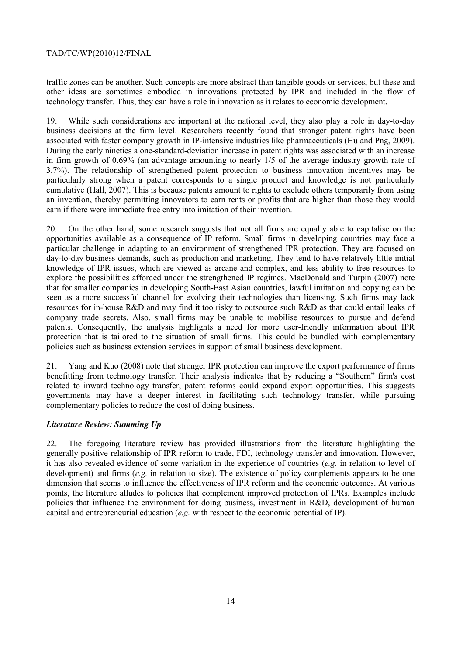traffic zones can be another. Such concepts are more abstract than tangible goods or services, but these and other ideas are sometimes embodied in innovations protected by IPR and included in the flow of technology transfer. Thus, they can have a role in innovation as it relates to economic development.

19. While such considerations are important at the national level, they also play a role in day-to-day business decisions at the firm level. Researchers recently found that stronger patent rights have been associated with faster company growth in IP-intensive industries like pharmaceuticals (Hu and Png, 2009). During the early nineties a one-standard-deviation increase in patent rights was associated with an increase in firm growth of 0.69% (an advantage amounting to nearly 1/5 of the average industry growth rate of 3.7%). The relationship of strengthened patent protection to business innovation incentives may be particularly strong when a patent corresponds to a single product and knowledge is not particularly cumulative (Hall, 2007). This is because patents amount to rights to exclude others temporarily from using an invention, thereby permitting innovators to earn rents or profits that are higher than those they would earn if there were immediate free entry into imitation of their invention.

20. On the other hand, some research suggests that not all firms are equally able to capitalise on the opportunities available as a consequence of IP reform. Small firms in developing countries may face a particular challenge in adapting to an environment of strengthened IPR protection. They are focused on day-to-day business demands, such as production and marketing. They tend to have relatively little initial knowledge of IPR issues, which are viewed as arcane and complex, and less ability to free resources to explore the possibilities afforded under the strengthened IP regimes. MacDonald and Turpin (2007) note that for smaller companies in developing South-East Asian countries, lawful imitation and copying can be seen as a more successful channel for evolving their technologies than licensing. Such firms may lack resources for in-house R&D and may find it too risky to outsource such R&D as that could entail leaks of company trade secrets. Also, small firms may be unable to mobilise resources to pursue and defend patents. Consequently, the analysis highlights a need for more user-friendly information about IPR protection that is tailored to the situation of small firms. This could be bundled with complementary policies such as business extension services in support of small business development.

21. Yang and Kuo (2008) note that stronger IPR protection can improve the export performance of firms benefitting from technology transfer. Their analysis indicates that by reducing a "Southern" firm's cost related to inward technology transfer, patent reforms could expand export opportunities. This suggests governments may have a deeper interest in facilitating such technology transfer, while pursuing complementary policies to reduce the cost of doing business.

## *Literature Review: Summing Up*

22. The foregoing literature review has provided illustrations from the literature highlighting the generally positive relationship of IPR reform to trade, FDI, technology transfer and innovation. However, it has also revealed evidence of some variation in the experience of countries (*e.g.* in relation to level of development) and firms (*e.g.* in relation to size). The existence of policy complements appears to be one dimension that seems to influence the effectiveness of IPR reform and the economic outcomes. At various points, the literature alludes to policies that complement improved protection of IPRs. Examples include policies that influence the environment for doing business, investment in R&D, development of human capital and entrepreneurial education (*e.g.* with respect to the economic potential of IP).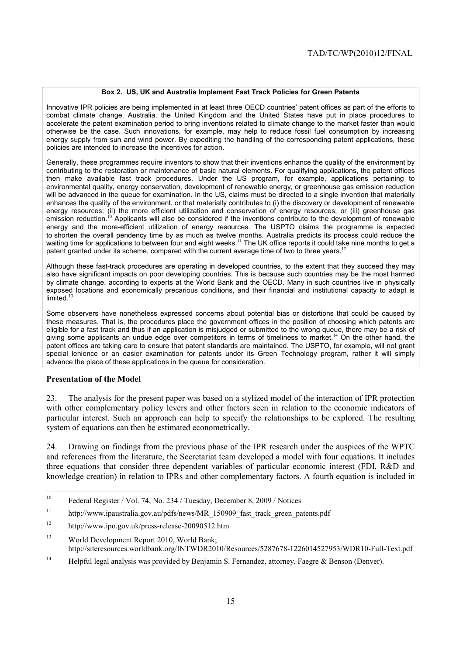### **Box 2. US, UK and Australia Implement Fast Track Policies for Green Patents**

Innovative IPR policies are being implemented in at least three OECD countries' patent offices as part of the efforts to combat climate change. Australia, the United Kingdom and the United States have put in place procedures to accelerate the patent examination period to bring inventions related to climate change to the market faster than would otherwise be the case. Such innovations, for example, may help to reduce fossil fuel consumption by increasing energy supply from sun and wind power. By expediting the handling of the corresponding patent applications, these policies are intended to increase the incentives for action.

Generally, these programmes require inventors to show that their inventions enhance the quality of the environment by contributing to the restoration or maintenance of basic natural elements. For qualifying applications, the patent offices then make available fast track procedures. Under the US program, for example, applications pertaining to environmental quality, energy conservation, development of renewable energy, or greenhouse gas emission reduction will be advanced in the queue for examination. In the US, claims must be directed to a single invention that materially enhances the quality of the environment, or that materially contributes to (i) the discovery or development of renewable energy resources; (ii) the more efficient utilization and conservation of energy resources; or (iii) greenhouse gas emission reduction.<sup>10</sup> Applicants will also be considered if the inventions contribute to the development of renewable energy and the more-efficient utilization of energy resources. The USPTO claims the programme is expected to shorten the overall pendency time by as much as twelve months. Australia predicts its process could reduce the waiting time for applications to between four and eight weeks.<sup>11</sup> The UK office reports it could take nine months to get a patent granted under its scheme, compared with the current average time of two to three years.<sup>1</sup>

Although these fast-track procedures are operating in developed countries, to the extent that they succeed they may also have significant impacts on poor developing countries. This is because such countries may be the most harmed by climate change, according to experts at the World Bank and the OECD. Many in such countries live in physically exposed locations and economically precarious conditions, and their financial and institutional capacity to adapt is  $limited.<sup>1</sup>$ 

Some observers have nonetheless expressed concerns about potential bias or distortions that could be caused by these measures. That is, the procedures place the government offices in the position of choosing which patents are eligible for a fast track and thus if an application is misjudged or submitted to the wrong queue, there may be a risk of giving some applicants an undue edge over competitors in terms of timeliness to market.<sup>14</sup> On the other hand, the patent offices are taking care to ensure that patent standards are maintained. The USPTO, for example, will not grant special lenience or an easier examination for patents under its Green Technology program, rather it will simply advance the place of these applications in the queue for consideration.

## **Presentation of the Model**

23. The analysis for the present paper was based on a stylized model of the interaction of IPR protection with other complementary policy levers and other factors seen in relation to the economic indicators of particular interest. Such an approach can help to specify the relationships to be explored. The resulting system of equations can then be estimated econometrically.

24. Drawing on findings from the previous phase of the IPR research under the auspices of the WPTC and references from the literature, the Secretariat team developed a model with four equations. It includes three equations that consider three dependent variables of particular economic interest (FDI, R&D and knowledge creation) in relation to IPRs and other complementary factors. A fourth equation is included in

<sup>14</sup> Helpful legal analysis was provided by Benjamin S. Fernandez, attorney, Faegre & Benson (Denver).

 $10$ 10 Federal Register / Vol. 74, No. 234 / Tuesday, December 8, 2009 / Notices

<sup>&</sup>lt;sup>11</sup> http://www.ipaustralia.gov.au/pdfs/news/MR\_150909\_fast\_track\_green\_patents.pdf

<sup>12</sup> http://www.ipo.gov.uk/press-release-20090512.htm

<sup>&</sup>lt;sup>13</sup> World Development Report 2010, World Bank; http://siteresources.worldbank.org/INTWDR2010/Resources/5287678-1226014527953/WDR10-Full-Text.pdf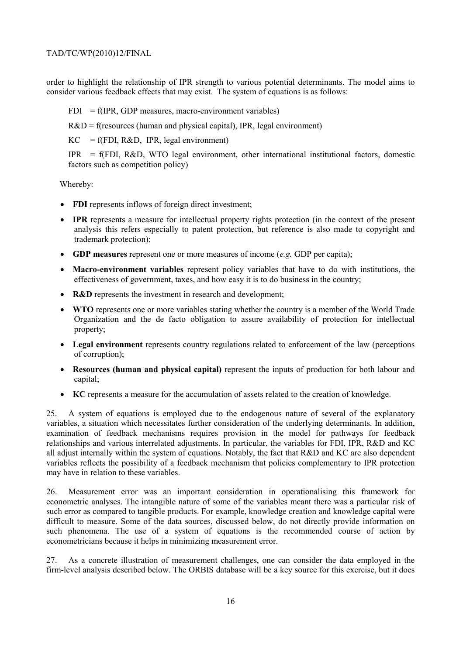order to highlight the relationship of IPR strength to various potential determinants. The model aims to consider various feedback effects that may exist. The system of equations is as follows:

 $FDI = f(IPR, GDP measures, macro-environment variables)$ 

 $R&D = f$ (resources (human and physical capital), IPR, legal environment)

 $KC = f(FDI, R&D, IPR, legal environment)$ 

 $IPR = f(FDI, R&D, WTO \text{ legal environment, other international institutional factors, domestic}$ factors such as competition policy)

Whereby:

- **FDI** represents inflows of foreign direct investment;
- **IPR** represents a measure for intellectual property rights protection (in the context of the present analysis this refers especially to patent protection, but reference is also made to copyright and trademark protection);
- **GDP measures** represent one or more measures of income (*e.g.* GDP per capita);
- **Macro-environment variables** represent policy variables that have to do with institutions, the effectiveness of government, taxes, and how easy it is to do business in the country;
- **R&D** represents the investment in research and development;
- **WTO** represents one or more variables stating whether the country is a member of the World Trade Organization and the de facto obligation to assure availability of protection for intellectual property;
- **Legal environment** represents country regulations related to enforcement of the law (perceptions of corruption);
- **Resources (human and physical capital)** represent the inputs of production for both labour and capital;
- **KC** represents a measure for the accumulation of assets related to the creation of knowledge.

25. A system of equations is employed due to the endogenous nature of several of the explanatory variables, a situation which necessitates further consideration of the underlying determinants. In addition, examination of feedback mechanisms requires provision in the model for pathways for feedback relationships and various interrelated adjustments. In particular, the variables for FDI, IPR, R&D and KC all adjust internally within the system of equations. Notably, the fact that R&D and KC are also dependent variables reflects the possibility of a feedback mechanism that policies complementary to IPR protection may have in relation to these variables.

26. Measurement error was an important consideration in operationalising this framework for econometric analyses. The intangible nature of some of the variables meant there was a particular risk of such error as compared to tangible products. For example, knowledge creation and knowledge capital were difficult to measure. Some of the data sources, discussed below, do not directly provide information on such phenomena. The use of a system of equations is the recommended course of action by econometricians because it helps in minimizing measurement error.

27. As a concrete illustration of measurement challenges, one can consider the data employed in the firm-level analysis described below. The ORBIS database will be a key source for this exercise, but it does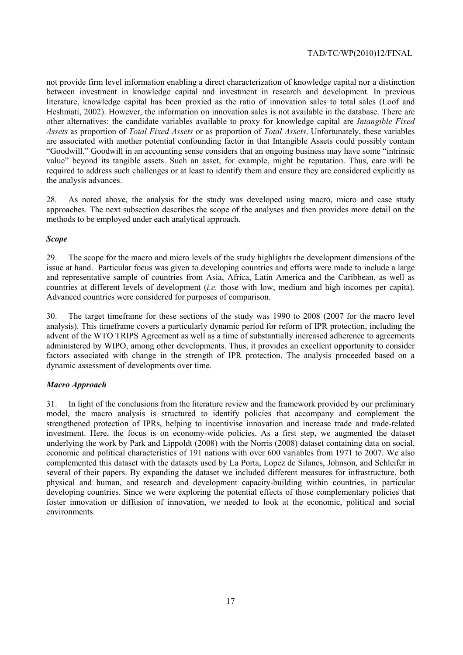not provide firm level information enabling a direct characterization of knowledge capital nor a distinction between investment in knowledge capital and investment in research and development. In previous literature, knowledge capital has been proxied as the ratio of innovation sales to total sales (Loof and Heshmati, 2002). However, the information on innovation sales is not available in the database. There are other alternatives: the candidate variables available to proxy for knowledge capital are *Intangible Fixed Assets* as proportion of *Total Fixed Assets* or as proportion of *Total Assets*. Unfortunately, these variables are associated with another potential confounding factor in that Intangible Assets could possibly contain "Goodwill." Goodwill in an accounting sense considers that an ongoing business may have some "intrinsic value" beyond its tangible assets. Such an asset, for example, might be reputation. Thus, care will be required to address such challenges or at least to identify them and ensure they are considered explicitly as the analysis advances.

28. As noted above, the analysis for the study was developed using macro, micro and case study approaches. The next subsection describes the scope of the analyses and then provides more detail on the methods to be employed under each analytical approach.

## *Scope*

29. The scope for the macro and micro levels of the study highlights the development dimensions of the issue at hand. Particular focus was given to developing countries and efforts were made to include a large and representative sample of countries from Asia, Africa, Latin America and the Caribbean, as well as countries at different levels of development (*i.e.* those with low, medium and high incomes per capita). Advanced countries were considered for purposes of comparison.

30. The target timeframe for these sections of the study was 1990 to 2008 (2007 for the macro level analysis). This timeframe covers a particularly dynamic period for reform of IPR protection, including the advent of the WTO TRIPS Agreement as well as a time of substantially increased adherence to agreements administered by WIPO, among other developments. Thus, it provides an excellent opportunity to consider factors associated with change in the strength of IPR protection. The analysis proceeded based on a dynamic assessment of developments over time.

## *Macro Approach*

31. In light of the conclusions from the literature review and the framework provided by our preliminary model, the macro analysis is structured to identify policies that accompany and complement the strengthened protection of IPRs, helping to incentivise innovation and increase trade and trade-related investment. Here, the focus is on economy-wide policies. As a first step, we augmented the dataset underlying the work by Park and Lippoldt (2008) with the Norris (2008) dataset containing data on social, economic and political characteristics of 191 nations with over 600 variables from 1971 to 2007. We also complemented this dataset with the datasets used by La Porta, Lopez de Silanes, Johnson, and Schleifer in several of their papers. By expanding the dataset we included different measures for infrastructure, both physical and human, and research and development capacity-building within countries, in particular developing countries. Since we were exploring the potential effects of those complementary policies that foster innovation or diffusion of innovation, we needed to look at the economic, political and social environments.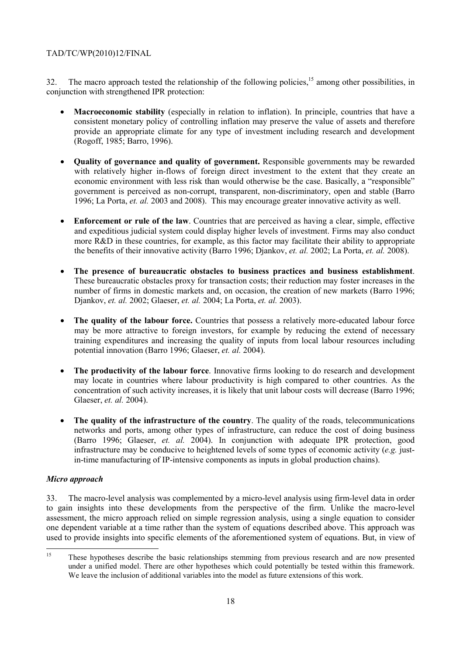32. The macro approach tested the relationship of the following policies,  $15$  among other possibilities, in conjunction with strengthened IPR protection:

- **Macroeconomic stability** (especially in relation to inflation). In principle, countries that have a consistent monetary policy of controlling inflation may preserve the value of assets and therefore provide an appropriate climate for any type of investment including research and development (Rogoff, 1985; Barro, 1996).
- **Quality of governance and quality of government.** Responsible governments may be rewarded with relatively higher in-flows of foreign direct investment to the extent that they create an economic environment with less risk than would otherwise be the case. Basically, a "responsible" government is perceived as non-corrupt, transparent, non-discriminatory, open and stable (Barro 1996; La Porta, *et. al.* 2003 and 2008). This may encourage greater innovative activity as well.
- **Enforcement or rule of the law**. Countries that are perceived as having a clear, simple, effective and expeditious judicial system could display higher levels of investment. Firms may also conduct more R&D in these countries, for example, as this factor may facilitate their ability to appropriate the benefits of their innovative activity (Barro 1996; Djankov, *et. al.* 2002; La Porta, *et. al.* 2008).
- **The presence of bureaucratic obstacles to business practices and business establishment**. These bureaucratic obstacles proxy for transaction costs; their reduction may foster increases in the number of firms in domestic markets and, on occasion, the creation of new markets (Barro 1996; Djankov, *et. al.* 2002; Glaeser, *et. al.* 2004; La Porta, *et. al.* 2003).
- **The quality of the labour force.** Countries that possess a relatively more-educated labour force may be more attractive to foreign investors, for example by reducing the extend of necessary training expenditures and increasing the quality of inputs from local labour resources including potential innovation (Barro 1996; Glaeser, *et. al.* 2004).
- **The productivity of the labour force**. Innovative firms looking to do research and development may locate in countries where labour productivity is high compared to other countries. As the concentration of such activity increases, it is likely that unit labour costs will decrease (Barro 1996; Glaeser, *et. al.* 2004).
- **The quality of the infrastructure of the country**. The quality of the roads, telecommunications networks and ports, among other types of infrastructure, can reduce the cost of doing business (Barro 1996; Glaeser, *et. al.* 2004). In conjunction with adequate IPR protection, good infrastructure may be conducive to heightened levels of some types of economic activity (*e.g.* justin-time manufacturing of IP-intensive components as inputs in global production chains).

## *Micro approach*

33. The macro-level analysis was complemented by a micro-level analysis using firm-level data in order to gain insights into these developments from the perspective of the firm. Unlike the macro-level assessment, the micro approach relied on simple regression analysis, using a single equation to consider one dependent variable at a time rather than the system of equations described above. This approach was used to provide insights into specific elements of the aforementioned system of equations. But, in view of

<sup>15</sup> These hypotheses describe the basic relationships stemming from previous research and are now presented under a unified model. There are other hypotheses which could potentially be tested within this framework. We leave the inclusion of additional variables into the model as future extensions of this work.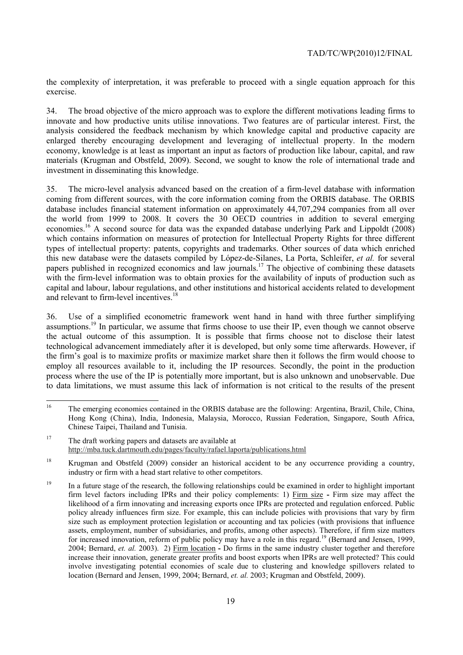the complexity of interpretation, it was preferable to proceed with a single equation approach for this exercise.

34. The broad objective of the micro approach was to explore the different motivations leading firms to innovate and how productive units utilise innovations. Two features are of particular interest. First, the analysis considered the feedback mechanism by which knowledge capital and productive capacity are enlarged thereby encouraging development and leveraging of intellectual property. In the modern economy, knowledge is at least as important an input as factors of production like labour, capital, and raw materials (Krugman and Obstfeld, 2009). Second, we sought to know the role of international trade and investment in disseminating this knowledge.

35. The micro-level analysis advanced based on the creation of a firm-level database with information coming from different sources, with the core information coming from the ORBIS database. The ORBIS database includes financial statement information on approximately 44,707,294 companies from all over the world from 1999 to 2008. It covers the 30 OECD countries in addition to several emerging economies.16 A second source for data was the expanded database underlying Park and Lippoldt (2008) which contains information on measures of protection for Intellectual Property Rights for three different types of intellectual property: patents, copyrights and trademarks. Other sources of data which enriched this new database were the datasets compiled by López-de-Silanes, La Porta, Schleifer, *et al.* for several papers published in recognized economics and law journals.<sup>17</sup> The objective of combining these datasets with the firm-level information was to obtain proxies for the availability of inputs of production such as capital and labour, labour regulations, and other institutions and historical accidents related to development and relevant to firm-level incentives.<sup>18</sup>

36. Use of a simplified econometric framework went hand in hand with three further simplifying assumptions.<sup>19</sup> In particular, we assume that firms choose to use their IP, even though we cannot observe the actual outcome of this assumption. It is possible that firms choose not to disclose their latest technological advancement immediately after it is developed, but only some time afterwards. However, if the firm's goal is to maximize profits or maximize market share then it follows the firm would choose to employ all resources available to it, including the IP resources. Secondly, the point in the production process where the use of the IP is potentially more important, but is also unknown and unobservable. Due to data limitations, we must assume this lack of information is not critical to the results of the present

<sup>16</sup> 16 The emerging economies contained in the ORBIS database are the following: Argentina, Brazil, Chile, China, Hong Kong (China), India, Indonesia, Malaysia, Morocco, Russian Federation, Singapore, South Africa, Chinese Taipei, Thailand and Tunisia.

<sup>&</sup>lt;sup>17</sup> The draft working papers and datasets are available at http://mba.tuck.dartmouth.edu/pages/faculty/rafael.laporta/publications.html

<sup>&</sup>lt;sup>18</sup> Krugman and Obstfeld (2009) consider an historical accident to be any occurrence providing a country, industry or firm with a head start relative to other competitors.

<sup>&</sup>lt;sup>19</sup> In a future stage of the research, the following relationships could be examined in order to highlight important firm level factors including IPRs and their policy complements: 1) Firm size **-** Firm size may affect the likelihood of a firm innovating and increasing exports once IPRs are protected and regulation enforced. Public policy already influences firm size. For example, this can include policies with provisions that vary by firm size such as employment protection legislation or accounting and tax policies (with provisions that influence assets, employment, number of subsidiaries, and profits, among other aspects). Therefore, if firm size matters for increased innovation, reform of public policy may have a role in this regard.<sup>19</sup> (Bernard and Jensen, 1999, 2004; Bernard, *et. al.* 2003). 2) Firm location **-** Do firms in the same industry cluster together and therefore increase their innovation, generate greater profits and boost exports when IPRs are well protected? This could involve investigating potential economies of scale due to clustering and knowledge spillovers related to location (Bernard and Jensen, 1999, 2004; Bernard, *et. al.* 2003; Krugman and Obstfeld, 2009).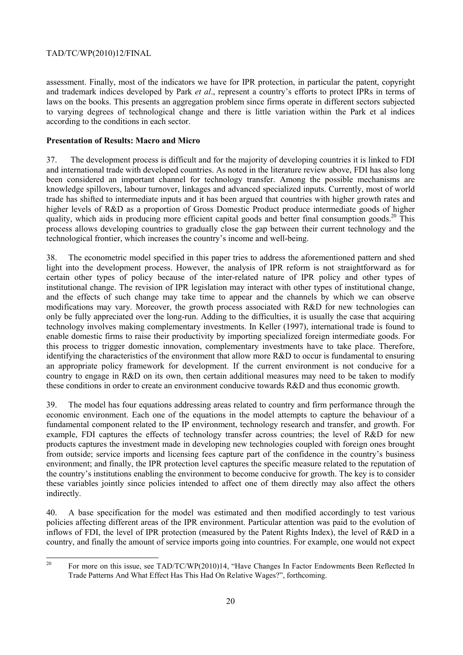assessment. Finally, most of the indicators we have for IPR protection, in particular the patent, copyright and trademark indices developed by Park *et al*., represent a country's efforts to protect IPRs in terms of laws on the books. This presents an aggregation problem since firms operate in different sectors subjected to varying degrees of technological change and there is little variation within the Park et al indices according to the conditions in each sector.

# **Presentation of Results: Macro and Micro**

37. The development process is difficult and for the majority of developing countries it is linked to FDI and international trade with developed countries. As noted in the literature review above, FDI has also long been considered an important channel for technology transfer. Among the possible mechanisms are knowledge spillovers, labour turnover, linkages and advanced specialized inputs. Currently, most of world trade has shifted to intermediate inputs and it has been argued that countries with higher growth rates and higher levels of R&D as a proportion of Gross Domestic Product produce intermediate goods of higher quality, which aids in producing more efficient capital goods and better final consumption goods.<sup>20</sup> This process allows developing countries to gradually close the gap between their current technology and the technological frontier, which increases the country's income and well-being.

The econometric model specified in this paper tries to address the aforementioned pattern and shed light into the development process. However, the analysis of IPR reform is not straightforward as for certain other types of policy because of the inter-related nature of IPR policy and other types of institutional change. The revision of IPR legislation may interact with other types of institutional change, and the effects of such change may take time to appear and the channels by which we can observe modifications may vary. Moreover, the growth process associated with R&D for new technologies can only be fully appreciated over the long-run. Adding to the difficulties, it is usually the case that acquiring technology involves making complementary investments. In Keller (1997), international trade is found to enable domestic firms to raise their productivity by importing specialized foreign intermediate goods. For this process to trigger domestic innovation, complementary investments have to take place. Therefore, identifying the characteristics of the environment that allow more R&D to occur is fundamental to ensuring an appropriate policy framework for development. If the current environment is not conducive for a country to engage in R&D on its own, then certain additional measures may need to be taken to modify these conditions in order to create an environment conducive towards R&D and thus economic growth.

39. The model has four equations addressing areas related to country and firm performance through the economic environment. Each one of the equations in the model attempts to capture the behaviour of a fundamental component related to the IP environment, technology research and transfer, and growth. For example, FDI captures the effects of technology transfer across countries; the level of R&D for new products captures the investment made in developing new technologies coupled with foreign ones brought from outside; service imports and licensing fees capture part of the confidence in the country's business environment; and finally, the IPR protection level captures the specific measure related to the reputation of the country's institutions enabling the environment to become conducive for growth. The key is to consider these variables jointly since policies intended to affect one of them directly may also affect the others indirectly.

40. A base specification for the model was estimated and then modified accordingly to test various policies affecting different areas of the IPR environment. Particular attention was paid to the evolution of inflows of FDI, the level of IPR protection (measured by the Patent Rights Index), the level of R&D in a country, and finally the amount of service imports going into countries. For example, one would not expect

 $20\,$ 20 For more on this issue, see TAD/TC/WP(2010)14, "Have Changes In Factor Endowments Been Reflected In Trade Patterns And What Effect Has This Had On Relative Wages?", forthcoming.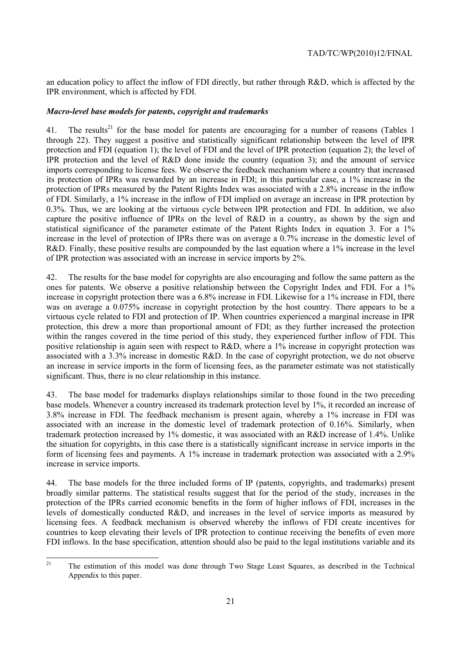an education policy to affect the inflow of FDI directly, but rather through R&D, which is affected by the IPR environment, which is affected by FDI.

# *Macro-level base models for patents, copyright and trademarks*

41. The results<sup>21</sup> for the base model for patents are encouraging for a number of reasons (Tables 1 through 22). They suggest a positive and statistically significant relationship between the level of IPR protection and FDI (equation 1); the level of FDI and the level of IPR protection (equation 2); the level of IPR protection and the level of R&D done inside the country (equation 3); and the amount of service imports corresponding to license fees. We observe the feedback mechanism where a country that increased its protection of IPRs was rewarded by an increase in FDI; in this particular case, a 1% increase in the protection of IPRs measured by the Patent Rights Index was associated with a 2.8% increase in the inflow of FDI. Similarly, a 1% increase in the inflow of FDI implied on average an increase in IPR protection by 0.3%. Thus, we are looking at the virtuous cycle between IPR protection and FDI. In addition, we also capture the positive influence of IPRs on the level of R&D in a country, as shown by the sign and statistical significance of the parameter estimate of the Patent Rights Index in equation 3. For a 1% increase in the level of protection of IPRs there was on average a 0.7% increase in the domestic level of R&D. Finally, these positive results are compounded by the last equation where a 1% increase in the level of IPR protection was associated with an increase in service imports by 2%.

42. The results for the base model for copyrights are also encouraging and follow the same pattern as the ones for patents. We observe a positive relationship between the Copyright Index and FDI. For a 1% increase in copyright protection there was a 6.8% increase in FDI. Likewise for a 1% increase in FDI, there was on average a 0.075% increase in copyright protection by the host country. There appears to be a virtuous cycle related to FDI and protection of IP. When countries experienced a marginal increase in IPR protection, this drew a more than proportional amount of FDI; as they further increased the protection within the ranges covered in the time period of this study, they experienced further inflow of FDI. This positive relationship is again seen with respect to R&D, where a 1% increase in copyright protection was associated with a 3.3% increase in domestic R&D. In the case of copyright protection, we do not observe an increase in service imports in the form of licensing fees, as the parameter estimate was not statistically significant. Thus, there is no clear relationship in this instance.

43. The base model for trademarks displays relationships similar to those found in the two preceding base models. Whenever a country increased its trademark protection level by 1%, it recorded an increase of 3.8% increase in FDI. The feedback mechanism is present again, whereby a 1% increase in FDI was associated with an increase in the domestic level of trademark protection of 0.16%. Similarly, when trademark protection increased by 1% domestic, it was associated with an R&D increase of 1.4%. Unlike the situation for copyrights, in this case there is a statistically significant increase in service imports in the form of licensing fees and payments. A 1% increase in trademark protection was associated with a 2.9% increase in service imports.

44. The base models for the three included forms of IP (patents, copyrights, and trademarks) present broadly similar patterns. The statistical results suggest that for the period of the study, increases in the protection of the IPRs carried economic benefits in the form of higher inflows of FDI, increases in the levels of domestically conducted R&D, and increases in the level of service imports as measured by licensing fees. A feedback mechanism is observed whereby the inflows of FDI create incentives for countries to keep elevating their levels of IPR protection to continue receiving the benefits of even more FDI inflows. In the base specification, attention should also be paid to the legal institutions variable and its

 $21$ 21 The estimation of this model was done through Two Stage Least Squares, as described in the Technical Appendix to this paper.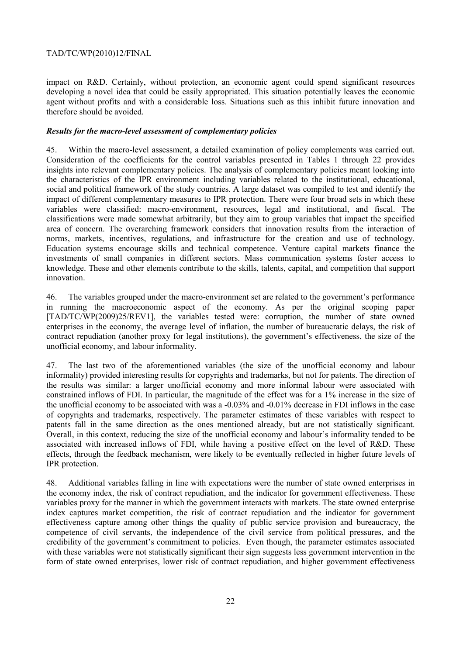impact on R&D. Certainly, without protection, an economic agent could spend significant resources developing a novel idea that could be easily appropriated. This situation potentially leaves the economic agent without profits and with a considerable loss. Situations such as this inhibit future innovation and therefore should be avoided.

# *Results for the macro-level assessment of complementary policies*

45. Within the macro-level assessment, a detailed examination of policy complements was carried out. Consideration of the coefficients for the control variables presented in Tables 1 through 22 provides insights into relevant complementary policies. The analysis of complementary policies meant looking into the characteristics of the IPR environment including variables related to the institutional, educational, social and political framework of the study countries. A large dataset was compiled to test and identify the impact of different complementary measures to IPR protection. There were four broad sets in which these variables were classified: macro-environment, resources, legal and institutional, and fiscal. The classifications were made somewhat arbitrarily, but they aim to group variables that impact the specified area of concern. The overarching framework considers that innovation results from the interaction of norms, markets, incentives, regulations, and infrastructure for the creation and use of technology. Education systems encourage skills and technical competence. Venture capital markets finance the investments of small companies in different sectors. Mass communication systems foster access to knowledge. These and other elements contribute to the skills, talents, capital, and competition that support innovation.

46. The variables grouped under the macro-environment set are related to the government's performance in running the macroeconomic aspect of the economy. As per the original scoping paper [TAD/TC/WP(2009)25/REV1], the variables tested were: corruption, the number of state owned enterprises in the economy, the average level of inflation, the number of bureaucratic delays, the risk of contract repudiation (another proxy for legal institutions), the government's effectiveness, the size of the unofficial economy, and labour informality.

47. The last two of the aforementioned variables (the size of the unofficial economy and labour informality) provided interesting results for copyrights and trademarks, but not for patents. The direction of the results was similar: a larger unofficial economy and more informal labour were associated with constrained inflows of FDI. In particular, the magnitude of the effect was for a 1% increase in the size of the unofficial economy to be associated with was a -0.03% and -0.01% decrease in FDI inflows in the case of copyrights and trademarks, respectively. The parameter estimates of these variables with respect to patents fall in the same direction as the ones mentioned already, but are not statistically significant. Overall, in this context, reducing the size of the unofficial economy and labour's informality tended to be associated with increased inflows of FDI, while having a positive effect on the level of R&D. These effects, through the feedback mechanism, were likely to be eventually reflected in higher future levels of IPR protection.

48. Additional variables falling in line with expectations were the number of state owned enterprises in the economy index, the risk of contract repudiation, and the indicator for government effectiveness. These variables proxy for the manner in which the government interacts with markets. The state owned enterprise index captures market competition, the risk of contract repudiation and the indicator for government effectiveness capture among other things the quality of public service provision and bureaucracy, the competence of civil servants, the independence of the civil service from political pressures, and the credibility of the government's commitment to policies. Even though, the parameter estimates associated with these variables were not statistically significant their sign suggests less government intervention in the form of state owned enterprises, lower risk of contract repudiation, and higher government effectiveness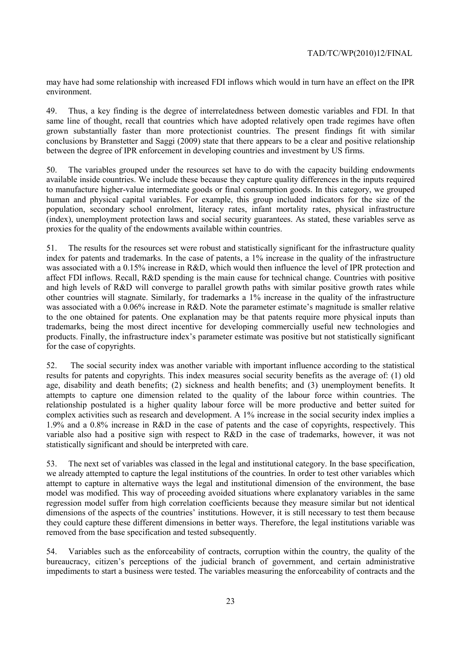may have had some relationship with increased FDI inflows which would in turn have an effect on the IPR environment.

49. Thus, a key finding is the degree of interrelatedness between domestic variables and FDI. In that same line of thought, recall that countries which have adopted relatively open trade regimes have often grown substantially faster than more protectionist countries. The present findings fit with similar conclusions by Branstetter and Saggi (2009) state that there appears to be a clear and positive relationship between the degree of IPR enforcement in developing countries and investment by US firms.

50. The variables grouped under the resources set have to do with the capacity building endowments available inside countries. We include these because they capture quality differences in the inputs required to manufacture higher-value intermediate goods or final consumption goods. In this category, we grouped human and physical capital variables. For example, this group included indicators for the size of the population, secondary school enrolment, literacy rates, infant mortality rates, physical infrastructure (index), unemployment protection laws and social security guarantees. As stated, these variables serve as proxies for the quality of the endowments available within countries.

51. The results for the resources set were robust and statistically significant for the infrastructure quality index for patents and trademarks. In the case of patents, a 1% increase in the quality of the infrastructure was associated with a 0.15% increase in R&D, which would then influence the level of IPR protection and affect FDI inflows. Recall, R&D spending is the main cause for technical change. Countries with positive and high levels of R&D will converge to parallel growth paths with similar positive growth rates while other countries will stagnate. Similarly, for trademarks a 1% increase in the quality of the infrastructure was associated with a 0.06% increase in R&D. Note the parameter estimate's magnitude is smaller relative to the one obtained for patents. One explanation may be that patents require more physical inputs than trademarks, being the most direct incentive for developing commercially useful new technologies and products. Finally, the infrastructure index's parameter estimate was positive but not statistically significant for the case of copyrights.

52. The social security index was another variable with important influence according to the statistical results for patents and copyrights. This index measures social security benefits as the average of: (1) old age, disability and death benefits; (2) sickness and health benefits; and (3) unemployment benefits. It attempts to capture one dimension related to the quality of the labour force within countries. The relationship postulated is a higher quality labour force will be more productive and better suited for complex activities such as research and development. A 1% increase in the social security index implies a 1.9% and a 0.8% increase in R&D in the case of patents and the case of copyrights, respectively. This variable also had a positive sign with respect to R&D in the case of trademarks, however, it was not statistically significant and should be interpreted with care.

53. The next set of variables was classed in the legal and institutional category. In the base specification, we already attempted to capture the legal institutions of the countries. In order to test other variables which attempt to capture in alternative ways the legal and institutional dimension of the environment, the base model was modified. This way of proceeding avoided situations where explanatory variables in the same regression model suffer from high correlation coefficients because they measure similar but not identical dimensions of the aspects of the countries' institutions. However, it is still necessary to test them because they could capture these different dimensions in better ways. Therefore, the legal institutions variable was removed from the base specification and tested subsequently.

54. Variables such as the enforceability of contracts, corruption within the country, the quality of the bureaucracy, citizen's perceptions of the judicial branch of government, and certain administrative impediments to start a business were tested. The variables measuring the enforceability of contracts and the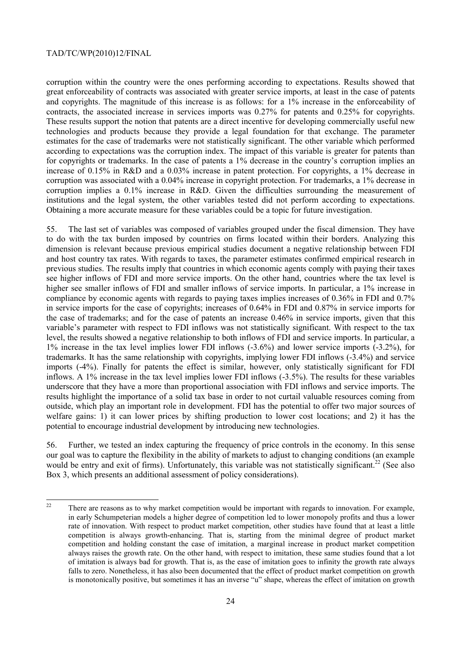corruption within the country were the ones performing according to expectations. Results showed that great enforceability of contracts was associated with greater service imports, at least in the case of patents and copyrights. The magnitude of this increase is as follows: for a 1% increase in the enforceability of contracts, the associated increase in services imports was 0.27% for patents and 0.25% for copyrights. These results support the notion that patents are a direct incentive for developing commercially useful new technologies and products because they provide a legal foundation for that exchange. The parameter estimates for the case of trademarks were not statistically significant. The other variable which performed according to expectations was the corruption index. The impact of this variable is greater for patents than for copyrights or trademarks. In the case of patents a 1% decrease in the country's corruption implies an increase of 0.15% in R&D and a 0.03% increase in patent protection. For copyrights, a 1% decrease in corruption was associated with a 0.04% increase in copyright protection. For trademarks, a 1% decrease in corruption implies a 0.1% increase in R&D. Given the difficulties surrounding the measurement of institutions and the legal system, the other variables tested did not perform according to expectations. Obtaining a more accurate measure for these variables could be a topic for future investigation.

55. The last set of variables was composed of variables grouped under the fiscal dimension. They have to do with the tax burden imposed by countries on firms located within their borders. Analyzing this dimension is relevant because previous empirical studies document a negative relationship between FDI and host country tax rates. With regards to taxes, the parameter estimates confirmed empirical research in previous studies. The results imply that countries in which economic agents comply with paying their taxes see higher inflows of FDI and more service imports. On the other hand, countries where the tax level is higher see smaller inflows of FDI and smaller inflows of service imports. In particular, a 1% increase in compliance by economic agents with regards to paying taxes implies increases of 0.36% in FDI and 0.7% in service imports for the case of copyrights; increases of 0.64% in FDI and 0.87% in service imports for the case of trademarks; and for the case of patents an increase 0.46% in service imports, given that this variable's parameter with respect to FDI inflows was not statistically significant. With respect to the tax level, the results showed a negative relationship to both inflows of FDI and service imports. In particular, a 1% increase in the tax level implies lower FDI inflows (-3.6%) and lower service imports (-3.2%), for trademarks. It has the same relationship with copyrights, implying lower FDI inflows (-3.4%) and service imports (-4%). Finally for patents the effect is similar, however, only statistically significant for FDI inflows. A 1% increase in the tax level implies lower FDI inflows (-3.5%). The results for these variables underscore that they have a more than proportional association with FDI inflows and service imports. The results highlight the importance of a solid tax base in order to not curtail valuable resources coming from outside, which play an important role in development. FDI has the potential to offer two major sources of welfare gains: 1) it can lower prices by shifting production to lower cost locations; and 2) it has the potential to encourage industrial development by introducing new technologies.

56. Further, we tested an index capturing the frequency of price controls in the economy. In this sense our goal was to capture the flexibility in the ability of markets to adjust to changing conditions (an example would be entry and exit of firms). Unfortunately, this variable was not statistically significant.<sup>22</sup> (See also Box 3, which presents an additional assessment of policy considerations).

 $22$ There are reasons as to why market competition would be important with regards to innovation. For example, in early Schumpeterian models a higher degree of competition led to lower monopoly profits and thus a lower rate of innovation. With respect to product market competition, other studies have found that at least a little competition is always growth-enhancing. That is, starting from the minimal degree of product market competition and holding constant the case of imitation, a marginal increase in product market competition always raises the growth rate. On the other hand, with respect to imitation, these same studies found that a lot of imitation is always bad for growth. That is, as the ease of imitation goes to infinity the growth rate always falls to zero. Nonetheless, it has also been documented that the effect of product market competition on growth is monotonically positive, but sometimes it has an inverse "u" shape, whereas the effect of imitation on growth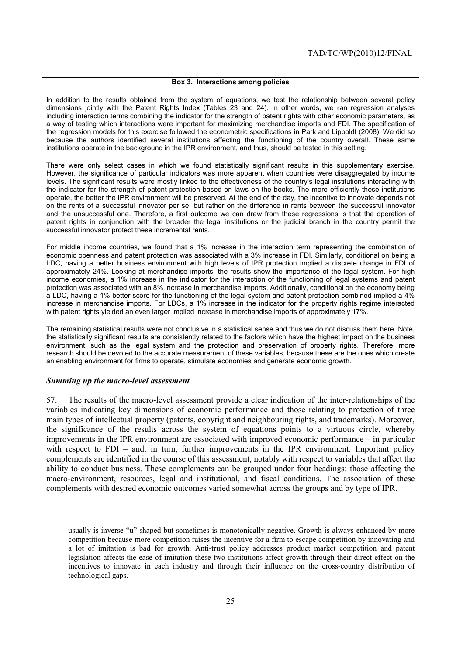#### **Box 3. Interactions among policies**

In addition to the results obtained from the system of equations, we test the relationship between several policy dimensions jointly with the Patent Rights Index (Tables 23 and 24). In other words, we ran regression analyses including interaction terms combining the indicator for the strength of patent rights with other economic parameters, as a way of testing which interactions were important for maximizing merchandise imports and FDI. The specification of the regression models for this exercise followed the econometric specifications in Park and Lippoldt (2008). We did so because the authors identified several institutions affecting the functioning of the country overall. These same institutions operate in the background in the IPR environment, and thus, should be tested in this setting.

There were only select cases in which we found statistically significant results in this supplementary exercise. However, the significance of particular indicators was more apparent when countries were disaggregated by income levels. The significant results were mostly linked to the effectiveness of the country's legal institutions interacting with the indicator for the strength of patent protection based on laws on the books. The more efficiently these institutions operate, the better the IPR environment will be preserved. At the end of the day, the incentive to innovate depends not on the rents of a successful innovator per se, but rather on the difference in rents between the successful innovator and the unsuccessful one. Therefore, a first outcome we can draw from these regressions is that the operation of patent rights in conjunction with the broader the legal institutions or the judicial branch in the country permit the successful innovator protect these incremental rents.

For middle income countries, we found that a 1% increase in the interaction term representing the combination of economic openness and patent protection was associated with a 3% increase in FDI. Similarly, conditional on being a LDC, having a better business environment with high levels of IPR protection implied a discrete change in FDI of approximately 24%. Looking at merchandise imports, the results show the importance of the legal system. For high income economies, a 1% increase in the indicator for the interaction of the functioning of legal systems and patent protection was associated with an 8% increase in merchandise imports. Additionally, conditional on the economy being a LDC, having a 1% better score for the functioning of the legal system and patent protection combined implied a 4% increase in merchandise imports. For LDCs, a 1% increase in the indicator for the property rights regime interacted with patent rights yielded an even larger implied increase in merchandise imports of approximately 17%.

The remaining statistical results were not conclusive in a statistical sense and thus we do not discuss them here. Note, the statistically significant results are consistently related to the factors which have the highest impact on the business environment, such as the legal system and the protection and preservation of property rights. Therefore, more research should be devoted to the accurate measurement of these variables, because these are the ones which create an enabling environment for firms to operate, stimulate economies and generate economic growth.

#### *Summing up the macro-level assessment*

-

57. The results of the macro-level assessment provide a clear indication of the inter-relationships of the variables indicating key dimensions of economic performance and those relating to protection of three main types of intellectual property (patents, copyright and neighbouring rights, and trademarks). Moreover, the significance of the results across the system of equations points to a virtuous circle, whereby improvements in the IPR environment are associated with improved economic performance – in particular with respect to FDI – and, in turn, further improvements in the IPR environment. Important policy complements are identified in the course of this assessment, notably with respect to variables that affect the ability to conduct business. These complements can be grouped under four headings: those affecting the macro-environment, resources, legal and institutional, and fiscal conditions. The association of these complements with desired economic outcomes varied somewhat across the groups and by type of IPR.

usually is inverse "u" shaped but sometimes is monotonically negative. Growth is always enhanced by more competition because more competition raises the incentive for a firm to escape competition by innovating and a lot of imitation is bad for growth. Anti-trust policy addresses product market competition and patent legislation affects the ease of imitation these two institutions affect growth through their direct effect on the incentives to innovate in each industry and through their influence on the cross-country distribution of technological gaps.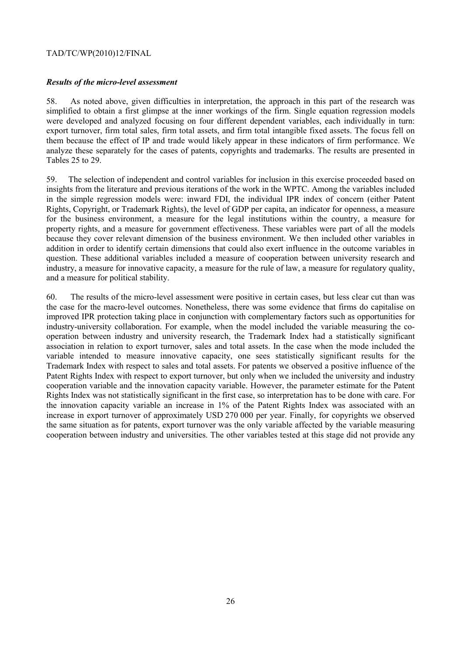# *Results of the micro-level assessment*

58. As noted above, given difficulties in interpretation, the approach in this part of the research was simplified to obtain a first glimpse at the inner workings of the firm. Single equation regression models were developed and analyzed focusing on four different dependent variables, each individually in turn: export turnover, firm total sales, firm total assets, and firm total intangible fixed assets. The focus fell on them because the effect of IP and trade would likely appear in these indicators of firm performance. We analyze these separately for the cases of patents, copyrights and trademarks. The results are presented in Tables 25 to 29.

59. The selection of independent and control variables for inclusion in this exercise proceeded based on insights from the literature and previous iterations of the work in the WPTC. Among the variables included in the simple regression models were: inward FDI, the individual IPR index of concern (either Patent Rights, Copyright, or Trademark Rights), the level of GDP per capita, an indicator for openness, a measure for the business environment, a measure for the legal institutions within the country, a measure for property rights, and a measure for government effectiveness. These variables were part of all the models because they cover relevant dimension of the business environment. We then included other variables in addition in order to identify certain dimensions that could also exert influence in the outcome variables in question. These additional variables included a measure of cooperation between university research and industry, a measure for innovative capacity, a measure for the rule of law, a measure for regulatory quality, and a measure for political stability.

60. The results of the micro-level assessment were positive in certain cases, but less clear cut than was the case for the macro-level outcomes. Nonetheless, there was some evidence that firms do capitalise on improved IPR protection taking place in conjunction with complementary factors such as opportunities for industry-university collaboration. For example, when the model included the variable measuring the cooperation between industry and university research, the Trademark Index had a statistically significant association in relation to export turnover, sales and total assets. In the case when the mode included the variable intended to measure innovative capacity, one sees statistically significant results for the Trademark Index with respect to sales and total assets. For patents we observed a positive influence of the Patent Rights Index with respect to export turnover, but only when we included the university and industry cooperation variable and the innovation capacity variable. However, the parameter estimate for the Patent Rights Index was not statistically significant in the first case, so interpretation has to be done with care. For the innovation capacity variable an increase in 1% of the Patent Rights Index was associated with an increase in export turnover of approximately USD 270 000 per year. Finally, for copyrights we observed the same situation as for patents, export turnover was the only variable affected by the variable measuring cooperation between industry and universities. The other variables tested at this stage did not provide any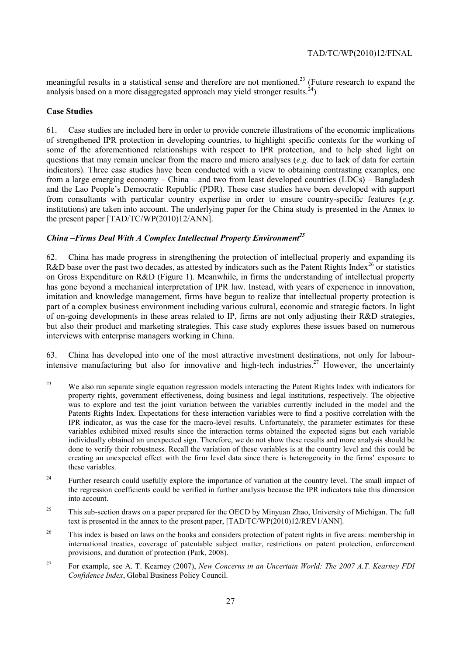meaningful results in a statistical sense and therefore are not mentioned.<sup>23</sup> (Future research to expand the analysis based on a more disaggregated approach may yield stronger results.<sup>24</sup>)

# **Case Studies**

61. Case studies are included here in order to provide concrete illustrations of the economic implications of strengthened IPR protection in developing countries, to highlight specific contexts for the working of some of the aforementioned relationships with respect to IPR protection, and to help shed light on questions that may remain unclear from the macro and micro analyses (*e.g.* due to lack of data for certain indicators). Three case studies have been conducted with a view to obtaining contrasting examples, one from a large emerging economy – China – and two from least developed countries (LDCs) – Bangladesh and the Lao People's Democratic Republic (PDR). These case studies have been developed with support from consultants with particular country expertise in order to ensure country-specific features (*e.g.* institutions) are taken into account. The underlying paper for the China study is presented in the Annex to the present paper [TAD/TC/WP(2010)12/ANN].

# *China –Firms Deal With A Complex Intellectual Property Environment25*

62. China has made progress in strengthening the protection of intellectual property and expanding its R&D base over the past two decades, as attested by indicators such as the Patent Rights Index<sup>26</sup> or statistics on Gross Expenditure on R&D (Figure 1). Meanwhile, in firms the understanding of intellectual property has gone beyond a mechanical interpretation of IPR law. Instead, with years of experience in innovation, imitation and knowledge management, firms have begun to realize that intellectual property protection is part of a complex business environment including various cultural, economic and strategic factors. In light of on-going developments in these areas related to IP, firms are not only adjusting their R&D strategies, but also their product and marketing strategies. This case study explores these issues based on numerous interviews with enterprise managers working in China.

63. China has developed into one of the most attractive investment destinations, not only for labourintensive manufacturing but also for innovative and high-tech industries.<sup>27</sup> However, the uncertainty

 $23$ 23 We also ran separate single equation regression models interacting the Patent Rights Index with indicators for property rights, government effectiveness, doing business and legal institutions, respectively. The objective was to explore and test the joint variation between the variables currently included in the model and the Patents Rights Index. Expectations for these interaction variables were to find a positive correlation with the IPR indicator, as was the case for the macro-level results. Unfortunately, the parameter estimates for these variables exhibited mixed results since the interaction terms obtained the expected signs but each variable individually obtained an unexpected sign. Therefore, we do not show these results and more analysis should be done to verify their robustness. Recall the variation of these variables is at the country level and this could be creating an unexpected effect with the firm level data since there is heterogeneity in the firms' exposure to these variables.

<sup>&</sup>lt;sup>24</sup> Further research could usefully explore the importance of variation at the country level. The small impact of the regression coefficients could be verified in further analysis because the IPR indicators take this dimension into account.

<sup>&</sup>lt;sup>25</sup> This sub-section draws on a paper prepared for the OECD by Minyuan Zhao, University of Michigan. The full text is presented in the annex to the present paper, [TAD/TC/WP(2010)12/REV1/ANN].

<sup>&</sup>lt;sup>26</sup> This index is based on laws on the books and considers protection of patent rights in five areas: membership in international treaties, coverage of patentable subject matter, restrictions on patent protection, enforcement provisions, and duration of protection (Park, 2008).

<sup>27</sup> For example, see A. T. Kearney (2007), *New Concerns in an Uncertain World: The 2007 A.T. Kearney FDI Confidence Index*, Global Business Policy Council.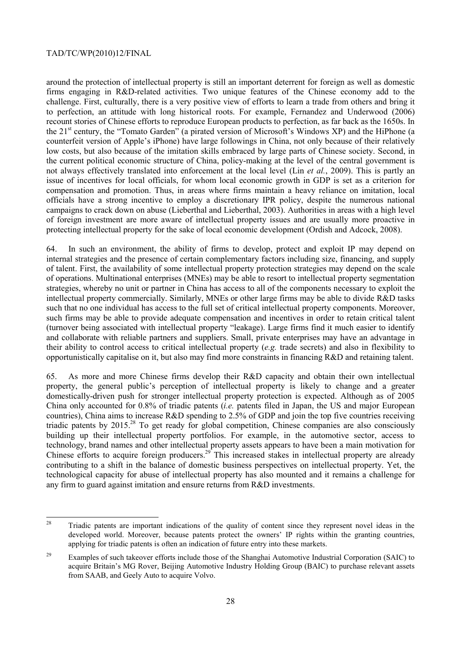around the protection of intellectual property is still an important deterrent for foreign as well as domestic firms engaging in R&D-related activities. Two unique features of the Chinese economy add to the challenge. First, culturally, there is a very positive view of efforts to learn a trade from others and bring it to perfection, an attitude with long historical roots. For example, Fernandez and Underwood (2006) recount stories of Chinese efforts to reproduce European products to perfection, as far back as the 1650s. In the 21<sup>st</sup> century, the "Tomato Garden" (a pirated version of Microsoft's Windows XP) and the HiPhone (a counterfeit version of Apple's iPhone) have large followings in China, not only because of their relatively low costs, but also because of the imitation skills embraced by large parts of Chinese society. Second, in the current political economic structure of China, policy-making at the level of the central government is not always effectively translated into enforcement at the local level (Lin *et al.*, 2009). This is partly an issue of incentives for local officials, for whom local economic growth in GDP is set as a criterion for compensation and promotion. Thus, in areas where firms maintain a heavy reliance on imitation, local officials have a strong incentive to employ a discretionary IPR policy, despite the numerous national campaigns to crack down on abuse (Lieberthal and Lieberthal, 2003). Authorities in areas with a high level of foreign investment are more aware of intellectual property issues and are usually more proactive in protecting intellectual property for the sake of local economic development (Ordish and Adcock, 2008).

64. In such an environment, the ability of firms to develop, protect and exploit IP may depend on internal strategies and the presence of certain complementary factors including size, financing, and supply of talent. First, the availability of some intellectual property protection strategies may depend on the scale of operations. Multinational enterprises (MNEs) may be able to resort to intellectual property segmentation strategies, whereby no unit or partner in China has access to all of the components necessary to exploit the intellectual property commercially. Similarly, MNEs or other large firms may be able to divide R&D tasks such that no one individual has access to the full set of critical intellectual property components. Moreover, such firms may be able to provide adequate compensation and incentives in order to retain critical talent (turnover being associated with intellectual property "leakage). Large firms find it much easier to identify and collaborate with reliable partners and suppliers. Small, private enterprises may have an advantage in their ability to control access to critical intellectual property (*e.g.* trade secrets) and also in flexibility to opportunistically capitalise on it, but also may find more constraints in financing R&D and retaining talent.

65. As more and more Chinese firms develop their R&D capacity and obtain their own intellectual property, the general public's perception of intellectual property is likely to change and a greater domestically-driven push for stronger intellectual property protection is expected. Although as of 2005 China only accounted for 0.8% of triadic patents (*i.e.* patents filed in Japan, the US and major European countries), China aims to increase R&D spending to 2.5% of GDP and join the top five countries receiving triadic patents by 2015<sup>28</sup>. To get ready for global competition, Chinese companies are also consciously building up their intellectual property portfolios. For example, in the automotive sector, access to technology, brand names and other intellectual property assets appears to have been a main motivation for Chinese efforts to acquire foreign producers.<sup>29</sup> This increased stakes in intellectual property are already contributing to a shift in the balance of domestic business perspectives on intellectual property. Yet, the technological capacity for abuse of intellectual property has also mounted and it remains a challenge for any firm to guard against imitation and ensure returns from R&D investments.

 $\overline{28}$ 28 Triadic patents are important indications of the quality of content since they represent novel ideas in the developed world. Moreover, because patents protect the owners' IP rights within the granting countries, applying for triadic patents is often an indication of future entry into these markets.

<sup>&</sup>lt;sup>29</sup> Examples of such takeover efforts include those of the Shanghai Automotive Industrial Corporation (SAIC) to acquire Britain's MG Rover, Beijing Automotive Industry Holding Group (BAIC) to purchase relevant assets from SAAB, and Geely Auto to acquire Volvo.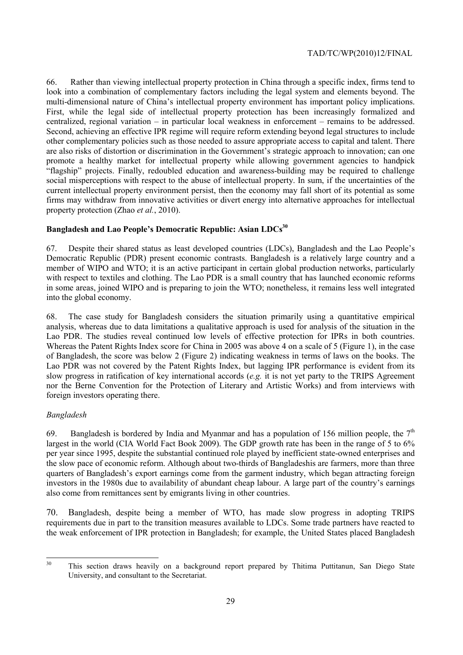66. Rather than viewing intellectual property protection in China through a specific index, firms tend to look into a combination of complementary factors including the legal system and elements beyond. The multi-dimensional nature of China's intellectual property environment has important policy implications. First, while the legal side of intellectual property protection has been increasingly formalized and centralized, regional variation – in particular local weakness in enforcement – remains to be addressed. Second, achieving an effective IPR regime will require reform extending beyond legal structures to include other complementary policies such as those needed to assure appropriate access to capital and talent. There are also risks of distortion or discrimination in the Government's strategic approach to innovation; can one promote a healthy market for intellectual property while allowing government agencies to handpick "flagship" projects. Finally, redoubled education and awareness-building may be required to challenge social misperceptions with respect to the abuse of intellectual property. In sum, if the uncertainties of the current intellectual property environment persist, then the economy may fall short of its potential as some firms may withdraw from innovative activities or divert energy into alternative approaches for intellectual property protection (Zhao *et al.*, 2010).

# **Bangladesh and Lao People's Democratic Republic: Asian LDCs30**

67. Despite their shared status as least developed countries (LDCs), Bangladesh and the Lao People's Democratic Republic (PDR) present economic contrasts. Bangladesh is a relatively large country and a member of WIPO and WTO; it is an active participant in certain global production networks, particularly with respect to textiles and clothing. The Lao PDR is a small country that has launched economic reforms in some areas, joined WIPO and is preparing to join the WTO; nonetheless, it remains less well integrated into the global economy.

68. The case study for Bangladesh considers the situation primarily using a quantitative empirical analysis, whereas due to data limitations a qualitative approach is used for analysis of the situation in the Lao PDR. The studies reveal continued low levels of effective protection for IPRs in both countries. Whereas the Patent Rights Index score for China in 2005 was above 4 on a scale of 5 (Figure 1), in the case of Bangladesh, the score was below 2 (Figure 2) indicating weakness in terms of laws on the books. The Lao PDR was not covered by the Patent Rights Index, but lagging IPR performance is evident from its slow progress in ratification of key international accords (*e.g.* it is not yet party to the TRIPS Agreement nor the Berne Convention for the Protection of Literary and Artistic Works) and from interviews with foreign investors operating there.

## *Bangladesh*

69. Bangladesh is bordered by India and Myanmar and has a population of 156 million people, the  $7<sup>th</sup>$ largest in the world (CIA World Fact Book 2009). The GDP growth rate has been in the range of 5 to 6% per year since 1995, despite the substantial continued role played by inefficient state-owned enterprises and the slow pace of economic reform. Although about two-thirds of Bangladeshis are farmers, more than three quarters of Bangladesh's export earnings come from the garment industry, which began attracting foreign investors in the 1980s due to availability of abundant cheap labour. A large part of the country's earnings also come from remittances sent by emigrants living in other countries.

70. Bangladesh, despite being a member of WTO, has made slow progress in adopting TRIPS requirements due in part to the transition measures available to LDCs. Some trade partners have reacted to the weak enforcement of IPR protection in Bangladesh; for example, the United States placed Bangladesh

 $30$ 30 This section draws heavily on a background report prepared by Thitima Puttitanun, San Diego State University, and consultant to the Secretariat.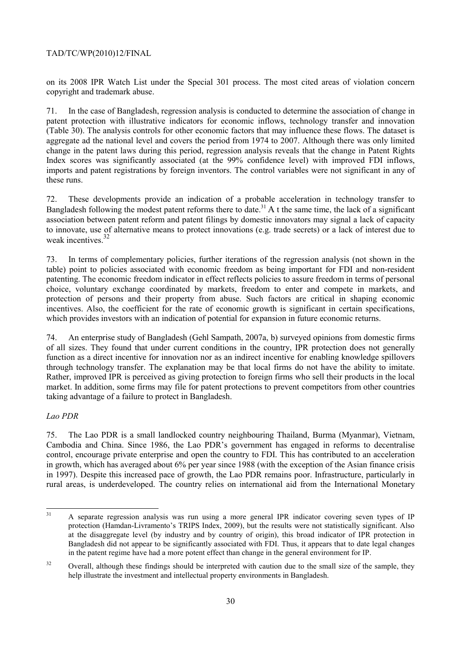on its 2008 IPR Watch List under the Special 301 process. The most cited areas of violation concern copyright and trademark abuse.

71. In the case of Bangladesh, regression analysis is conducted to determine the association of change in patent protection with illustrative indicators for economic inflows, technology transfer and innovation (Table 30). The analysis controls for other economic factors that may influence these flows. The dataset is aggregate ad the national level and covers the period from 1974 to 2007. Although there was only limited change in the patent laws during this period, regression analysis reveals that the change in Patent Rights Index scores was significantly associated (at the 99% confidence level) with improved FDI inflows, imports and patent registrations by foreign inventors. The control variables were not significant in any of these runs.

72. These developments provide an indication of a probable acceleration in technology transfer to Bangladesh following the modest patent reforms there to date.<sup>31</sup> A t the same time, the lack of a significant association between patent reform and patent filings by domestic innovators may signal a lack of capacity to innovate, use of alternative means to protect innovations (e.g. trade secrets) or a lack of interest due to weak incentives<sup>32</sup>

73. In terms of complementary policies, further iterations of the regression analysis (not shown in the table) point to policies associated with economic freedom as being important for FDI and non-resident patenting. The economic freedom indicator in effect reflects policies to assure freedom in terms of personal choice, voluntary exchange coordinated by markets, freedom to enter and compete in markets, and protection of persons and their property from abuse. Such factors are critical in shaping economic incentives. Also, the coefficient for the rate of economic growth is significant in certain specifications, which provides investors with an indication of potential for expansion in future economic returns.

74. An enterprise study of Bangladesh (Gehl Sampath, 2007a, b) surveyed opinions from domestic firms of all sizes. They found that under current conditions in the country, IPR protection does not generally function as a direct incentive for innovation nor as an indirect incentive for enabling knowledge spillovers through technology transfer. The explanation may be that local firms do not have the ability to imitate. Rather, improved IPR is perceived as giving protection to foreign firms who sell their products in the local market. In addition, some firms may file for patent protections to prevent competitors from other countries taking advantage of a failure to protect in Bangladesh.

## *Lao PDR*

75. The Lao PDR is a small landlocked country neighbouring Thailand, Burma (Myanmar), Vietnam, Cambodia and China. Since 1986, the Lao PDR's government has engaged in reforms to decentralise control, encourage private enterprise and open the country to FDI. This has contributed to an acceleration in growth, which has averaged about 6% per year since 1988 (with the exception of the Asian finance crisis in 1997). Despite this increased pace of growth, the Lao PDR remains poor. Infrastructure, particularly in rural areas, is underdeveloped. The country relies on international aid from the International Monetary

 $31$ 31 A separate regression analysis was run using a more general IPR indicator covering seven types of IP protection (Hamdan-Livramento's TRIPS Index, 2009), but the results were not statistically significant. Also at the disaggregate level (by industry and by country of origin), this broad indicator of IPR protection in Bangladesh did not appear to be significantly associated with FDI. Thus, it appears that to date legal changes in the patent regime have had a more potent effect than change in the general environment for IP.

<sup>&</sup>lt;sup>32</sup> Overall, although these findings should be interpreted with caution due to the small size of the sample, they help illustrate the investment and intellectual property environments in Bangladesh.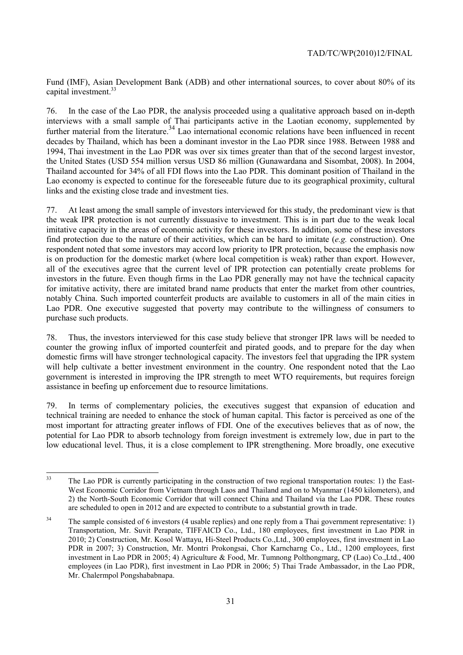Fund (IMF), Asian Development Bank (ADB) and other international sources, to cover about 80% of its capital investment.<sup>33</sup>

76. In the case of the Lao PDR, the analysis proceeded using a qualitative approach based on in-depth interviews with a small sample of Thai participants active in the Laotian economy, supplemented by further material from the literature.<sup>34</sup> Lao international economic relations have been influenced in recent decades by Thailand, which has been a dominant investor in the Lao PDR since 1988. Between 1988 and 1994, Thai investment in the Lao PDR was over six times greater than that of the second largest investor, the United States (USD 554 million versus USD 86 million (Gunawardana and Sisombat, 2008). In 2004, Thailand accounted for 34% of all FDI flows into the Lao PDR. This dominant position of Thailand in the Lao economy is expected to continue for the foreseeable future due to its geographical proximity, cultural links and the existing close trade and investment ties.

77. At least among the small sample of investors interviewed for this study, the predominant view is that the weak IPR protection is not currently dissuasive to investment. This is in part due to the weak local imitative capacity in the areas of economic activity for these investors. In addition, some of these investors find protection due to the nature of their activities, which can be hard to imitate (*e.g.* construction). One respondent noted that some investors may accord low priority to IPR protection, because the emphasis now is on production for the domestic market (where local competition is weak) rather than export. However, all of the executives agree that the current level of IPR protection can potentially create problems for investors in the future. Even though firms in the Lao PDR generally may not have the technical capacity for imitative activity, there are imitated brand name products that enter the market from other countries, notably China. Such imported counterfeit products are available to customers in all of the main cities in Lao PDR. One executive suggested that poverty may contribute to the willingness of consumers to purchase such products.

78. Thus, the investors interviewed for this case study believe that stronger IPR laws will be needed to counter the growing influx of imported counterfeit and pirated goods, and to prepare for the day when domestic firms will have stronger technological capacity. The investors feel that upgrading the IPR system will help cultivate a better investment environment in the country. One respondent noted that the Lao government is interested in improving the IPR strength to meet WTO requirements, but requires foreign assistance in beefing up enforcement due to resource limitations.

79. In terms of complementary policies, the executives suggest that expansion of education and technical training are needed to enhance the stock of human capital. This factor is perceived as one of the most important for attracting greater inflows of FDI. One of the executives believes that as of now, the potential for Lao PDR to absorb technology from foreign investment is extremely low, due in part to the low educational level. Thus, it is a close complement to IPR strengthening. More broadly, one executive

 $33$ The Lao PDR is currently participating in the construction of two regional transportation routes: 1) the East-West Economic Corridor from Vietnam through Laos and Thailand and on to Myanmar (1450 kilometers), and 2) the North-South Economic Corridor that will connect China and Thailand via the Lao PDR. These routes are scheduled to open in 2012 and are expected to contribute to a substantial growth in trade.

<sup>&</sup>lt;sup>34</sup> The sample consisted of 6 investors (4 usable replies) and one reply from a Thai government representative: 1) Transportation, Mr. Suvit Perapate, TIFFAICD Co., Ltd., 180 employees, first investment in Lao PDR in 2010; 2) Construction, Mr. Kosol Wattayu, Hi-Steel Products Co.,Ltd., 300 employees, first investment in Lao PDR in 2007; 3) Construction, Mr. Montri Prokongsai, Chor Karncharng Co., Ltd., 1200 employees, first investment in Lao PDR in 2005; 4) Agriculture & Food, Mr. Tumnong Polthongmarg, CP (Lao) Co.,Ltd., 400 employees (in Lao PDR), first investment in Lao PDR in 2006; 5) Thai Trade Ambassador, in the Lao PDR, Mr. Chalermpol Pongshababnapa.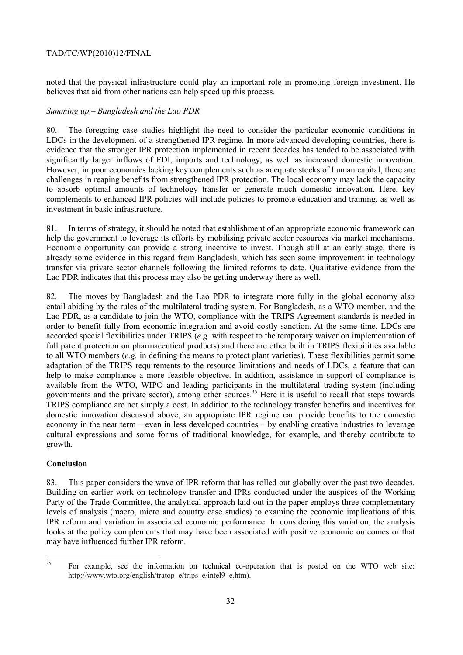noted that the physical infrastructure could play an important role in promoting foreign investment. He believes that aid from other nations can help speed up this process.

# *Summing up – Bangladesh and the Lao PDR*

80. The foregoing case studies highlight the need to consider the particular economic conditions in LDCs in the development of a strengthened IPR regime. In more advanced developing countries, there is evidence that the stronger IPR protection implemented in recent decades has tended to be associated with significantly larger inflows of FDI, imports and technology, as well as increased domestic innovation. However, in poor economies lacking key complements such as adequate stocks of human capital, there are challenges in reaping benefits from strengthened IPR protection. The local economy may lack the capacity to absorb optimal amounts of technology transfer or generate much domestic innovation. Here, key complements to enhanced IPR policies will include policies to promote education and training, as well as investment in basic infrastructure.

81. In terms of strategy, it should be noted that establishment of an appropriate economic framework can help the government to leverage its efforts by mobilising private sector resources via market mechanisms. Economic opportunity can provide a strong incentive to invest. Though still at an early stage, there is already some evidence in this regard from Bangladesh, which has seen some improvement in technology transfer via private sector channels following the limited reforms to date. Qualitative evidence from the Lao PDR indicates that this process may also be getting underway there as well.

82. The moves by Bangladesh and the Lao PDR to integrate more fully in the global economy also entail abiding by the rules of the multilateral trading system. For Bangladesh, as a WTO member, and the Lao PDR, as a candidate to join the WTO, compliance with the TRIPS Agreement standards is needed in order to benefit fully from economic integration and avoid costly sanction. At the same time, LDCs are accorded special flexibilities under TRIPS (*e.g.* with respect to the temporary waiver on implementation of full patent protection on pharmaceutical products) and there are other built in TRIPS flexibilities available to all WTO members (*e.g.* in defining the means to protect plant varieties). These flexibilities permit some adaptation of the TRIPS requirements to the resource limitations and needs of LDCs, a feature that can help to make compliance a more feasible objective. In addition, assistance in support of compliance is available from the WTO, WIPO and leading participants in the multilateral trading system (including governments and the private sector), among other sources.<sup>35</sup> Here it is useful to recall that steps towards TRIPS compliance are not simply a cost. In addition to the technology transfer benefits and incentives for domestic innovation discussed above, an appropriate IPR regime can provide benefits to the domestic economy in the near term – even in less developed countries – by enabling creative industries to leverage cultural expressions and some forms of traditional knowledge, for example, and thereby contribute to growth.

## **Conclusion**

83. This paper considers the wave of IPR reform that has rolled out globally over the past two decades. Building on earlier work on technology transfer and IPRs conducted under the auspices of the Working Party of the Trade Committee, the analytical approach laid out in the paper employs three complementary levels of analysis (macro, micro and country case studies) to examine the economic implications of this IPR reform and variation in associated economic performance. In considering this variation, the analysis looks at the policy complements that may have been associated with positive economic outcomes or that may have influenced further IPR reform.

<sup>35</sup> 35 For example, see the information on technical co-operation that is posted on the WTO web site: http://www.wto.org/english/tratop\_e/trips\_e/intel9\_e.htm).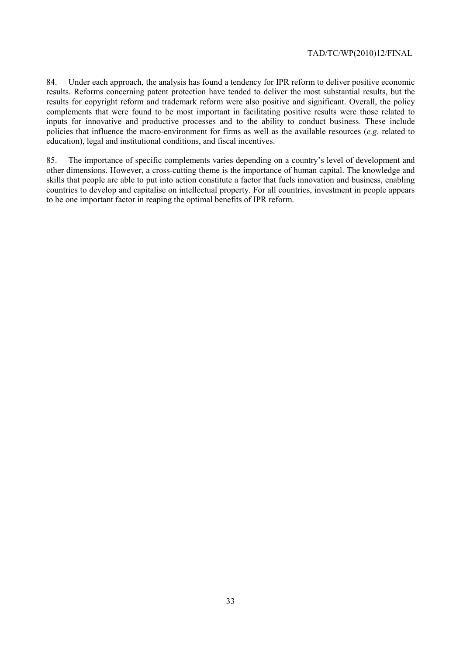84. Under each approach, the analysis has found a tendency for IPR reform to deliver positive economic results. Reforms concerning patent protection have tended to deliver the most substantial results, but the results for copyright reform and trademark reform were also positive and significant. Overall, the policy complements that were found to be most important in facilitating positive results were those related to inputs for innovative and productive processes and to the ability to conduct business. These include policies that influence the macro-environment for firms as well as the available resources (*e.g.* related to education), legal and institutional conditions, and fiscal incentives.

85. The importance of specific complements varies depending on a country's level of development and other dimensions. However, a cross-cutting theme is the importance of human capital. The knowledge and skills that people are able to put into action constitute a factor that fuels innovation and business, enabling countries to develop and capitalise on intellectual property. For all countries, investment in people appears to be one important factor in reaping the optimal benefits of IPR reform.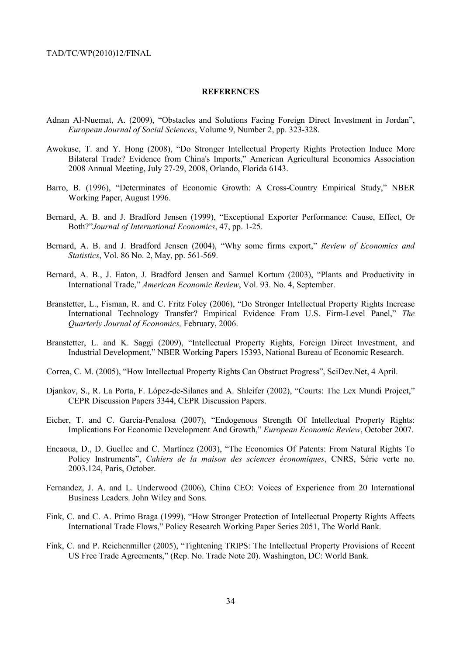#### **REFERENCES**

- Adnan Al-Nuemat, A. (2009), "Obstacles and Solutions Facing Foreign Direct Investment in Jordan", *European Journal of Social Sciences*, Volume 9, Number 2, pp. 323-328.
- Awokuse, T. and Y. Hong (2008), "Do Stronger Intellectual Property Rights Protection Induce More Bilateral Trade? Evidence from China's Imports," American Agricultural Economics Association 2008 Annual Meeting, July 27-29, 2008, Orlando, Florida 6143.
- Barro, B. (1996), "Determinates of Economic Growth: A Cross-Country Empirical Study," NBER Working Paper, August 1996.
- Bernard, A. B. and J. Bradford Jensen (1999), "Exceptional Exporter Performance: Cause, Effect, Or Both?"*Journal of International Economics*, 47, pp. 1-25.
- Bernard, A. B. and J. Bradford Jensen (2004), "Why some firms export," *Review of Economics and Statistics*, Vol. 86 No. 2, May, pp. 561-569.
- Bernard, A. B., J. Eaton, J. Bradford Jensen and Samuel Kortum (2003), "Plants and Productivity in International Trade," *American Economic Review*, Vol. 93. No. 4, September.
- Branstetter, L., Fisman, R. and C. Fritz Foley (2006), "Do Stronger Intellectual Property Rights Increase International Technology Transfer? Empirical Evidence From U.S. Firm-Level Panel," *The Quarterly Journal of Economics,* February, 2006.
- Branstetter, L. and K. Saggi (2009), "Intellectual Property Rights, Foreign Direct Investment, and Industrial Development," NBER Working Papers 15393, National Bureau of Economic Research.
- Correa, C. M. (2005), "How Intellectual Property Rights Can Obstruct Progress", SciDev.Net, 4 April.
- Djankov, S., R. La Porta, F. López-de-Silanes and A. Shleifer (2002), "Courts: The Lex Mundi Project," CEPR Discussion Papers 3344, CEPR Discussion Papers.
- Eicher, T. and C. Garcia-Penalosa (2007), "Endogenous Strength Of Intellectual Property Rights: Implications For Economic Development And Growth," *European Economic Review*, October 2007.
- Encaoua, D., D. Guellec and C. Martínez (2003), "The Economics Of Patents: From Natural Rights To Policy Instruments", *Cahiers de la maison des sciences économiques*, CNRS, Série verte no. 2003.124, Paris, October.
- Fernandez, J. A. and L. Underwood (2006), China CEO: Voices of Experience from 20 International Business Leaders. John Wiley and Sons.
- Fink, C. and C. A. Primo Braga (1999), "How Stronger Protection of Intellectual Property Rights Affects International Trade Flows," Policy Research Working Paper Series 2051, The World Bank.
- Fink, C. and P. Reichenmiller (2005), "Tightening TRIPS: The Intellectual Property Provisions of Recent US Free Trade Agreements," (Rep. No. Trade Note 20). Washington, DC: World Bank.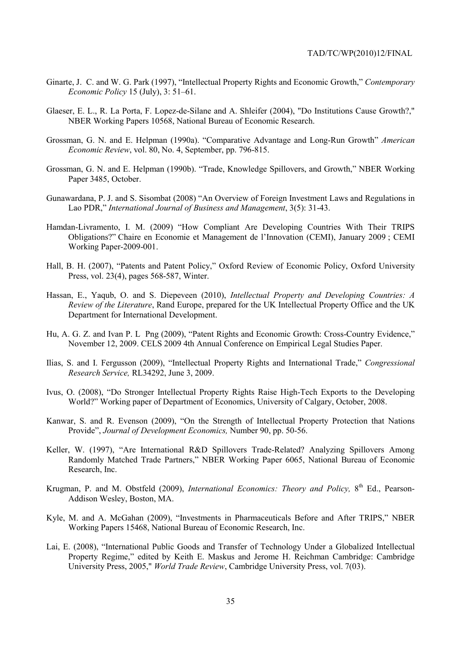- Ginarte, J. C. and W. G. Park (1997), "Intellectual Property Rights and Economic Growth," *Contemporary Economic Policy* 15 (July), 3: 51–61.
- Glaeser, E. L., R. La Porta, F. Lopez-de-Silane and A. Shleifer (2004), "Do Institutions Cause Growth?," NBER Working Papers 10568, National Bureau of Economic Research.
- Grossman, G. N. and E. Helpman (1990a). "Comparative Advantage and Long-Run Growth" *American Economic Review*, vol. 80, No. 4, September, pp. 796-815.
- Grossman, G. N. and E. Helpman (1990b). "Trade, Knowledge Spillovers, and Growth," NBER Working Paper 3485, October.
- Gunawardana, P. J. and S. Sisombat (2008) "An Overview of Foreign Investment Laws and Regulations in Lao PDR," *International Journal of Business and Management*, 3(5): 31-43.
- Hamdan-Livramento, I. M. (2009) "How Compliant Are Developing Countries With Their TRIPS Obligations?" Chaire en Economie et Management de l'Innovation (CEMI), January 2009 ; CEMI Working Paper-2009-001.
- Hall, B. H. (2007), "Patents and Patent Policy," Oxford Review of Economic Policy, Oxford University Press, vol. 23(4), pages 568-587, Winter.
- Hassan, E., Yaqub, O. and S. Diepeveen (2010), *Intellectual Property and Developing Countries: A Review of the Literature*, Rand Europe, prepared for the UK Intellectual Property Office and the UK Department for International Development.
- Hu, A. G. Z. and Ivan P. L Png (2009), "Patent Rights and Economic Growth: Cross-Country Evidence," November 12, 2009. CELS 2009 4th Annual Conference on Empirical Legal Studies Paper.
- Ilias, S. and I. Fergusson (2009), "Intellectual Property Rights and International Trade," *Congressional Research Service,* RL34292, June 3, 2009.
- Ivus, O. (2008), "Do Stronger Intellectual Property Rights Raise High-Tech Exports to the Developing World?" Working paper of Department of Economics, University of Calgary, October, 2008.
- Kanwar, S. and R. Evenson (2009), "On the Strength of Intellectual Property Protection that Nations Provide", *Journal of Development Economics,* Number 90, pp. 50-56.
- Keller, W. (1997), "Are International R&D Spillovers Trade-Related? Analyzing Spillovers Among Randomly Matched Trade Partners," NBER Working Paper 6065, National Bureau of Economic Research, Inc.
- Krugman, P. and M. Obstfeld (2009), *International Economics: Theory and Policy*. 8<sup>th</sup> Ed., Pearson-Addison Wesley, Boston, MA.
- Kyle, M. and A. McGahan (2009), "Investments in Pharmaceuticals Before and After TRIPS," NBER Working Papers 15468, National Bureau of Economic Research, Inc.
- Lai, E. (2008), "International Public Goods and Transfer of Technology Under a Globalized Intellectual Property Regime," edited by Keith E. Maskus and Jerome H. Reichman Cambridge: Cambridge University Press, 2005," *World Trade Review*, Cambridge University Press, vol. 7(03).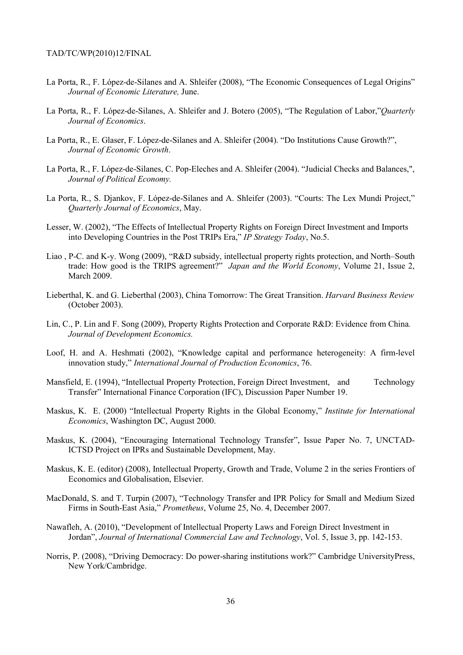- La Porta, R., F. López-de-Silanes and A. Shleifer (2008), "The Economic Consequences of Legal Origins" *Journal of Economic Literature,* June.
- La Porta, R., F. López-de-Silanes, A. Shleifer and J. Botero (2005), "The Regulation of Labor,"*Quarterly Journal of Economics*.
- La Porta, R., E. Glaser, F. López-de-Silanes and A. Shleifer (2004). "Do Institutions Cause Growth?", *Journal of Economic Growth*.
- La Porta, R., F. López-de-Silanes, C. Pop-Eleches and A. Shleifer (2004). "Judicial Checks and Balances,", *Journal of Political Economy.*
- La Porta, R., S. Djankov, F. López-de-Silanes and A. Shleifer (2003). "Courts: The Lex Mundi Project," *Quarterly Journal of Economics*, May.
- Lesser, W. (2002), "The Effects of Intellectual Property Rights on Foreign Direct Investment and Imports into Developing Countries in the Post TRIPs Era," *IP Strategy Today*, No.5.
- Liao , P-C. and K-y. Wong (2009), "R&D subsidy, intellectual property rights protection, and North–South trade: How good is the TRIPS agreement?" *Japan and the World Economy*, Volume 21, Issue 2, March 2009.
- Lieberthal, K. and G. Lieberthal (2003), China Tomorrow: The Great Transition. *Harvard Business Review* (October 2003).
- Lin, C., P. Lin and F. Song (2009), Property Rights Protection and Corporate R&D: Evidence from China*. Journal of Development Economics.*
- Loof, H. and A. Heshmati (2002), "Knowledge capital and performance heterogeneity: A firm-level innovation study," *International Journal of Production Economics*, 76.
- Mansfield, E. (1994), "Intellectual Property Protection, Foreign Direct Investment, and Technology Transfer" International Finance Corporation (IFC), Discussion Paper Number 19.
- Maskus, K. E. (2000) "Intellectual Property Rights in the Global Economy," *Institute for International Economics*, Washington DC, August 2000.
- Maskus, K. (2004), "Encouraging International Technology Transfer", Issue Paper No. 7, UNCTAD-ICTSD Project on IPRs and Sustainable Development, May.
- Maskus, K. E. (editor) (2008), Intellectual Property, Growth and Trade, Volume 2 in the series Frontiers of Economics and Globalisation, Elsevier.
- MacDonald, S. and T. Turpin (2007), "Technology Transfer and IPR Policy for Small and Medium Sized Firms in South-East Asia," *Prometheus*, Volume 25, No. 4, December 2007.
- Nawafleh, A. (2010), "Development of Intellectual Property Laws and Foreign Direct Investment in Jordan", *Journal of International Commercial Law and Technology*, Vol. 5, Issue 3, pp. 142-153.
- Norris, P. (2008), "Driving Democracy: Do power-sharing institutions work?" Cambridge UniversityPress, New York/Cambridge.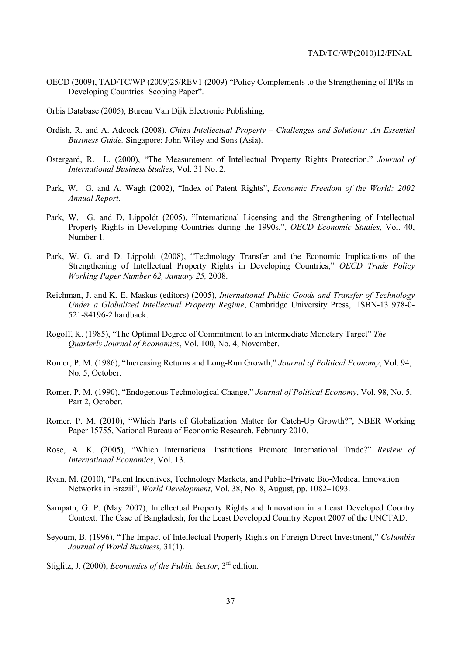- OECD (2009), TAD/TC/WP (2009)25/REV1 (2009) "Policy Complements to the Strengthening of IPRs in Developing Countries: Scoping Paper".
- Orbis Database (2005), Bureau Van Dijk Electronic Publishing.
- Ordish, R. and A. Adcock (2008), *China Intellectual Property Challenges and Solutions: An Essential Business Guide.* Singapore: John Wiley and Sons (Asia).
- Ostergard, R. L. (2000), "The Measurement of Intellectual Property Rights Protection." *Journal of International Business Studies*, Vol. 31 No. 2.
- Park, W. G. and A. Wagh (2002), "Index of Patent Rights", *Economic Freedom of the World: 2002 Annual Report.*
- Park, W. G. and D. Lippoldt (2005), "International Licensing and the Strengthening of Intellectual Property Rights in Developing Countries during the 1990s,", *OECD Economic Studies,* Vol. 40, Number 1.
- Park, W. G. and D. Lippoldt (2008), "Technology Transfer and the Economic Implications of the Strengthening of Intellectual Property Rights in Developing Countries," *OECD Trade Policy Working Paper Number 62, January 25,* 2008.
- Reichman, J. and K. E. Maskus (editors) (2005), *International Public Goods and Transfer of Technology Under a Globalized Intellectual Property Regime*, Cambridge University Press, ISBN-13 978-0- 521-84196-2 hardback.
- Rogoff, K. (1985), "The Optimal Degree of Commitment to an Intermediate Monetary Target" *The Quarterly Journal of Economics*, Vol. 100, No. 4, November.
- Romer, P. M. (1986), "Increasing Returns and Long-Run Growth," *Journal of Political Economy*, Vol. 94, No. 5, October.
- Romer, P. M. (1990), "Endogenous Technological Change," *Journal of Political Economy*, Vol. 98, No. 5, Part 2, October.
- Romer. P. M. (2010), "Which Parts of Globalization Matter for Catch-Up Growth?", NBER Working Paper 15755, National Bureau of Economic Research, February 2010.
- Rose, A. K. (2005), "Which International Institutions Promote International Trade?" *Review of International Economics*, Vol. 13.
- Ryan, M. (2010), "Patent Incentives, Technology Markets, and Public–Private Bio-Medical Innovation Networks in Brazil", *World Development*, Vol. 38, No. 8, August, pp. 1082–1093.
- Sampath, G. P. (May 2007), Intellectual Property Rights and Innovation in a Least Developed Country Context: The Case of Bangladesh; for the Least Developed Country Report 2007 of the UNCTAD.
- Seyoum, B. (1996), "The Impact of Intellectual Property Rights on Foreign Direct Investment," *Columbia Journal of World Business,* 31(1).
- Stiglitz, J. (2000), *Economics of the Public Sector*, 3rd edition.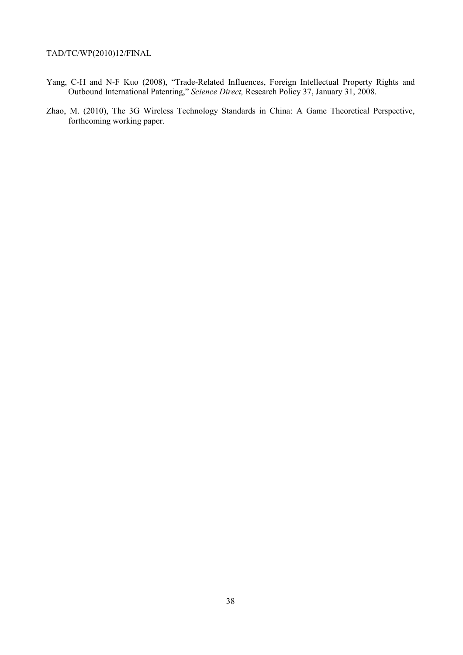- Yang, C-H and N-F Kuo (2008), "Trade-Related Influences, Foreign Intellectual Property Rights and Outbound International Patenting," *Science Direct,* Research Policy 37, January 31, 2008.
- Zhao, M. (2010), The 3G Wireless Technology Standards in China: A Game Theoretical Perspective, forthcoming working paper.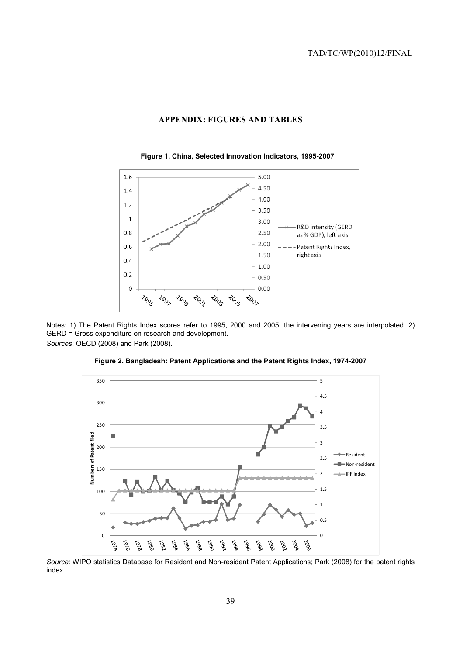



**Figure 1. China, Selected Innovation Indicators, 1995-2007** 

Notes: 1) The Patent Rights Index scores refer to 1995, 2000 and 2005; the intervening years are interpolated. 2) GERD = Gross expenditure on research and development. *Sources*: OECD (2008) and Park (2008).





*Source*: WIPO statistics Database for Resident and Non-resident Patent Applications; Park (2008) for the patent rights index.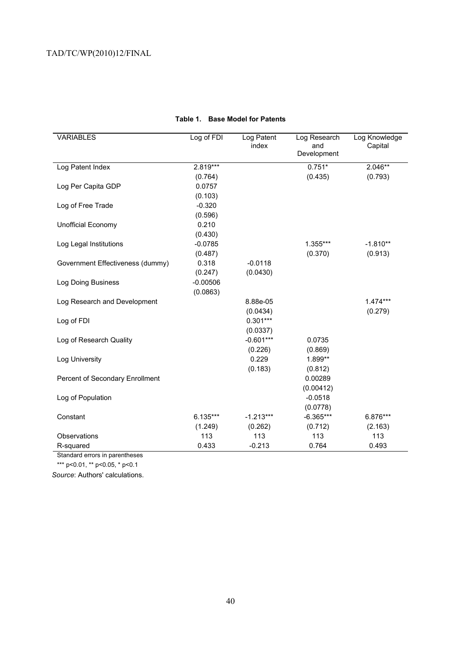| <b>VARIABLES</b>                 | Log of FDI | Log Patent  | Log Research       | Log Knowledge |
|----------------------------------|------------|-------------|--------------------|---------------|
|                                  |            | index       | and<br>Development | Capital       |
|                                  |            |             |                    |               |
| Log Patent Index                 | 2.819***   |             | $0.751*$           | $2.046**$     |
|                                  | (0.764)    |             | (0.435)            | (0.793)       |
| Log Per Capita GDP               | 0.0757     |             |                    |               |
|                                  | (0.103)    |             |                    |               |
| Log of Free Trade                | $-0.320$   |             |                    |               |
|                                  | (0.596)    |             |                    |               |
| Unofficial Economy               | 0.210      |             |                    |               |
|                                  | (0.430)    |             |                    |               |
| Log Legal Institutions           | $-0.0785$  |             | 1.355***           | $-1.810**$    |
|                                  | (0.487)    |             | (0.370)            | (0.913)       |
| Government Effectiveness (dummy) | 0.318      | $-0.0118$   |                    |               |
|                                  | (0.247)    | (0.0430)    |                    |               |
| Log Doing Business               | $-0.00506$ |             |                    |               |
|                                  | (0.0863)   |             |                    |               |
| Log Research and Development     |            | 8.88e-05    |                    | $1.474***$    |
|                                  |            | (0.0434)    |                    | (0.279)       |
| Log of FDI                       |            | $0.301***$  |                    |               |
|                                  |            | (0.0337)    |                    |               |
| Log of Research Quality          |            | $-0.601***$ | 0.0735             |               |
|                                  |            | (0.226)     | (0.869)            |               |
| Log University                   |            | 0.229       | 1.899**            |               |
|                                  |            | (0.183)     | (0.812)            |               |
| Percent of Secondary Enrollment  |            |             | 0.00289            |               |
|                                  |            |             | (0.00412)          |               |
| Log of Population                |            |             | $-0.0518$          |               |
|                                  |            |             | (0.0778)           |               |
| Constant                         | 6.135***   | $-1.213***$ | $-6.365***$        | 6.876***      |
|                                  | (1.249)    | (0.262)     | (0.712)            | (2.163)       |
| Observations                     | 113        | 113         | 113                | 113           |
| R-squared                        | 0.433      | $-0.213$    | 0.764              | 0.493         |
|                                  |            |             |                    |               |

# **Table 1. Base Model for Patents**

Standard errors in parentheses

\*\*\* p<0.01, \*\* p<0.05, \* p<0.1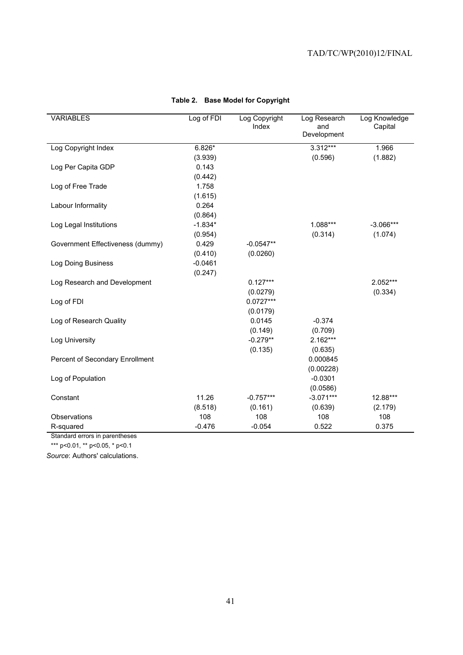| <b>VARIABLES</b>                 | Log of FDI | Log Copyright<br>Index | Log Research<br>and | Log Knowledge<br>Capital |
|----------------------------------|------------|------------------------|---------------------|--------------------------|
|                                  |            |                        | Development         |                          |
| Log Copyright Index              | $6.826*$   |                        | 3.312***            | 1.966                    |
|                                  | (3.939)    |                        | (0.596)             | (1.882)                  |
| Log Per Capita GDP               | 0.143      |                        |                     |                          |
|                                  | (0.442)    |                        |                     |                          |
| Log of Free Trade                | 1.758      |                        |                     |                          |
|                                  | (1.615)    |                        |                     |                          |
| Labour Informality               | 0.264      |                        |                     |                          |
|                                  | (0.864)    |                        |                     |                          |
| Log Legal Institutions           | $-1.834*$  |                        | 1.088***            | $-3.066***$              |
|                                  | (0.954)    |                        | (0.314)             | (1.074)                  |
| Government Effectiveness (dummy) | 0.429      | $-0.0547**$            |                     |                          |
|                                  | (0.410)    | (0.0260)               |                     |                          |
| Log Doing Business               | $-0.0461$  |                        |                     |                          |
|                                  | (0.247)    |                        |                     |                          |
| Log Research and Development     |            | $0.127***$             |                     | 2.052***                 |
|                                  |            | (0.0279)               |                     | (0.334)                  |
| Log of FDI                       |            | $0.0727***$            |                     |                          |
|                                  |            | (0.0179)               |                     |                          |
| Log of Research Quality          |            | 0.0145                 | $-0.374$            |                          |
|                                  |            | (0.149)                | (0.709)             |                          |
| Log University                   |            | $-0.279**$             | 2.162***            |                          |
|                                  |            | (0.135)                | (0.635)             |                          |
| Percent of Secondary Enrollment  |            |                        | 0.000845            |                          |
|                                  |            |                        | (0.00228)           |                          |
| Log of Population                |            |                        | $-0.0301$           |                          |
|                                  |            |                        | (0.0586)            |                          |
| Constant                         | 11.26      | $-0.757***$            | $-3.071***$         | 12.88***                 |
|                                  | (8.518)    | (0.161)                | (0.639)             | (2.179)                  |
| Observations                     | 108        | 108                    | 108                 | 108                      |
| R-squared                        | $-0.476$   | $-0.054$               | 0.522               | 0.375                    |

# **Table 2. Base Model for Copyright**

Standard errors in parentheses

\*\*\* p<0.01, \*\* p<0.05, \* p<0.1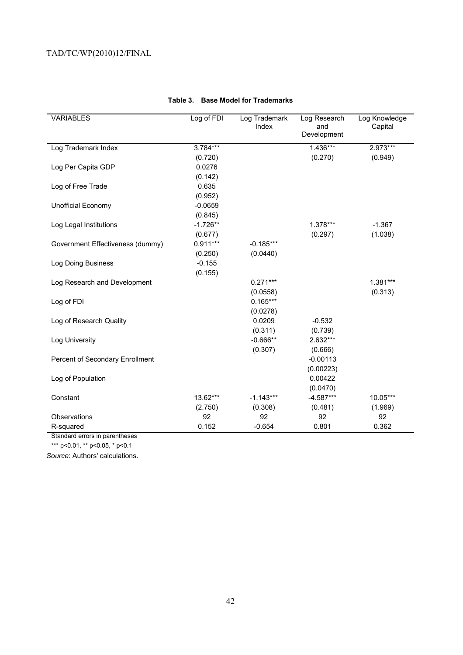| <b>VARIABLES</b>                 | Log of FDI | Log Trademark<br>Index | Log Research<br>and<br>Development | Log Knowledge<br>Capital |
|----------------------------------|------------|------------------------|------------------------------------|--------------------------|
| Log Trademark Index              | 3.784***   |                        | $1.436***$                         | 2.973***                 |
|                                  | (0.720)    |                        | (0.270)                            | (0.949)                  |
| Log Per Capita GDP               | 0.0276     |                        |                                    |                          |
|                                  | (0.142)    |                        |                                    |                          |
| Log of Free Trade                | 0.635      |                        |                                    |                          |
|                                  | (0.952)    |                        |                                    |                          |
| <b>Unofficial Economy</b>        | $-0.0659$  |                        |                                    |                          |
|                                  | (0.845)    |                        |                                    |                          |
| Log Legal Institutions           | $-1.726**$ |                        | 1.378***                           | $-1.367$                 |
|                                  | (0.677)    |                        | (0.297)                            | (1.038)                  |
| Government Effectiveness (dummy) | $0.911***$ | $-0.185***$            |                                    |                          |
|                                  | (0.250)    | (0.0440)               |                                    |                          |
| Log Doing Business               | $-0.155$   |                        |                                    |                          |
|                                  | (0.155)    |                        |                                    |                          |
| Log Research and Development     |            | $0.271***$             |                                    | 1.381***                 |
|                                  |            | (0.0558)               |                                    | (0.313)                  |
| Log of FDI                       |            | $0.165***$             |                                    |                          |
|                                  |            | (0.0278)               |                                    |                          |
| Log of Research Quality          |            | 0.0209                 | $-0.532$                           |                          |
|                                  |            | (0.311)                | (0.739)                            |                          |
| Log University                   |            | $-0.666**$             | 2.632***                           |                          |
|                                  |            | (0.307)                | (0.666)                            |                          |
| Percent of Secondary Enrollment  |            |                        | $-0.00113$                         |                          |
|                                  |            |                        | (0.00223)                          |                          |
| Log of Population                |            |                        | 0.00422                            |                          |
|                                  |            |                        | (0.0470)                           |                          |
| Constant                         | 13.62***   | $-1.143***$            | $-4.587***$                        | 10.05***                 |
|                                  | (2.750)    | (0.308)                | (0.481)                            | (1.969)                  |
| Observations                     | 92         | 92                     | 92                                 | 92                       |
| R-squared                        | 0.152      | $-0.654$               | 0.801                              | 0.362                    |

# **Table 3. Base Model for Trademarks**

Standard errors in parentheses

\*\*\* p<0.01, \*\* p<0.05, \* p<0.1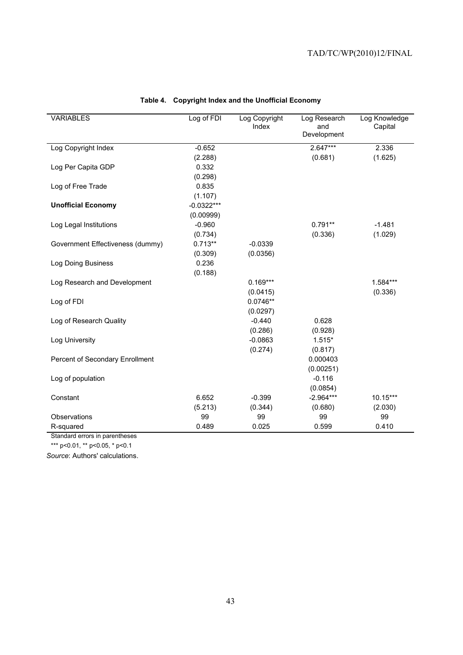| <b>VARIABLES</b>                 | Log of FDI   | Log Copyright<br>Index | Log Research<br>and | Log Knowledge<br>Capital |
|----------------------------------|--------------|------------------------|---------------------|--------------------------|
|                                  |              |                        | Development         |                          |
| Log Copyright Index              | $-0.652$     |                        | $2.647***$          | 2.336                    |
|                                  | (2.288)      |                        | (0.681)             | (1.625)                  |
| Log Per Capita GDP               | 0.332        |                        |                     |                          |
|                                  | (0.298)      |                        |                     |                          |
| Log of Free Trade                | 0.835        |                        |                     |                          |
|                                  | (1.107)      |                        |                     |                          |
| <b>Unofficial Economy</b>        | $-0.0322***$ |                        |                     |                          |
|                                  | (0.00999)    |                        |                     |                          |
| Log Legal Institutions           | $-0.960$     |                        | $0.791**$           | $-1.481$                 |
|                                  | (0.734)      |                        | (0.336)             | (1.029)                  |
| Government Effectiveness (dummy) | $0.713**$    | $-0.0339$              |                     |                          |
|                                  | (0.309)      | (0.0356)               |                     |                          |
| Log Doing Business               | 0.236        |                        |                     |                          |
|                                  | (0.188)      |                        |                     |                          |
| Log Research and Development     |              | $0.169***$             |                     | 1.584***                 |
|                                  |              | (0.0415)               |                     | (0.336)                  |
| Log of FDI                       |              | $0.0746**$             |                     |                          |
|                                  |              | (0.0297)               |                     |                          |
| Log of Research Quality          |              | $-0.440$               | 0.628               |                          |
|                                  |              | (0.286)                | (0.928)             |                          |
| Log University                   |              | $-0.0863$              | $1.515*$            |                          |
|                                  |              | (0.274)                | (0.817)             |                          |
| Percent of Secondary Enrollment  |              |                        | 0.000403            |                          |
|                                  |              |                        | (0.00251)           |                          |
| Log of population                |              |                        | $-0.116$            |                          |
|                                  |              |                        | (0.0854)            |                          |
| Constant                         | 6.652        | $-0.399$               | $-2.964***$         | 10.15***                 |
|                                  | (5.213)      | (0.344)                | (0.680)             | (2.030)                  |
| Observations                     | 99           | 99                     | 99                  | 99                       |
| R-squared                        | 0.489        | 0.025                  | 0.599               | 0.410                    |

# **Table 4. Copyright Index and the Unofficial Economy**

Standard errors in parentheses

\*\*\* p<0.01, \*\* p<0.05, \* p<0.1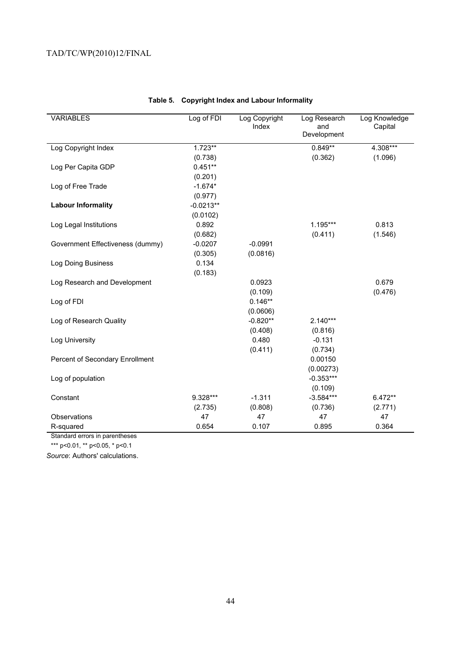| <b>VARIABLES</b>                 | Log of FDI  | Log Copyright<br>Index | Log Research<br>and<br>Development | Log Knowledge<br>Capital |
|----------------------------------|-------------|------------------------|------------------------------------|--------------------------|
| Log Copyright Index              | $1.723**$   |                        | $0.849**$                          | 4.308***                 |
|                                  | (0.738)     |                        | (0.362)                            | (1.096)                  |
| Log Per Capita GDP               | $0.451**$   |                        |                                    |                          |
|                                  | (0.201)     |                        |                                    |                          |
| Log of Free Trade                | $-1.674*$   |                        |                                    |                          |
|                                  | (0.977)     |                        |                                    |                          |
| <b>Labour Informality</b>        | $-0.0213**$ |                        |                                    |                          |
|                                  | (0.0102)    |                        |                                    |                          |
| Log Legal Institutions           | 0.892       |                        | 1.195***                           | 0.813                    |
|                                  | (0.682)     |                        | (0.411)                            | (1.546)                  |
| Government Effectiveness (dummy) | $-0.0207$   | $-0.0991$              |                                    |                          |
|                                  | (0.305)     | (0.0816)               |                                    |                          |
| Log Doing Business               | 0.134       |                        |                                    |                          |
|                                  | (0.183)     |                        |                                    |                          |
| Log Research and Development     |             | 0.0923                 |                                    | 0.679                    |
|                                  |             | (0.109)                |                                    | (0.476)                  |
| Log of FDI                       |             | $0.146**$              |                                    |                          |
|                                  |             | (0.0606)               |                                    |                          |
| Log of Research Quality          |             | $-0.820**$             | $2.140***$                         |                          |
|                                  |             | (0.408)                | (0.816)                            |                          |
| Log University                   |             | 0.480                  | $-0.131$                           |                          |
|                                  |             | (0.411)                | (0.734)                            |                          |
| Percent of Secondary Enrollment  |             |                        | 0.00150                            |                          |
|                                  |             |                        | (0.00273)                          |                          |
| Log of population                |             |                        | $-0.353***$                        |                          |
|                                  |             |                        | (0.109)                            |                          |
| Constant                         | 9.328***    | $-1.311$               | $-3.584***$                        | 6.472**                  |
|                                  | (2.735)     | (0.808)                | (0.736)                            | (2.771)                  |
| Observations                     | 47          | 47                     | 47                                 | 47                       |
| R-squared                        | 0.654       | 0.107                  | 0.895                              | 0.364                    |

# **Table 5. Copyright Index and Labour Informality**

Standard errors in parentheses

\*\*\* p<0.01, \*\* p<0.05, \* p<0.1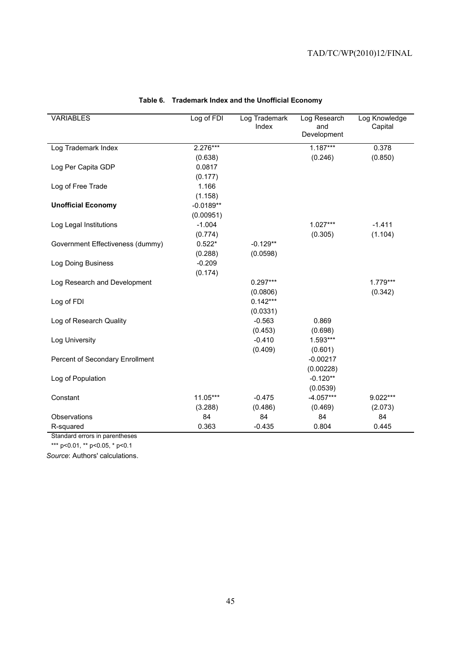| <b>VARIABLES</b>                 | Log of FDI  | Log Trademark | Log Research       | Log Knowledge |
|----------------------------------|-------------|---------------|--------------------|---------------|
|                                  |             | Index         | and<br>Development | Capital       |
|                                  |             |               |                    |               |
| Log Trademark Index              | 2.276***    |               | $1.187***$         | 0.378         |
|                                  | (0.638)     |               | (0.246)            | (0.850)       |
| Log Per Capita GDP               | 0.0817      |               |                    |               |
|                                  | (0.177)     |               |                    |               |
| Log of Free Trade                | 1.166       |               |                    |               |
|                                  | (1.158)     |               |                    |               |
| <b>Unofficial Economy</b>        | $-0.0189**$ |               |                    |               |
|                                  | (0.00951)   |               |                    |               |
| Log Legal Institutions           | $-1.004$    |               | 1.027***           | $-1.411$      |
|                                  | (0.774)     |               | (0.305)            | (1.104)       |
| Government Effectiveness (dummy) | $0.522*$    | $-0.129**$    |                    |               |
|                                  | (0.288)     | (0.0598)      |                    |               |
| Log Doing Business               | $-0.209$    |               |                    |               |
|                                  | (0.174)     |               |                    |               |
| Log Research and Development     |             | $0.297***$    |                    | 1.779***      |
|                                  |             | (0.0806)      |                    | (0.342)       |
| Log of FDI                       |             | $0.142***$    |                    |               |
|                                  |             | (0.0331)      |                    |               |
| Log of Research Quality          |             | $-0.563$      | 0.869              |               |
|                                  |             | (0.453)       | (0.698)            |               |
| Log University                   |             | $-0.410$      | 1.593***           |               |
|                                  |             | (0.409)       | (0.601)            |               |
| Percent of Secondary Enrollment  |             |               | $-0.00217$         |               |
|                                  |             |               | (0.00228)          |               |
| Log of Population                |             |               | $-0.120**$         |               |
|                                  |             |               | (0.0539)           |               |
| Constant                         | 11.05***    | $-0.475$      | $-4.057***$        | 9.022***      |
|                                  | (3.288)     | (0.486)       | (0.469)            | (2.073)       |
| Observations                     | 84          | 84            | 84                 | 84            |
| R-squared                        | 0.363       | $-0.435$      | 0.804              | 0.445         |

## **Table 6. Trademark Index and the Unofficial Economy**

Standard errors in parentheses

\*\*\* p<0.01, \*\* p<0.05, \* p<0.1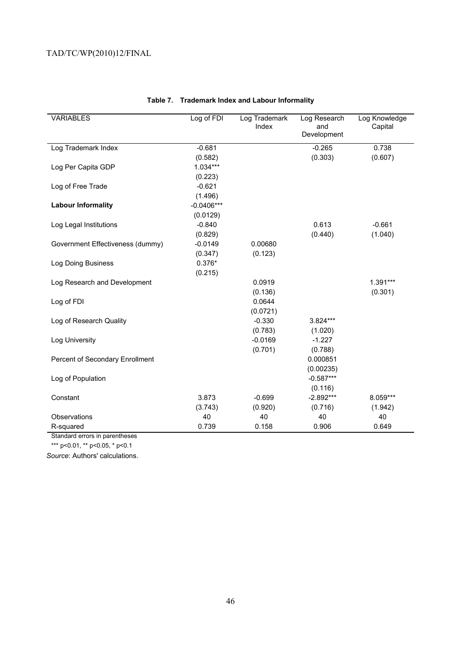| <b>VARIABLES</b>                 | Log of FDI   | Log Trademark<br>Index | Log Research<br>and<br>Development | Log Knowledge<br>Capital |
|----------------------------------|--------------|------------------------|------------------------------------|--------------------------|
| Log Trademark Index              | $-0.681$     |                        | $-0.265$                           | 0.738                    |
|                                  | (0.582)      |                        | (0.303)                            | (0.607)                  |
| Log Per Capita GDP               | $1.034***$   |                        |                                    |                          |
|                                  | (0.223)      |                        |                                    |                          |
| Log of Free Trade                | $-0.621$     |                        |                                    |                          |
|                                  | (1.496)      |                        |                                    |                          |
| <b>Labour Informality</b>        | $-0.0406***$ |                        |                                    |                          |
|                                  | (0.0129)     |                        |                                    |                          |
| Log Legal Institutions           | $-0.840$     |                        | 0.613                              | $-0.661$                 |
|                                  | (0.829)      |                        | (0.440)                            | (1.040)                  |
| Government Effectiveness (dummy) | $-0.0149$    | 0.00680                |                                    |                          |
|                                  | (0.347)      | (0.123)                |                                    |                          |
| Log Doing Business               | $0.376*$     |                        |                                    |                          |
|                                  | (0.215)      |                        |                                    |                          |
| Log Research and Development     |              | 0.0919                 |                                    | 1.391***                 |
|                                  |              | (0.136)                |                                    | (0.301)                  |
| Log of FDI                       |              | 0.0644                 |                                    |                          |
|                                  |              | (0.0721)               |                                    |                          |
| Log of Research Quality          |              | $-0.330$               | $3.824***$                         |                          |
|                                  |              | (0.783)                | (1.020)                            |                          |
| Log University                   |              | $-0.0169$              | $-1.227$                           |                          |
|                                  |              | (0.701)                | (0.788)                            |                          |
| Percent of Secondary Enrollment  |              |                        | 0.000851                           |                          |
|                                  |              |                        | (0.00235)                          |                          |
| Log of Population                |              |                        | $-0.587***$                        |                          |
|                                  |              |                        | (0.116)                            |                          |
| Constant                         | 3.873        | $-0.699$               | $-2.892***$                        | 8.059***                 |
|                                  | (3.743)      | (0.920)                | (0.716)                            | (1.942)                  |
| Observations                     | 40           | 40                     | 40                                 | 40                       |
| R-squared                        | 0.739        | 0.158                  | 0.906                              | 0.649                    |

# **Table 7. Trademark Index and Labour Informality**

Standard errors in parentheses

\*\*\* p<0.01, \*\* p<0.05, \* p<0.1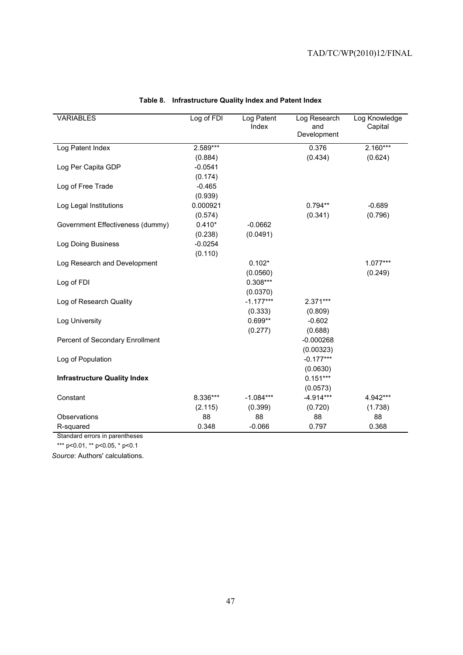| <b>VARIABLES</b>                    | Log of FDI | Log Patent<br>Index | Log Research<br>and<br>Development | Log Knowledge<br>Capital |
|-------------------------------------|------------|---------------------|------------------------------------|--------------------------|
| Log Patent Index                    | $2.589***$ |                     | 0.376                              | $2.160***$               |
|                                     | (0.884)    |                     | (0.434)                            | (0.624)                  |
| Log Per Capita GDP                  | $-0.0541$  |                     |                                    |                          |
|                                     | (0.174)    |                     |                                    |                          |
| Log of Free Trade                   | $-0.465$   |                     |                                    |                          |
|                                     | (0.939)    |                     |                                    |                          |
| Log Legal Institutions              | 0.000921   |                     | $0.794**$                          | $-0.689$                 |
|                                     | (0.574)    |                     | (0.341)                            | (0.796)                  |
| Government Effectiveness (dummy)    | $0.410*$   | $-0.0662$           |                                    |                          |
|                                     | (0.238)    | (0.0491)            |                                    |                          |
| Log Doing Business                  | $-0.0254$  |                     |                                    |                          |
|                                     | (0.110)    |                     |                                    |                          |
| Log Research and Development        |            | $0.102*$            |                                    | $1.077***$               |
|                                     |            | (0.0560)            |                                    | (0.249)                  |
| Log of FDI                          |            | $0.308***$          |                                    |                          |
|                                     |            | (0.0370)            |                                    |                          |
| Log of Research Quality             |            | $-1.177***$         | $2.371***$                         |                          |
|                                     |            | (0.333)             | (0.809)                            |                          |
| Log University                      |            | $0.699**$           | $-0.602$                           |                          |
|                                     |            | (0.277)             | (0.688)                            |                          |
| Percent of Secondary Enrollment     |            |                     | $-0.000268$                        |                          |
|                                     |            |                     | (0.00323)                          |                          |
| Log of Population                   |            |                     | $-0.177***$                        |                          |
|                                     |            |                     | (0.0630)                           |                          |
| <b>Infrastructure Quality Index</b> |            |                     | $0.151***$                         |                          |
|                                     |            |                     | (0.0573)                           |                          |
| Constant                            | 8.336***   | $-1.084***$         | $-4.914***$                        | 4.942***                 |
|                                     | (2.115)    | (0.399)             | (0.720)                            | (1.738)                  |
| Observations                        | 88         | 88                  | 88                                 | 88                       |
| R-squared                           | 0.348      | $-0.066$            | 0.797                              | 0.368                    |

# **Table 8. Infrastructure Quality Index and Patent Index**

Standard errors in parentheses

\*\*\* p<0.01, \*\* p<0.05, \* p<0.1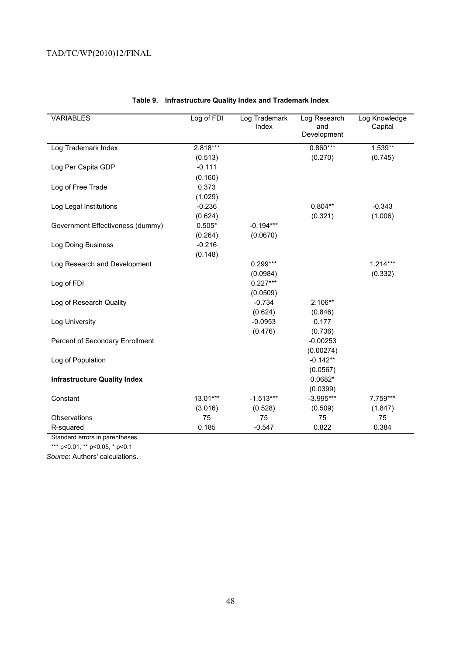| <b>VARIABLES</b>                    | Log of FDI | Log Trademark<br>Index | Log Research<br>and | Log Knowledge<br>Capital |
|-------------------------------------|------------|------------------------|---------------------|--------------------------|
|                                     |            |                        | Development         |                          |
| Log Trademark Index                 | 2.818***   |                        | $0.860***$          | 1.539**                  |
|                                     | (0.513)    |                        | (0.270)             | (0.745)                  |
| Log Per Capita GDP                  | $-0.111$   |                        |                     |                          |
|                                     | (0.160)    |                        |                     |                          |
| Log of Free Trade                   | 0.373      |                        |                     |                          |
|                                     | (1.029)    |                        |                     |                          |
| Log Legal Institutions              | $-0.236$   |                        | $0.804**$           | $-0.343$                 |
|                                     | (0.624)    |                        | (0.321)             | (1.006)                  |
| Government Effectiveness (dummy)    | $0.505*$   | $-0.194***$            |                     |                          |
|                                     | (0.264)    | (0.0670)               |                     |                          |
| Log Doing Business                  | $-0.216$   |                        |                     |                          |
|                                     | (0.148)    |                        |                     |                          |
| Log Research and Development        |            | $0.299***$             |                     | $1.214***$               |
|                                     |            | (0.0984)               |                     | (0.332)                  |
| Log of FDI                          |            | $0.227***$             |                     |                          |
|                                     |            | (0.0509)               |                     |                          |
| Log of Research Quality             |            | $-0.734$               | 2.106**             |                          |
|                                     |            | (0.624)                | (0.846)             |                          |
| Log University                      |            | $-0.0953$              | 0.177               |                          |
|                                     |            | (0.476)                | (0.736)             |                          |
| Percent of Secondary Enrollment     |            |                        | $-0.00253$          |                          |
|                                     |            |                        | (0.00274)           |                          |
| Log of Population                   |            |                        | $-0.142**$          |                          |
|                                     |            |                        | (0.0567)            |                          |
| <b>Infrastructure Quality Index</b> |            |                        | $0.0682*$           |                          |
|                                     |            |                        | (0.0399)            |                          |
| Constant                            | $13.01***$ | $-1.513***$            | $-3.995***$         | 7.759***                 |
|                                     | (3.016)    | (0.528)                | (0.509)             | (1.847)                  |
| Observations                        | 75         | 75                     | 75                  | 75                       |
| R-squared                           | 0.185      | $-0.547$               | 0.822               | 0.384                    |

# **Table 9. Infrastructure Quality Index and Trademark Index**

Standard errors in parentheses

\*\*\* p<0.01, \*\* p<0.05, \* p<0.1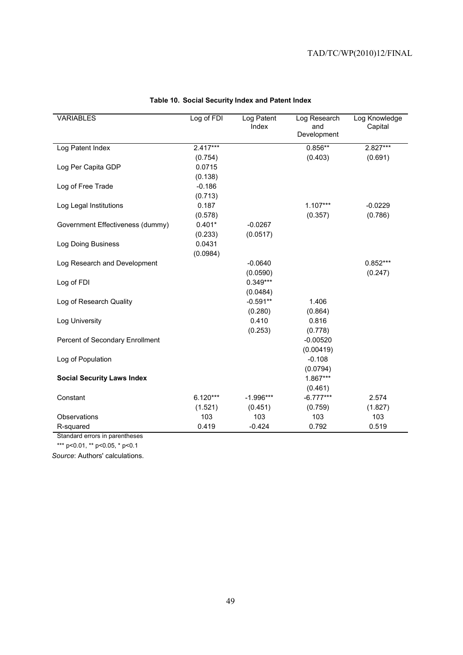| <b>VARIABLES</b>                  | Log of FDI | Log Patent<br>Index | Log Research<br>and<br>Development | Log Knowledge<br>Capital |
|-----------------------------------|------------|---------------------|------------------------------------|--------------------------|
| Log Patent Index                  | $2.417***$ |                     | $0.856**$                          | 2.827***                 |
|                                   | (0.754)    |                     | (0.403)                            | (0.691)                  |
| Log Per Capita GDP                | 0.0715     |                     |                                    |                          |
|                                   | (0.138)    |                     |                                    |                          |
| Log of Free Trade                 | $-0.186$   |                     |                                    |                          |
|                                   | (0.713)    |                     |                                    |                          |
| Log Legal Institutions            | 0.187      |                     | $1.107***$                         | $-0.0229$                |
|                                   | (0.578)    |                     | (0.357)                            | (0.786)                  |
| Government Effectiveness (dummy)  | $0.401*$   | $-0.0267$           |                                    |                          |
|                                   | (0.233)    | (0.0517)            |                                    |                          |
| Log Doing Business                | 0.0431     |                     |                                    |                          |
|                                   | (0.0984)   |                     |                                    |                          |
| Log Research and Development      |            | $-0.0640$           |                                    | $0.852***$               |
|                                   |            | (0.0590)            |                                    | (0.247)                  |
| Log of FDI                        |            | $0.349***$          |                                    |                          |
|                                   |            | (0.0484)            |                                    |                          |
| Log of Research Quality           |            | $-0.591**$          | 1.406                              |                          |
|                                   |            | (0.280)             | (0.864)                            |                          |
| Log University                    |            | 0.410               | 0.816                              |                          |
|                                   |            | (0.253)             | (0.778)                            |                          |
| Percent of Secondary Enrollment   |            |                     | $-0.00520$                         |                          |
|                                   |            |                     | (0.00419)                          |                          |
| Log of Population                 |            |                     | $-0.108$                           |                          |
|                                   |            |                     | (0.0794)                           |                          |
| <b>Social Security Laws Index</b> |            |                     | 1.867***                           |                          |
|                                   |            |                     | (0.461)                            |                          |
| Constant                          | $6.120***$ | $-1.996***$         | $-6.777***$                        | 2.574                    |
|                                   | (1.521)    | (0.451)             | (0.759)                            | (1.827)                  |
| Observations                      | 103        | 103                 | 103                                | 103                      |
| R-squared                         | 0.419      | $-0.424$            | 0.792                              | 0.519                    |

# **Table 10. Social Security Index and Patent Index**

Standard errors in parentheses

\*\*\* p<0.01, \*\* p<0.05, \* p<0.1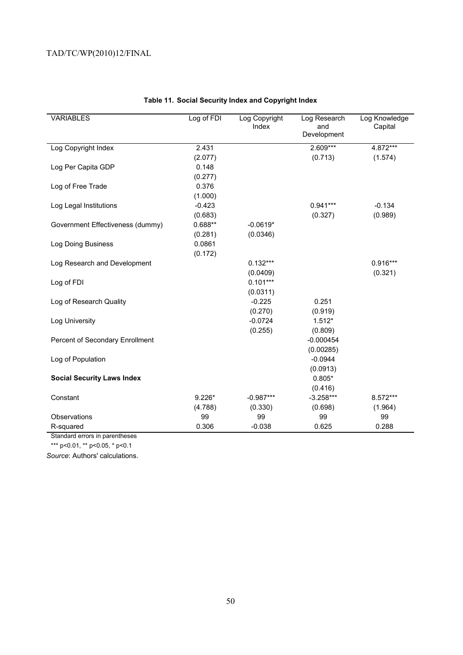| <b>VARIABLES</b>                  | Log of FDI | Log Copyright<br>Index | Log Research<br>and<br>Development | Log Knowledge<br>Capital |
|-----------------------------------|------------|------------------------|------------------------------------|--------------------------|
| Log Copyright Index               | 2.431      |                        | 2.609***                           | 4.872***                 |
|                                   | (2.077)    |                        | (0.713)                            | (1.574)                  |
| Log Per Capita GDP                | 0.148      |                        |                                    |                          |
|                                   | (0.277)    |                        |                                    |                          |
| Log of Free Trade                 | 0.376      |                        |                                    |                          |
|                                   | (1.000)    |                        |                                    |                          |
| Log Legal Institutions            | $-0.423$   |                        | $0.941***$                         | $-0.134$                 |
|                                   | (0.683)    |                        | (0.327)                            | (0.989)                  |
| Government Effectiveness (dummy)  | $0.688**$  | $-0.0619*$             |                                    |                          |
|                                   | (0.281)    | (0.0346)               |                                    |                          |
| Log Doing Business                | 0.0861     |                        |                                    |                          |
|                                   | (0.172)    |                        |                                    |                          |
| Log Research and Development      |            | $0.132***$             |                                    | $0.916***$               |
|                                   |            | (0.0409)               |                                    | (0.321)                  |
| Log of FDI                        |            | $0.101***$             |                                    |                          |
|                                   |            | (0.0311)               |                                    |                          |
| Log of Research Quality           |            | $-0.225$               | 0.251                              |                          |
|                                   |            | (0.270)                | (0.919)                            |                          |
| Log University                    |            | $-0.0724$              | $1.512*$                           |                          |
|                                   |            | (0.255)                | (0.809)                            |                          |
| Percent of Secondary Enrollment   |            |                        | $-0.000454$                        |                          |
|                                   |            |                        | (0.00285)                          |                          |
| Log of Population                 |            |                        | $-0.0944$                          |                          |
|                                   |            |                        | (0.0913)                           |                          |
| <b>Social Security Laws Index</b> |            |                        | $0.805*$                           |                          |
|                                   |            |                        | (0.416)                            |                          |
| Constant                          | $9.226*$   | $-0.987***$            | $-3.258***$                        | 8.572***                 |
|                                   | (4.788)    | (0.330)                | (0.698)                            | (1.964)                  |
| Observations                      | 99         | 99                     | 99                                 | 99                       |
| R-squared                         | 0.306      | $-0.038$               | 0.625                              | 0.288                    |

# **Table 11. Social Security Index and Copyright Index**

Standard errors in parentheses

\*\*\* p<0.01, \*\* p<0.05, \* p<0.1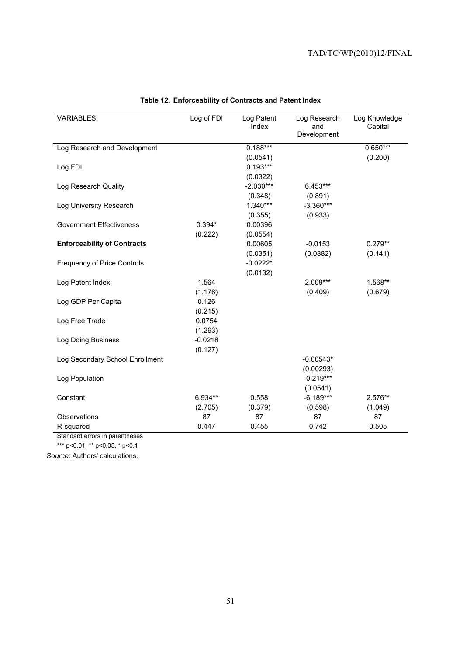| <b>VARIABLES</b>                   | Log of FDI | Log Patent<br>Index | Log Research<br>and | Log Knowledge<br>Capital |
|------------------------------------|------------|---------------------|---------------------|--------------------------|
|                                    |            |                     | Development         |                          |
| Log Research and Development       |            | $0.188***$          |                     | $0.650***$               |
|                                    |            | (0.0541)            |                     | (0.200)                  |
| Log FDI                            |            | $0.193***$          |                     |                          |
|                                    |            | (0.0322)            |                     |                          |
| Log Research Quality               |            | $-2.030***$         | $6.453***$          |                          |
|                                    |            | (0.348)             | (0.891)             |                          |
| Log University Research            |            | $1.340***$          | $-3.360***$         |                          |
|                                    |            | (0.355)             | (0.933)             |                          |
| <b>Government Effectiveness</b>    | $0.394*$   | 0.00396             |                     |                          |
|                                    | (0.222)    | (0.0554)            |                     |                          |
| <b>Enforceability of Contracts</b> |            | 0.00605             | $-0.0153$           | $0.279**$                |
|                                    |            | (0.0351)            | (0.0882)            | (0.141)                  |
| <b>Frequency of Price Controls</b> |            | $-0.0222*$          |                     |                          |
|                                    |            | (0.0132)            |                     |                          |
| Log Patent Index                   | 1.564      |                     | $2.009***$          | 1.568**                  |
|                                    | (1.178)    |                     | (0.409)             | (0.679)                  |
| Log GDP Per Capita                 | 0.126      |                     |                     |                          |
|                                    | (0.215)    |                     |                     |                          |
| Log Free Trade                     | 0.0754     |                     |                     |                          |
|                                    | (1.293)    |                     |                     |                          |
| Log Doing Business                 | $-0.0218$  |                     |                     |                          |
|                                    | (0.127)    |                     |                     |                          |
| Log Secondary School Enrollment    |            |                     | $-0.00543*$         |                          |
|                                    |            |                     | (0.00293)           |                          |
| Log Population                     |            |                     | $-0.219***$         |                          |
|                                    |            |                     | (0.0541)            |                          |
| Constant                           | $6.934**$  | 0.558               | $-6.189***$         | 2.576**                  |
|                                    | (2.705)    | (0.379)             | (0.598)             | (1.049)                  |
| Observations                       | 87         | 87                  | 87                  | 87                       |
| R-squared                          | 0.447      | 0.455               | 0.742               | 0.505                    |

# **Table 12. Enforceability of Contracts and Patent Index**

Standard errors in parentheses

\*\*\* p<0.01, \*\* p<0.05, \* p<0.1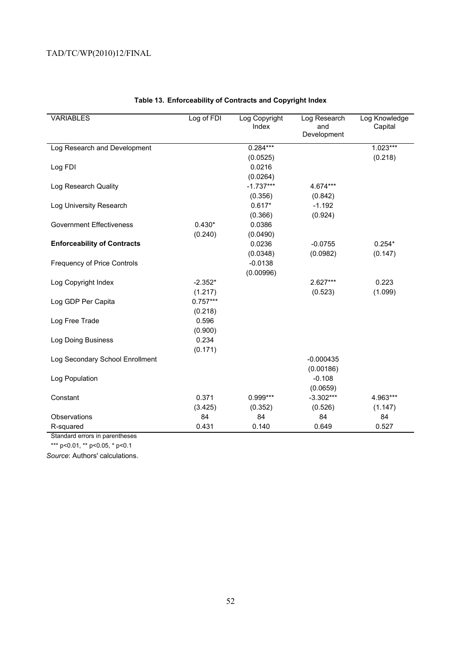| <b>VARIABLES</b>                   | Log of FDI | Log Copyright<br>Index | Log Research<br>and<br>Development | Log Knowledge<br>Capital |
|------------------------------------|------------|------------------------|------------------------------------|--------------------------|
| Log Research and Development       |            | $0.284***$             |                                    | $1.023***$               |
|                                    |            | (0.0525)               |                                    | (0.218)                  |
| Log FDI                            |            | 0.0216                 |                                    |                          |
|                                    |            | (0.0264)               |                                    |                          |
| Log Research Quality               |            | $-1.737***$            | 4.674***                           |                          |
|                                    |            | (0.356)                | (0.842)                            |                          |
| Log University Research            |            | $0.617*$               | $-1.192$                           |                          |
|                                    |            | (0.366)                | (0.924)                            |                          |
| <b>Government Effectiveness</b>    | $0.430*$   | 0.0386                 |                                    |                          |
|                                    | (0.240)    | (0.0490)               |                                    |                          |
| <b>Enforceability of Contracts</b> |            | 0.0236                 | $-0.0755$                          | $0.254*$                 |
|                                    |            | (0.0348)               | (0.0982)                           | (0.147)                  |
| <b>Frequency of Price Controls</b> |            | $-0.0138$              |                                    |                          |
|                                    |            | (0.00996)              |                                    |                          |
| Log Copyright Index                | $-2.352*$  |                        | 2.627***                           | 0.223                    |
|                                    | (1.217)    |                        | (0.523)                            | (1.099)                  |
| Log GDP Per Capita                 | $0.757***$ |                        |                                    |                          |
|                                    | (0.218)    |                        |                                    |                          |
| Log Free Trade                     | 0.596      |                        |                                    |                          |
|                                    | (0.900)    |                        |                                    |                          |
| Log Doing Business                 | 0.234      |                        |                                    |                          |
|                                    | (0.171)    |                        |                                    |                          |
| Log Secondary School Enrollment    |            |                        | $-0.000435$                        |                          |
|                                    |            |                        | (0.00186)                          |                          |
| Log Population                     |            |                        | $-0.108$                           |                          |
|                                    |            |                        | (0.0659)                           |                          |
| Constant                           | 0.371      | $0.999***$             | $-3.302***$                        | 4.963***                 |
|                                    | (3.425)    | (0.352)                | (0.526)                            | (1.147)                  |
| Observations                       | 84         | 84                     | 84                                 | 84                       |
| R-squared                          | 0.431      | 0.140                  | 0.649                              | 0.527                    |

# **Table 13. Enforceability of Contracts and Copyright Index**

Standard errors in parentheses

\*\*\* p<0.01, \*\* p<0.05, \* p<0.1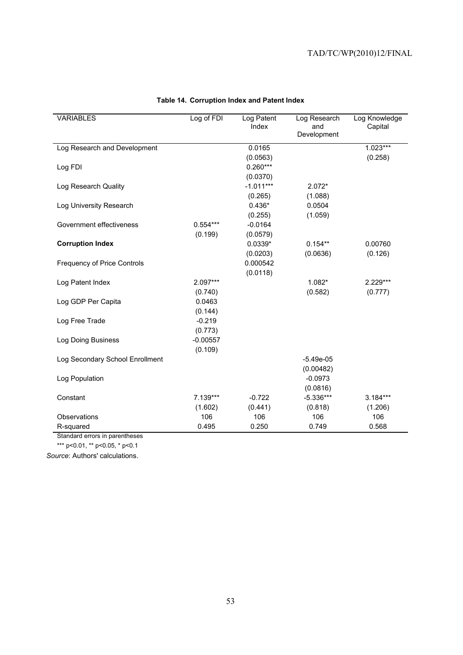| <b>VARIABLES</b>                   | Log of FDI | Log Patent<br>Index | Log Research<br>and | Log Knowledge<br>Capital |
|------------------------------------|------------|---------------------|---------------------|--------------------------|
|                                    |            |                     | Development         |                          |
| Log Research and Development       |            | 0.0165              |                     | $1.023***$               |
|                                    |            | (0.0563)            |                     | (0.258)                  |
| Log FDI                            |            | $0.260***$          |                     |                          |
|                                    |            | (0.0370)            |                     |                          |
| Log Research Quality               |            | $-1.011***$         | 2.072*              |                          |
|                                    |            | (0.265)             | (1.088)             |                          |
| Log University Research            |            | $0.436*$            | 0.0504              |                          |
|                                    |            | (0.255)             | (1.059)             |                          |
| Government effectiveness           | $0.554***$ | $-0.0164$           |                     |                          |
|                                    | (0.199)    | (0.0579)            |                     |                          |
| <b>Corruption Index</b>            |            | $0.0339*$           | $0.154**$           | 0.00760                  |
|                                    |            | (0.0203)            | (0.0636)            | (0.126)                  |
| <b>Frequency of Price Controls</b> |            | 0.000542            |                     |                          |
|                                    |            | (0.0118)            |                     |                          |
| Log Patent Index                   | 2.097***   |                     | 1.082*              | 2.229***                 |
|                                    | (0.740)    |                     | (0.582)             | (0.777)                  |
| Log GDP Per Capita                 | 0.0463     |                     |                     |                          |
|                                    | (0.144)    |                     |                     |                          |
| Log Free Trade                     | $-0.219$   |                     |                     |                          |
|                                    | (0.773)    |                     |                     |                          |
| Log Doing Business                 | $-0.00557$ |                     |                     |                          |
|                                    | (0.109)    |                     |                     |                          |
| Log Secondary School Enrollment    |            |                     | $-5.49e-05$         |                          |
|                                    |            |                     | (0.00482)           |                          |
| Log Population                     |            |                     | $-0.0973$           |                          |
|                                    |            |                     | (0.0816)            |                          |
| Constant                           | 7.139***   | $-0.722$            | $-5.336***$         | 3.184***                 |
|                                    | (1.602)    | (0.441)             | (0.818)             | (1.206)                  |
| Observations                       | 106        | 106                 | 106                 | 106                      |
| R-squared                          | 0.495      | 0.250               | 0.749               | 0.568                    |

# **Table 14. Corruption Index and Patent Index**

Standard errors in parentheses

\*\*\* p<0.01, \*\* p<0.05, \* p<0.1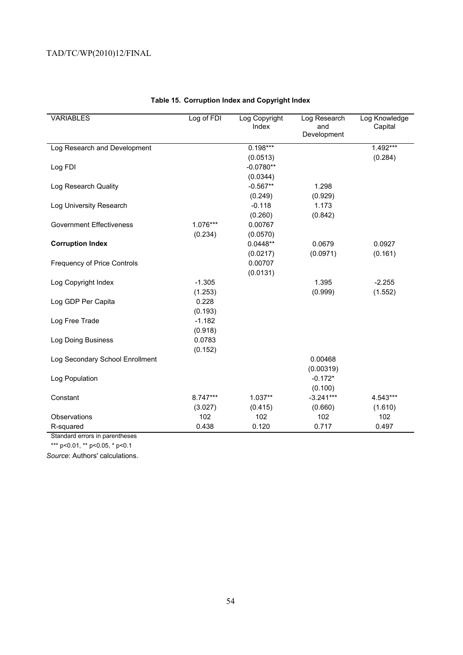| <b>VARIABLES</b>                   | Log of FDI | Log Copyright<br>Index | Log Research<br>and<br>Development | Log Knowledge<br>Capital |
|------------------------------------|------------|------------------------|------------------------------------|--------------------------|
| Log Research and Development       |            | $0.198***$             |                                    | $1.492***$               |
|                                    |            | (0.0513)               |                                    | (0.284)                  |
| Log FDI                            |            | $-0.0780**$            |                                    |                          |
|                                    |            | (0.0344)               |                                    |                          |
| Log Research Quality               |            | $-0.567**$             | 1.298                              |                          |
|                                    |            | (0.249)                | (0.929)                            |                          |
| Log University Research            |            | $-0.118$               | 1.173                              |                          |
|                                    |            | (0.260)                | (0.842)                            |                          |
| <b>Government Effectiveness</b>    | 1.076***   | 0.00767                |                                    |                          |
|                                    | (0.234)    | (0.0570)               |                                    |                          |
| <b>Corruption Index</b>            |            | $0.0448**$             | 0.0679                             | 0.0927                   |
|                                    |            | (0.0217)               | (0.0971)                           | (0.161)                  |
| <b>Frequency of Price Controls</b> |            | 0.00707                |                                    |                          |
|                                    |            | (0.0131)               |                                    |                          |
| Log Copyright Index                | $-1.305$   |                        | 1.395                              | $-2.255$                 |
|                                    | (1.253)    |                        | (0.999)                            | (1.552)                  |
| Log GDP Per Capita                 | 0.228      |                        |                                    |                          |
|                                    | (0.193)    |                        |                                    |                          |
| Log Free Trade                     | $-1.182$   |                        |                                    |                          |
|                                    | (0.918)    |                        |                                    |                          |
| Log Doing Business                 | 0.0783     |                        |                                    |                          |
|                                    | (0.152)    |                        |                                    |                          |
| Log Secondary School Enrollment    |            |                        | 0.00468                            |                          |
|                                    |            |                        | (0.00319)                          |                          |
| Log Population                     |            |                        | $-0.172*$                          |                          |
|                                    |            |                        | (0.100)                            |                          |
| Constant                           | $8.747***$ | $1.037**$              | $-3.241***$                        | 4.543***                 |
|                                    | (3.027)    | (0.415)                | (0.660)                            | (1.610)                  |
| Observations                       | 102        | 102                    | 102                                | 102                      |
| R-squared                          | 0.438      | 0.120                  | 0.717                              | 0.497                    |

# **Table 15. Corruption Index and Copyright Index**

Standard errors in parentheses

\*\*\* p<0.01, \*\* p<0.05, \* p<0.1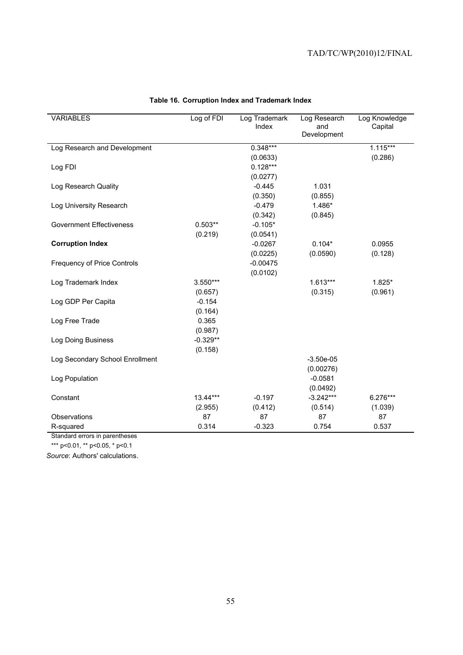| <b>VARIABLES</b>                   | Log of FDI | Log Trademark<br>Index | Log Research<br>and | Log Knowledge<br>Capital |
|------------------------------------|------------|------------------------|---------------------|--------------------------|
|                                    |            |                        | Development         |                          |
| Log Research and Development       |            | $0.348***$             |                     | $1.115***$               |
|                                    |            | (0.0633)               |                     | (0.286)                  |
| Log FDI                            |            | $0.128***$             |                     |                          |
|                                    |            | (0.0277)               |                     |                          |
| Log Research Quality               |            | $-0.445$               | 1.031               |                          |
|                                    |            | (0.350)                | (0.855)             |                          |
| Log University Research            |            | $-0.479$               | 1.486*              |                          |
|                                    |            | (0.342)                | (0.845)             |                          |
| <b>Government Effectiveness</b>    | $0.503**$  | $-0.105*$              |                     |                          |
|                                    | (0.219)    | (0.0541)               |                     |                          |
| <b>Corruption Index</b>            |            | $-0.0267$              | $0.104*$            | 0.0955                   |
|                                    |            | (0.0225)               | (0.0590)            | (0.128)                  |
| <b>Frequency of Price Controls</b> |            | $-0.00475$             |                     |                          |
|                                    |            | (0.0102)               |                     |                          |
| Log Trademark Index                | $3.550***$ |                        | $1.613***$          | $1.825*$                 |
|                                    | (0.657)    |                        | (0.315)             | (0.961)                  |
| Log GDP Per Capita                 | $-0.154$   |                        |                     |                          |
|                                    | (0.164)    |                        |                     |                          |
| Log Free Trade                     | 0.365      |                        |                     |                          |
|                                    | (0.987)    |                        |                     |                          |
| Log Doing Business                 | $-0.329**$ |                        |                     |                          |
|                                    | (0.158)    |                        |                     |                          |
| Log Secondary School Enrollment    |            |                        | $-3.50e-05$         |                          |
|                                    |            |                        | (0.00276)           |                          |
| Log Population                     |            |                        | $-0.0581$           |                          |
|                                    |            |                        | (0.0492)            |                          |
| Constant                           | $13.44***$ | $-0.197$               | $-3.242***$         | 6.276***                 |
|                                    | (2.955)    | (0.412)                | (0.514)             | (1.039)                  |
| Observations                       | 87         | 87                     | 87                  | 87                       |
| R-squared                          | 0.314      | $-0.323$               | 0.754               | 0.537                    |

# **Table 16. Corruption Index and Trademark Index**

Standard errors in parentheses

\*\*\* p<0.01, \*\* p<0.05, \* p<0.1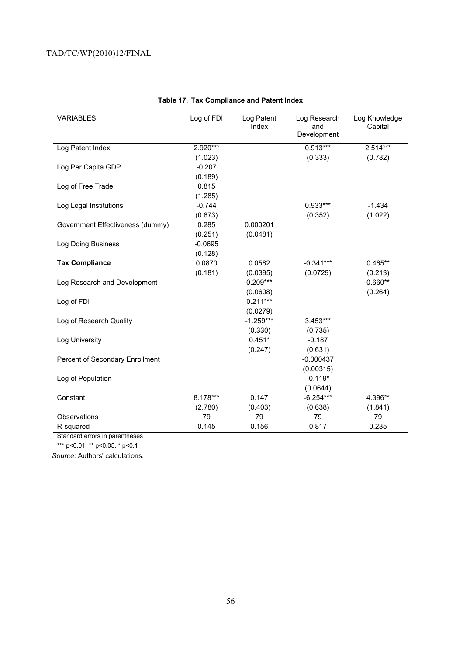| <b>VARIABLES</b>                 | Log of FDI | Log Patent<br>Index | Log Research<br>and<br>Development | Log Knowledge<br>Capital |
|----------------------------------|------------|---------------------|------------------------------------|--------------------------|
| Log Patent Index                 | 2.920***   |                     | $0.913***$                         | 2.514***                 |
|                                  | (1.023)    |                     | (0.333)                            | (0.782)                  |
| Log Per Capita GDP               | $-0.207$   |                     |                                    |                          |
|                                  | (0.189)    |                     |                                    |                          |
| Log of Free Trade                | 0.815      |                     |                                    |                          |
|                                  | (1.285)    |                     |                                    |                          |
| Log Legal Institutions           | $-0.744$   |                     | $0.933***$                         | $-1.434$                 |
|                                  | (0.673)    |                     | (0.352)                            | (1.022)                  |
| Government Effectiveness (dummy) | 0.285      | 0.000201            |                                    |                          |
|                                  | (0.251)    | (0.0481)            |                                    |                          |
| Log Doing Business               | $-0.0695$  |                     |                                    |                          |
|                                  | (0.128)    |                     |                                    |                          |
| <b>Tax Compliance</b>            | 0.0870     | 0.0582              | $-0.341***$                        | $0.465**$                |
|                                  | (0.181)    | (0.0395)            | (0.0729)                           | (0.213)                  |
| Log Research and Development     |            | $0.209***$          |                                    | $0.660**$                |
|                                  |            | (0.0608)            |                                    | (0.264)                  |
| Log of FDI                       |            | $0.211***$          |                                    |                          |
|                                  |            | (0.0279)            |                                    |                          |
| Log of Research Quality          |            | $-1.259***$         | 3.453***                           |                          |
|                                  |            | (0.330)             | (0.735)                            |                          |
| Log University                   |            | $0.451*$            | $-0.187$                           |                          |
|                                  |            | (0.247)             | (0.631)                            |                          |
| Percent of Secondary Enrollment  |            |                     | $-0.000437$                        |                          |
|                                  |            |                     | (0.00315)                          |                          |
| Log of Population                |            |                     | $-0.119*$                          |                          |
|                                  |            |                     | (0.0644)                           |                          |
| Constant                         | 8.178***   | 0.147               | $-6.254***$                        | 4.396**                  |
|                                  | (2.780)    | (0.403)             | (0.638)                            | (1.841)                  |
| Observations                     | 79         | 79                  | 79                                 | 79                       |
| R-squared                        | 0.145      | 0.156               | 0.817                              | 0.235                    |

# **Table 17. Tax Compliance and Patent Index**

Standard errors in parentheses

\*\*\* p<0.01, \*\* p<0.05, \* p<0.1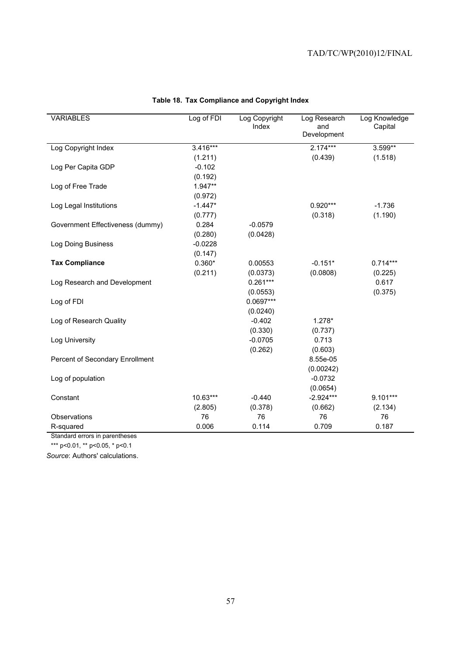| <b>VARIABLES</b>                 | Log of FDI | Log Copyright<br>Index | Log Research<br>and<br>Development | Log Knowledge<br>Capital |
|----------------------------------|------------|------------------------|------------------------------------|--------------------------|
| Log Copyright Index              | $3.416***$ |                        | $2.174***$                         | 3.599**                  |
|                                  | (1.211)    |                        | (0.439)                            | (1.518)                  |
| Log Per Capita GDP               | $-0.102$   |                        |                                    |                          |
|                                  | (0.192)    |                        |                                    |                          |
| Log of Free Trade                | 1.947**    |                        |                                    |                          |
|                                  | (0.972)    |                        |                                    |                          |
| Log Legal Institutions           | $-1.447*$  |                        | 0.920***                           | $-1.736$                 |
|                                  | (0.777)    |                        | (0.318)                            | (1.190)                  |
| Government Effectiveness (dummy) | 0.284      | $-0.0579$              |                                    |                          |
|                                  | (0.280)    | (0.0428)               |                                    |                          |
| Log Doing Business               | $-0.0228$  |                        |                                    |                          |
|                                  | (0.147)    |                        |                                    |                          |
| <b>Tax Compliance</b>            | $0.360*$   | 0.00553                | $-0.151*$                          | $0.714***$               |
|                                  | (0.211)    | (0.0373)               | (0.0808)                           | (0.225)                  |
| Log Research and Development     |            | $0.261***$             |                                    | 0.617                    |
|                                  |            | (0.0553)               |                                    | (0.375)                  |
| Log of FDI                       |            | $0.0697***$            |                                    |                          |
|                                  |            | (0.0240)               |                                    |                          |
| Log of Research Quality          |            | $-0.402$               | $1.278*$                           |                          |
|                                  |            | (0.330)                | (0.737)                            |                          |
| Log University                   |            | $-0.0705$              | 0.713                              |                          |
|                                  |            | (0.262)                | (0.603)                            |                          |
| Percent of Secondary Enrollment  |            |                        | 8.55e-05                           |                          |
|                                  |            |                        | (0.00242)                          |                          |
| Log of population                |            |                        | $-0.0732$                          |                          |
|                                  |            |                        | (0.0654)                           |                          |
| Constant                         | 10.63***   | $-0.440$               | $-2.924***$                        | $9.101***$               |
|                                  | (2.805)    | (0.378)                | (0.662)                            | (2.134)                  |
| Observations                     | 76         | 76                     | 76                                 | 76                       |
| R-squared                        | 0.006      | 0.114                  | 0.709                              | 0.187                    |

# **Table 18. Tax Compliance and Copyright Index**

Standard errors in parentheses

\*\*\* p<0.01, \*\* p<0.05, \* p<0.1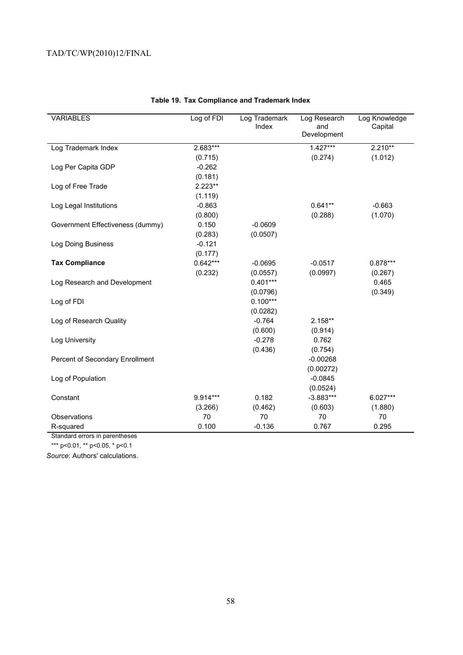| <b>VARIABLES</b>                 | Log of FDI | Log Trademark<br>Index | Log Research<br>and<br>Development | Log Knowledge<br>Capital |
|----------------------------------|------------|------------------------|------------------------------------|--------------------------|
| Log Trademark Index              | 2.683***   |                        | $1.427***$                         | $2.210**$                |
|                                  | (0.715)    |                        | (0.274)                            | (1.012)                  |
| Log Per Capita GDP               | $-0.262$   |                        |                                    |                          |
|                                  | (0.181)    |                        |                                    |                          |
| Log of Free Trade                | $2.223**$  |                        |                                    |                          |
|                                  | (1.119)    |                        |                                    |                          |
| Log Legal Institutions           | $-0.863$   |                        | $0.641**$                          | $-0.663$                 |
|                                  | (0.800)    |                        | (0.288)                            | (1.070)                  |
| Government Effectiveness (dummy) | 0.150      | $-0.0609$              |                                    |                          |
|                                  | (0.283)    | (0.0507)               |                                    |                          |
| Log Doing Business               | $-0.121$   |                        |                                    |                          |
|                                  | (0.177)    |                        |                                    |                          |
| <b>Tax Compliance</b>            | $0.642***$ | $-0.0695$              | $-0.0517$                          | 0.878***                 |
|                                  | (0.232)    | (0.0557)               | (0.0997)                           | (0.267)                  |
| Log Research and Development     |            | $0.401***$             |                                    | 0.465                    |
|                                  |            | (0.0796)               |                                    | (0.349)                  |
| Log of FDI                       |            | $0.100***$             |                                    |                          |
|                                  |            | (0.0282)               |                                    |                          |
| Log of Research Quality          |            | $-0.764$               | 2.158**                            |                          |
|                                  |            | (0.600)                | (0.914)                            |                          |
| Log University                   |            | $-0.278$               | 0.762                              |                          |
|                                  |            | (0.436)                | (0.754)                            |                          |
| Percent of Secondary Enrollment  |            |                        | $-0.00268$                         |                          |
|                                  |            |                        | (0.00272)                          |                          |
| Log of Population                |            |                        | $-0.0845$                          |                          |
|                                  |            |                        | (0.0524)                           |                          |
| Constant                         | 9.914***   | 0.182                  | $-3.883***$                        | $6.027***$               |
|                                  | (3.266)    | (0.462)                | (0.603)                            | (1.880)                  |
| Observations                     | 70         | 70                     | 70                                 | 70                       |
| R-squared                        | 0.100      | $-0.136$               | 0.767                              | 0.295                    |

## **Table 19. Tax Compliance and Trademark Index**

Standard errors in parentheses

\*\*\* p<0.01, \*\* p<0.05, \* p<0.1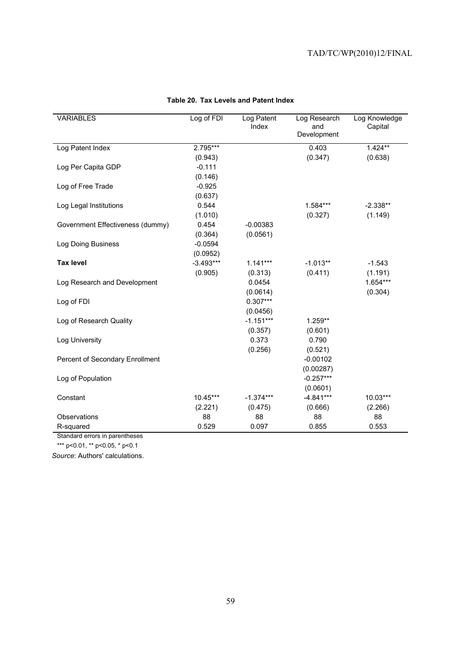| <b>VARIABLES</b>                 | Log of FDI  | Log Patent<br>Index | Log Research<br>and<br>Development | Log Knowledge<br>Capital |
|----------------------------------|-------------|---------------------|------------------------------------|--------------------------|
|                                  |             |                     |                                    |                          |
| Log Patent Index                 | 2.795***    |                     | 0.403                              | $1.424**$                |
|                                  | (0.943)     |                     | (0.347)                            | (0.638)                  |
| Log Per Capita GDP               | $-0.111$    |                     |                                    |                          |
|                                  | (0.146)     |                     |                                    |                          |
| Log of Free Trade                | $-0.925$    |                     |                                    |                          |
|                                  | (0.637)     |                     |                                    |                          |
| Log Legal Institutions           | 0.544       |                     | 1.584***                           | $-2.338**$               |
|                                  | (1.010)     |                     | (0.327)                            | (1.149)                  |
| Government Effectiveness (dummy) | 0.454       | $-0.00383$          |                                    |                          |
|                                  | (0.364)     | (0.0561)            |                                    |                          |
| Log Doing Business               | $-0.0594$   |                     |                                    |                          |
|                                  | (0.0952)    |                     |                                    |                          |
| <b>Tax level</b>                 | $-3.493***$ | $1.141***$          | $-1.013**$                         | $-1.543$                 |
|                                  | (0.905)     | (0.313)             | (0.411)                            | (1.191)                  |
| Log Research and Development     |             | 0.0454              |                                    | 1.654***                 |
|                                  |             | (0.0614)            |                                    | (0.304)                  |
| Log of FDI                       |             | $0.307***$          |                                    |                          |
|                                  |             | (0.0456)            |                                    |                          |
| Log of Research Quality          |             | $-1.151***$         | 1.259**                            |                          |
|                                  |             | (0.357)             | (0.601)                            |                          |
| Log University                   |             | 0.373               | 0.790                              |                          |
|                                  |             | (0.256)             | (0.521)                            |                          |
| Percent of Secondary Enrollment  |             |                     | $-0.00102$                         |                          |
|                                  |             |                     | (0.00287)                          |                          |
| Log of Population                |             |                     | $-0.257***$                        |                          |
|                                  |             |                     | (0.0601)                           |                          |
| Constant                         | 10.45***    | $-1.374***$         | $-4.841***$                        | 10.03***                 |
|                                  | (2.221)     | (0.475)             | (0.666)                            | (2.266)                  |
| Observations                     | 88          | 88                  | 88                                 | 88                       |
| R-squared                        | 0.529       | 0.097               | 0.855                              | 0.553                    |

# **Table 20. Tax Levels and Patent Index**

Standard errors in parentheses

\*\*\* p<0.01, \*\* p<0.05, \* p<0.1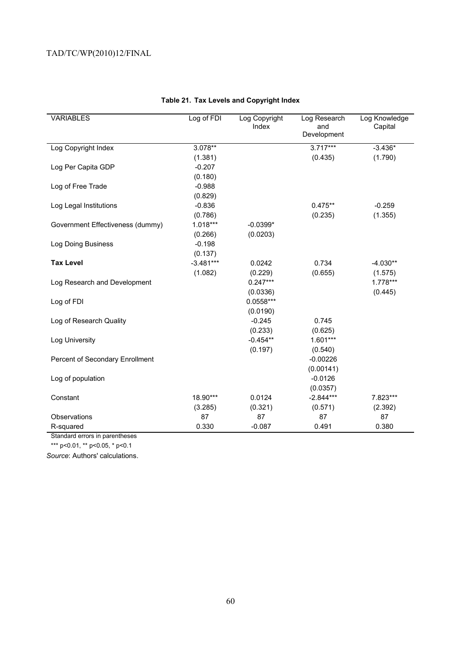| <b>VARIABLES</b>                 | Log of FDI  | Log Copyright<br>Index | Log Research<br>and<br>Development | Log Knowledge<br>Capital |
|----------------------------------|-------------|------------------------|------------------------------------|--------------------------|
| Log Copyright Index              | $3.078**$   |                        | $3.717***$                         | $-3.436*$                |
|                                  | (1.381)     |                        | (0.435)                            | (1.790)                  |
| Log Per Capita GDP               | $-0.207$    |                        |                                    |                          |
|                                  | (0.180)     |                        |                                    |                          |
| Log of Free Trade                | $-0.988$    |                        |                                    |                          |
|                                  | (0.829)     |                        |                                    |                          |
| Log Legal Institutions           | $-0.836$    |                        | $0.475**$                          | $-0.259$                 |
|                                  | (0.786)     |                        | (0.235)                            | (1.355)                  |
| Government Effectiveness (dummy) | $1.018***$  | $-0.0399*$             |                                    |                          |
|                                  | (0.266)     | (0.0203)               |                                    |                          |
| Log Doing Business               | $-0.198$    |                        |                                    |                          |
|                                  | (0.137)     |                        |                                    |                          |
| <b>Tax Level</b>                 | $-3.481***$ | 0.0242                 | 0.734                              | $-4.030**$               |
|                                  | (1.082)     | (0.229)                | (0.655)                            | (1.575)                  |
| Log Research and Development     |             | $0.247***$             |                                    | 1.778***                 |
|                                  |             | (0.0336)               |                                    | (0.445)                  |
| Log of FDI                       |             | $0.0558***$            |                                    |                          |
|                                  |             | (0.0190)               |                                    |                          |
| Log of Research Quality          |             | $-0.245$               | 0.745                              |                          |
|                                  |             | (0.233)                | (0.625)                            |                          |
| Log University                   |             | $-0.454**$             | 1.601***                           |                          |
|                                  |             | (0.197)                | (0.540)                            |                          |
| Percent of Secondary Enrollment  |             |                        | $-0.00226$                         |                          |
|                                  |             |                        | (0.00141)                          |                          |
| Log of population                |             |                        | $-0.0126$                          |                          |
|                                  |             |                        | (0.0357)                           |                          |
| Constant                         | 18.90***    | 0.0124                 | $-2.844***$                        | 7.823***                 |
|                                  | (3.285)     | (0.321)                | (0.571)                            | (2.392)                  |
| Observations                     | 87          | 87                     | 87                                 | 87                       |
| R-squared                        | 0.330       | $-0.087$               | 0.491                              | 0.380                    |

# **Table 21. Tax Levels and Copyright Index**

Standard errors in parentheses

\*\*\* p<0.01, \*\* p<0.05, \* p<0.1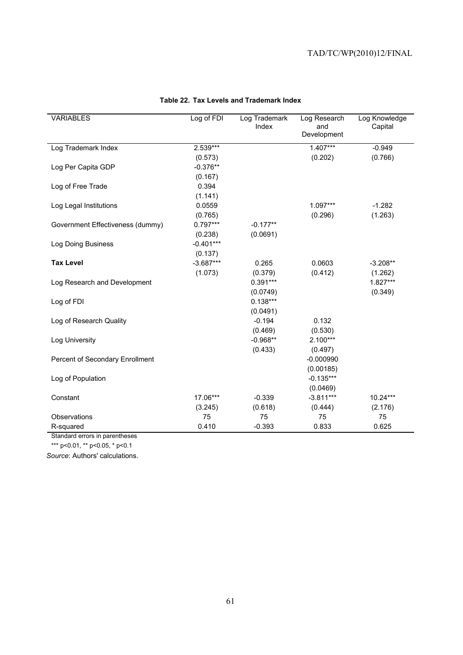| <b>VARIABLES</b>                 | Log of FDI  | Log Trademark<br>Index | Log Research<br>and | Log Knowledge<br>Capital |
|----------------------------------|-------------|------------------------|---------------------|--------------------------|
|                                  |             |                        | Development         |                          |
| Log Trademark Index              | 2.539***    |                        | $1.407***$          | $-0.949$                 |
|                                  | (0.573)     |                        | (0.202)             | (0.766)                  |
| Log Per Capita GDP               | $-0.376**$  |                        |                     |                          |
|                                  | (0.167)     |                        |                     |                          |
| Log of Free Trade                | 0.394       |                        |                     |                          |
|                                  | (1.141)     |                        |                     |                          |
| Log Legal Institutions           | 0.0559      |                        | $1.097***$          | $-1.282$                 |
|                                  | (0.765)     |                        | (0.296)             | (1.263)                  |
| Government Effectiveness (dummy) | $0.797***$  | $-0.177**$             |                     |                          |
|                                  | (0.238)     | (0.0691)               |                     |                          |
| Log Doing Business               | $-0.401***$ |                        |                     |                          |
|                                  | (0.137)     |                        |                     |                          |
| <b>Tax Level</b>                 | $-3.687***$ | 0.265                  | 0.0603              | $-3.208**$               |
|                                  | (1.073)     | (0.379)                | (0.412)             | (1.262)                  |
| Log Research and Development     |             | $0.391***$             |                     | 1.827***                 |
|                                  |             | (0.0749)               |                     | (0.349)                  |
| Log of FDI                       |             | $0.138***$             |                     |                          |
|                                  |             | (0.0491)               |                     |                          |
| Log of Research Quality          |             | $-0.194$               | 0.132               |                          |
|                                  |             | (0.469)                | (0.530)             |                          |
| Log University                   |             | $-0.968**$             | $2.100***$          |                          |
|                                  |             | (0.433)                | (0.497)             |                          |
| Percent of Secondary Enrollment  |             |                        | $-0.000990$         |                          |
|                                  |             |                        | (0.00185)           |                          |
| Log of Population                |             |                        | $-0.135***$         |                          |
|                                  |             |                        | (0.0469)            |                          |
| Constant                         | 17.06***    | $-0.339$               | $-3.811***$         | 10.24***                 |
|                                  | (3.245)     | (0.618)                | (0.444)             | (2.176)                  |
| Observations                     | 75          | 75                     | 75                  | 75                       |
| R-squared                        | 0.410       | $-0.393$               | 0.833               | 0.625                    |

# **Table 22. Tax Levels and Trademark Index**

Standard errors in parentheses

\*\*\* p<0.01, \*\* p<0.05, \* p<0.1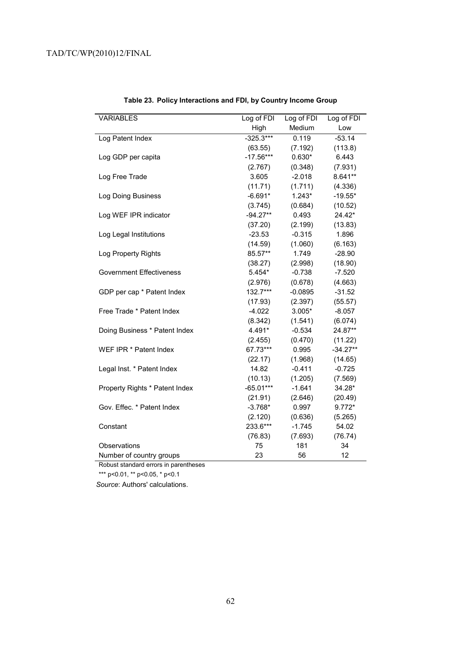| <b>VARIABLES</b>                | Log of FDI<br>Log of FDI |           | Log of FDI |
|---------------------------------|--------------------------|-----------|------------|
|                                 | High                     | Medium    | Low        |
| Log Patent Index                | $-325.3***$              | 0.119     | $-53.14$   |
|                                 | (63.55)                  | (7.192)   | (113.8)    |
| Log GDP per capita              | $-17.56***$              | $0.630*$  | 6.443      |
|                                 | (2.767)                  | (0.348)   | (7.931)    |
| Log Free Trade                  | 3.605                    | $-2.018$  | 8.641**    |
|                                 | (11.71)                  | (1.711)   | (4.336)    |
| Log Doing Business              | $-6.691*$                | $1.243*$  | $-19.55*$  |
|                                 | (3.745)                  | (0.684)   | (10.52)    |
| Log WEF IPR indicator           | $-94.27**$               | 0.493     | 24.42*     |
|                                 | (37.20)                  | (2.199)   | (13.83)    |
| Log Legal Institutions          | $-23.53$                 | $-0.315$  | 1.896      |
|                                 | (14.59)                  | (1.060)   | (6.163)    |
| Log Property Rights             | 85.57**                  | 1.749     | $-28.90$   |
|                                 | (38.27)                  | (2.998)   | (18.90)    |
| <b>Government Effectiveness</b> | $5.454*$                 | $-0.738$  | $-7.520$   |
|                                 | (2.976)                  | (0.678)   | (4.663)    |
| GDP per cap * Patent Index      | 132.7***                 | $-0.0895$ | $-31.52$   |
|                                 | (17.93)                  | (2.397)   | (55.57)    |
| Free Trade * Patent Index       | $-4.022$                 | $3.005*$  | $-8.057$   |
|                                 | (8.342)                  | (1.541)   | (6.074)    |
| Doing Business * Patent Index   | 4.491*                   | $-0.534$  | 24.87**    |
|                                 | (2.455)                  | (0.470)   | (11.22)    |
| WEF IPR * Patent Index          | 67.73***                 | 0.995     | $-34.27**$ |
|                                 | (22.17)                  | (1.968)   | (14.65)    |
| Legal Inst. * Patent Index      | 14.82                    | $-0.411$  | $-0.725$   |
|                                 | (10.13)                  | (1.205)   | (7.569)    |
| Property Rights * Patent Index  | $-65.01***$              | $-1.641$  | 34.28*     |
|                                 | (21.91)                  | (2.646)   | (20.49)    |
| Gov. Effec. * Patent Index      | $-3.768*$                | 0.997     | $9.772*$   |
|                                 | (2.120)                  | (0.636)   | (5.265)    |
| Constant                        | 233.6***                 | $-1.745$  | 54.02      |
|                                 | (76.83)                  | (7.693)   | (76.74)    |
| Observations                    | 75                       | 181       | 34         |
| Number of country groups        | 23                       | 56        | 12         |

# **Table 23. Policy Interactions and FDI, by Country Income Group**

Robust standard errors in parentheses

\*\*\* p<0.01, \*\* p<0.05, \* p<0.1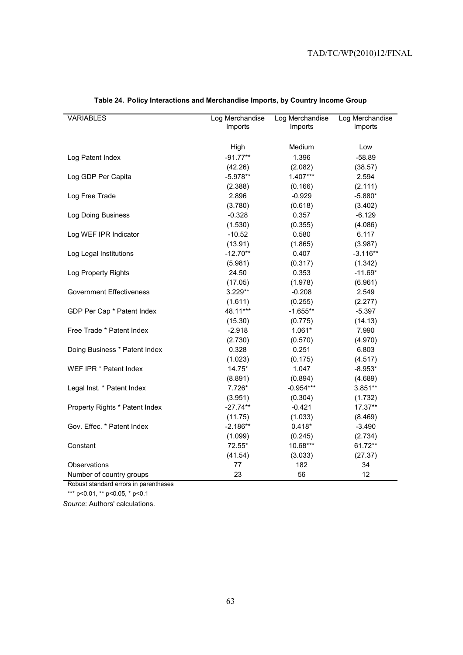| <b>VARIABLES</b>                | Log Merchandise | Log Merchandise | Log Merchandise |
|---------------------------------|-----------------|-----------------|-----------------|
|                                 | Imports         | Imports         | Imports         |
|                                 |                 |                 |                 |
|                                 | High            | Medium          | Low             |
| Log Patent Index                | $-91.77**$      | 1.396           | $-58.89$        |
|                                 | (42.26)         | (2.082)         | (38.57)         |
| Log GDP Per Capita              | $-5.978**$      | $1.407***$      | 2.594           |
|                                 | (2.388)         | (0.166)         | (2.111)         |
| Log Free Trade                  | 2.896           | $-0.929$        | $-5.880*$       |
|                                 | (3.780)         | (0.618)         | (3.402)         |
| Log Doing Business              | $-0.328$        | 0.357           | $-6.129$        |
|                                 | (1.530)         | (0.355)         | (4.086)         |
| Log WEF IPR Indicator           | $-10.52$        | 0.580           | 6.117           |
|                                 | (13.91)         | (1.865)         | (3.987)         |
| Log Legal Institutions          | $-12.70**$      | 0.407           | $-3.116**$      |
|                                 | (5.981)         | (0.317)         | (1.342)         |
| Log Property Rights             | 24.50           | 0.353           | $-11.69*$       |
|                                 | (17.05)         | (1.978)         | (6.961)         |
| <b>Government Effectiveness</b> | 3.229**         | $-0.208$        | 2.549           |
|                                 | (1.611)         | (0.255)         | (2.277)         |
| GDP Per Cap * Patent Index      | 48.11***        | $-1.655**$      | $-5.397$        |
|                                 | (15.30)         | (0.775)         | (14.13)         |
| Free Trade * Patent Index       | $-2.918$        | $1.061*$        | 7.990           |
|                                 | (2.730)         | (0.570)         | (4.970)         |
| Doing Business * Patent Index   | 0.328           | 0.251           | 6.803           |
|                                 | (1.023)         | (0.175)         | (4.517)         |
| WEF IPR * Patent Index          | $14.75*$        | 1.047           | $-8.953*$       |
|                                 | (8.891)         | (0.894)         | (4.689)         |
| Legal Inst. * Patent Index      | 7.726*          | $-0.954***$     | $3.851**$       |
|                                 | (3.951)         | (0.304)         | (1.732)         |
| Property Rights * Patent Index  | $-27.74**$      | $-0.421$        | 17.37**         |
|                                 | (11.75)         | (1.033)         | (8.469)         |
| Gov. Effec. * Patent Index      | $-2.186**$      | $0.418*$        | $-3.490$        |
|                                 | (1.099)         | (0.245)         | (2.734)         |
| Constant                        | 72.55*          | 10.68***        | 61.72**         |
|                                 | (41.54)         | (3.033)         | (27.37)         |
| Observations                    | 77              | 182             | 34              |
| Number of country groups        | 23              | 56              | 12              |

# **Table 24. Policy Interactions and Merchandise Imports, by Country Income Group**

Robust standard errors in parentheses

\*\*\* p<0.01, \*\* p<0.05, \* p<0.1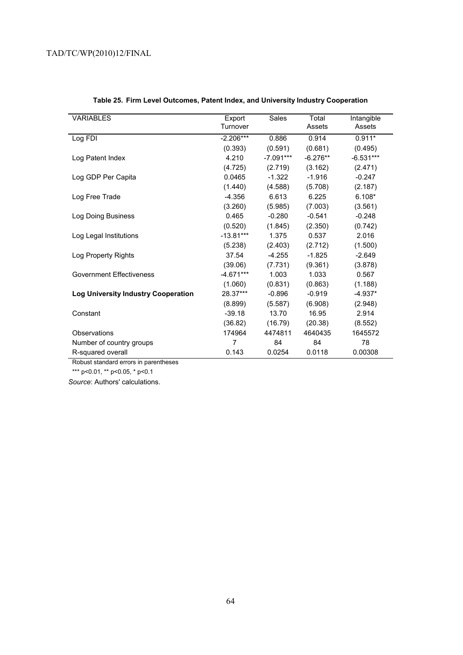| <b>VARIABLES</b>                           | Export<br>Turnover | Sales       | Total<br>Assets | Intangible<br>Assets |
|--------------------------------------------|--------------------|-------------|-----------------|----------------------|
| Log FDI                                    | $-2.206***$        | 0.886       | 0.914           | $0.911*$             |
|                                            | (0.393)            | (0.591)     | (0.681)         | (0.495)              |
| Log Patent Index                           | 4.210              | $-7.091***$ | $-6.276**$      | $-6.531***$          |
|                                            | (4.725)            | (2.719)     | (3.162)         | (2.471)              |
| Log GDP Per Capita                         | 0.0465             | $-1.322$    | $-1.916$        | $-0.247$             |
|                                            | (1.440)            | (4.588)     | (5.708)         | (2.187)              |
| Log Free Trade                             | $-4.356$           | 6.613       | 6.225           | $6.108*$             |
|                                            | (3.260)            | (5.985)     | (7.003)         | (3.561)              |
| Log Doing Business                         | 0.465              | $-0.280$    | $-0.541$        | $-0.248$             |
|                                            | (0.520)            | (1.845)     | (2.350)         | (0.742)              |
| Log Legal Institutions                     | $-13.81***$        | 1.375       | 0.537           | 2.016                |
|                                            | (5.238)            | (2.403)     | (2.712)         | (1.500)              |
| Log Property Rights                        | 37.54              | $-4.255$    | $-1.825$        | $-2.649$             |
|                                            | (39.06)            | (7.731)     | (9.361)         | (3.878)              |
| Government Effectiveness                   | $-4.671***$        | 1.003       | 1.033           | 0.567                |
|                                            | (1.060)            | (0.831)     | (0.863)         | (1.188)              |
| <b>Log University Industry Cooperation</b> | 28.37***           | $-0.896$    | $-0.919$        | $-4.937*$            |
|                                            | (8.899)            | (5.587)     | (6.908)         | (2.948)              |
| Constant                                   | $-39.18$           | 13.70       | 16.95           | 2.914                |
|                                            | (36.82)            | (16.79)     | (20.38)         | (8.552)              |
| Observations                               | 174964             | 4474811     | 4640435         | 1645572              |
| Number of country groups                   | 7                  | 84          | 84              | 78                   |
| R-squared overall                          | 0.143              | 0.0254      | 0.0118          | 0.00308              |

# **Table 25. Firm Level Outcomes, Patent Index, and University Industry Cooperation**

Robust standard errors in parentheses

\*\*\* p<0.01, \*\* p<0.05, \* p<0.1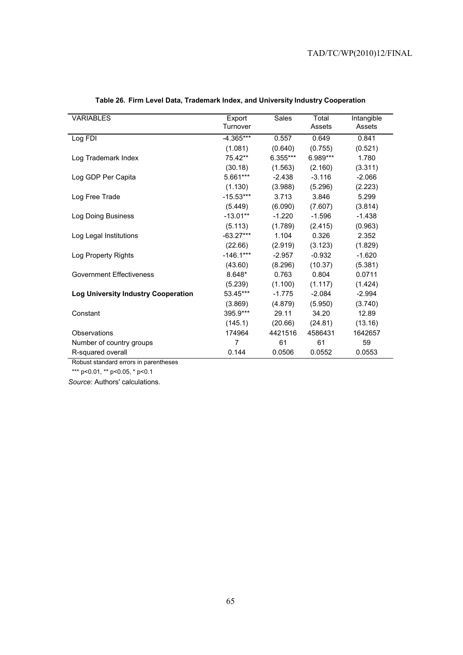| <b>VARIABLES</b>                           | Export<br>Turnover | Sales    | Total<br>Assets | Intangible<br>Assets |
|--------------------------------------------|--------------------|----------|-----------------|----------------------|
| Log FDI                                    | $-4.365***$        | 0.557    | 0.649           | 0.841                |
|                                            | (1.081)            | (0.640)  | (0.755)         | (0.521)              |
| Log Trademark Index                        | 75.42**            | 6.355*** | 6.989***        | 1.780                |
|                                            | (30.18)            | (1.563)  | (2.160)         | (3.311)              |
| Log GDP Per Capita                         | 5.661***           | $-2.438$ | $-3.116$        | $-2.066$             |
|                                            | (1.130)            | (3.988)  | (5.296)         | (2.223)              |
| Log Free Trade                             | $-15.53***$        | 3.713    | 3.846           | 5.299                |
|                                            | (5.449)            | (6.090)  | (7.607)         | (3.814)              |
| Log Doing Business                         | $-13.01**$         | $-1.220$ | $-1.596$        | $-1.438$             |
|                                            | (5.113)            | (1.789)  | (2.415)         | (0.963)              |
| Log Legal Institutions                     | $-63.27***$        | 1.104    | 0.326           | 2.352                |
|                                            | (22.66)            | (2.919)  | (3.123)         | (1.829)              |
| Log Property Rights                        | $-146.1***$        | $-2.957$ | $-0.932$        | $-1.620$             |
|                                            | (43.60)            | (8.296)  | (10.37)         | (5.381)              |
| <b>Government Effectiveness</b>            | 8.648*             | 0.763    | 0.804           | 0.0711               |
|                                            | (5.239)            | (1.100)  | (1.117)         | (1.424)              |
| <b>Log University Industry Cooperation</b> | 53.45***           | $-1.775$ | $-2.084$        | $-2.994$             |
|                                            | (3.869)            | (4.879)  | (5.950)         | (3.740)              |
| Constant                                   | 395.9***           | 29.11    | 34.20           | 12.89                |
|                                            | (145.1)            | (20.66)  | (24.81)         | (13.16)              |
| Observations                               | 174964             | 4421516  | 4586431         | 1642657              |
| Number of country groups                   | 7                  | 61       | 61              | 59                   |
| R-squared overall                          | 0.144              | 0.0506   | 0.0552          | 0.0553               |

# **Table 26. Firm Level Data, Trademark Index, and University Industry Cooperation**

Robust standard errors in parentheses

\*\*\* p<0.01, \*\* p<0.05, \* p<0.1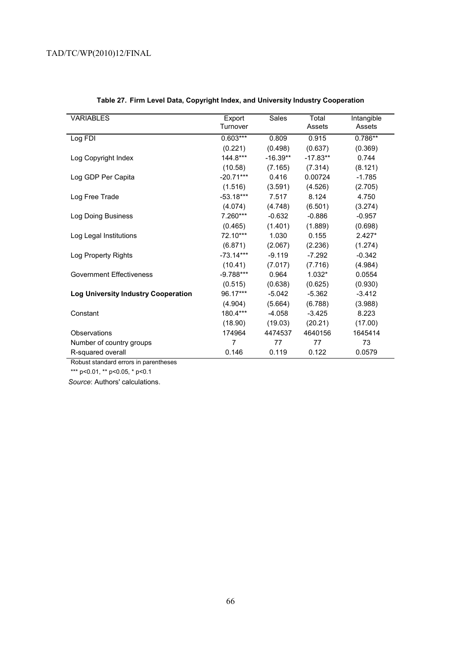| <b>VARIABLES</b>                           | Export      | Sales      | Total      | Intangible |
|--------------------------------------------|-------------|------------|------------|------------|
|                                            | Turnover    |            | Assets     | Assets     |
| Log FDI                                    | $0.603***$  | 0.809      | 0.915      | $0.786**$  |
|                                            | (0.221)     | (0.498)    | (0.637)    | (0.369)    |
| Log Copyright Index                        | $144.8***$  | $-16.39**$ | $-17.83**$ | 0.744      |
|                                            | (10.58)     | (7.165)    | (7.314)    | (8.121)    |
| Log GDP Per Capita                         | $-20.71***$ | 0.416      | 0.00724    | $-1.785$   |
|                                            | (1.516)     | (3.591)    | (4.526)    | (2.705)    |
| Log Free Trade                             | $-53.18***$ | 7.517      | 8.124      | 4.750      |
|                                            | (4.074)     | (4.748)    | (6.501)    | (3.274)    |
| Log Doing Business                         | 7.260***    | $-0.632$   | $-0.886$   | $-0.957$   |
|                                            | (0.465)     | (1.401)    | (1.889)    | (0.698)    |
| Log Legal Institutions                     | 72.10***    | 1.030      | 0.155      | $2.427*$   |
|                                            | (6.871)     | (2.067)    | (2.236)    | (1.274)    |
| Log Property Rights                        | $-73.14***$ | $-9.119$   | $-7.292$   | $-0.342$   |
|                                            | (10.41)     | (7.017)    | (7.716)    | (4.984)    |
| Government Effectiveness                   | $-9.788***$ | 0.964      | $1.032*$   | 0.0554     |
|                                            | (0.515)     | (0.638)    | (0.625)    | (0.930)    |
| <b>Log University Industry Cooperation</b> | 96.17***    | $-5.042$   | $-5.362$   | $-3.412$   |
|                                            | (4.904)     | (5.664)    | (6.788)    | (3.988)    |
| Constant                                   | 180.4***    | $-4.058$   | $-3.425$   | 8.223      |
|                                            | (18.90)     | (19.03)    | (20.21)    | (17.00)    |
| Observations                               | 174964      | 4474537    | 4640156    | 1645414    |
| Number of country groups                   | 7           | 77         | 77         | 73         |
| R-squared overall                          | 0.146       | 0.119      | 0.122      | 0.0579     |

# **Table 27. Firm Level Data, Copyright Index, and University Industry Cooperation**

Robust standard errors in parentheses

\*\*\* p<0.01, \*\* p<0.05, \* p<0.1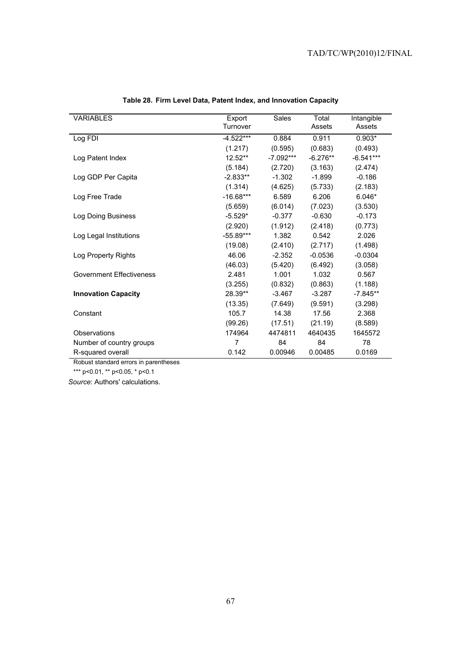| <b>VARIABLES</b>                | Export<br>Turnover | Sales       | Total<br>Assets | Intangible<br>Assets |
|---------------------------------|--------------------|-------------|-----------------|----------------------|
| Log FDI                         | $-4.522***$        | 0.884       | 0.911           | $0.903*$             |
|                                 | (1.217)            | (0.595)     | (0.683)         | (0.493)              |
| Log Patent Index                | $12.52**$          | $-7.092***$ | $-6.276**$      | $-6.541***$          |
|                                 | (5.184)            | (2.720)     | (3.163)         | (2.474)              |
| Log GDP Per Capita              | $-2.833**$         | $-1.302$    | $-1.899$        | $-0.186$             |
|                                 | (1.314)            | (4.625)     | (5.733)         | (2.183)              |
| Log Free Trade                  | $-16.68***$        | 6.589       | 6.206           | $6.046*$             |
|                                 | (5.659)            | (6.014)     | (7.023)         | (3.530)              |
| Log Doing Business              | $-5.529*$          | $-0.377$    | $-0.630$        | $-0.173$             |
|                                 | (2.920)            | (1.912)     | (2.418)         | (0.773)              |
| Log Legal Institutions          | $-55.89***$        | 1.382       | 0.542           | 2.026                |
|                                 | (19.08)            | (2.410)     | (2.717)         | (1.498)              |
| Log Property Rights             | 46.06              | $-2.352$    | $-0.0536$       | $-0.0304$            |
|                                 | (46.03)            | (5.420)     | (6.492)         | (3.058)              |
| <b>Government Effectiveness</b> | 2.481              | 1.001       | 1.032           | 0.567                |
|                                 | (3.255)            | (0.832)     | (0.863)         | (1.188)              |
| <b>Innovation Capacity</b>      | 28.39**            | $-3.467$    | $-3.287$        | $-7.845**$           |
|                                 | (13.35)            | (7.649)     | (9.591)         | (3.298)              |
| Constant                        | 105.7              | 14.38       | 17.56           | 2.368                |
|                                 | (99.26)            | (17.51)     | (21.19)         | (8.589)              |
| Observations                    | 174964             | 4474811     | 4640435         | 1645572              |
| Number of country groups        | 7                  | 84          | 84              | 78                   |
| R-squared overall               | 0.142              | 0.00946     | 0.00485         | 0.0169               |

# **Table 28. Firm Level Data, Patent Index, and Innovation Capacity**

Robust standard errors in parentheses

\*\*\* p<0.01, \*\* p<0.05, \* p<0.1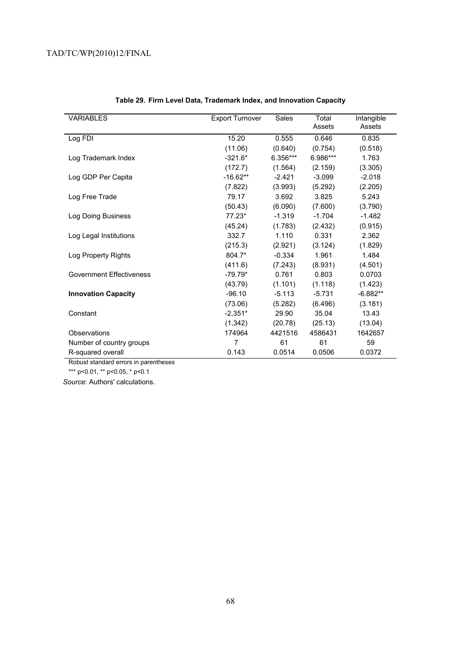| <b>VARIABLES</b>           | <b>Export Turnover</b> | Sales    | Total<br>Assets | Intangible<br>Assets |
|----------------------------|------------------------|----------|-----------------|----------------------|
| Log FDI                    | 15.20                  | 0.555    | 0.646           | 0.835                |
|                            | (11.06)                | (0.640)  | (0.754)         | (0.518)              |
| Log Trademark Index        | $-321.6*$              | 6.356*** | 6.986***        | 1.763                |
|                            | (172.7)                | (1.564)  | (2.159)         | (3.305)              |
| Log GDP Per Capita         | $-16.62**$             | $-2.421$ | $-3.099$        | $-2.018$             |
|                            | (7.822)                | (3.993)  | (5.292)         | (2.205)              |
| Log Free Trade             | 79.17                  | 3.692    | 3.825           | 5.243                |
|                            | (50.43)                | (6.090)  | (7.600)         | (3.790)              |
| Log Doing Business         | $77.23*$               | $-1.319$ | $-1.704$        | $-1.482$             |
|                            | (45.24)                | (1.783)  | (2.432)         | (0.915)              |
| Log Legal Institutions     | 332.7                  | 1.110    | 0.331           | 2.362                |
|                            | (215.3)                | (2.921)  | (3.124)         | (1.829)              |
| Log Property Rights        | 804.7*                 | $-0.334$ | 1.961           | 1.484                |
|                            | (411.6)                | (7.243)  | (8.931)         | (4.501)              |
| Government Effectiveness   | $-79.79*$              | 0.761    | 0.803           | 0.0703               |
|                            | (43.79)                | (1.101)  | (1.118)         | (1.423)              |
| <b>Innovation Capacity</b> | $-96.10$               | $-5.113$ | $-5.731$        | $-6.882**$           |
|                            | (73.06)                | (5.282)  | (6.496)         | (3.181)              |
| Constant                   | $-2,351*$              | 29.90    | 35.04           | 13.43                |
|                            | (1, 342)               | (20.78)  | (25.13)         | (13.04)              |
| Observations               | 174964                 | 4421516  | 4586431         | 1642657              |
| Number of country groups   | 7                      | 61       | 61              | 59                   |
| R-squared overall          | 0.143                  | 0.0514   | 0.0506          | 0.0372               |

# **Table 29. Firm Level Data, Trademark Index, and Innovation Capacity**

Robust standard errors in parentheses

\*\*\* p<0.01, \*\* p<0.05, \* p<0.1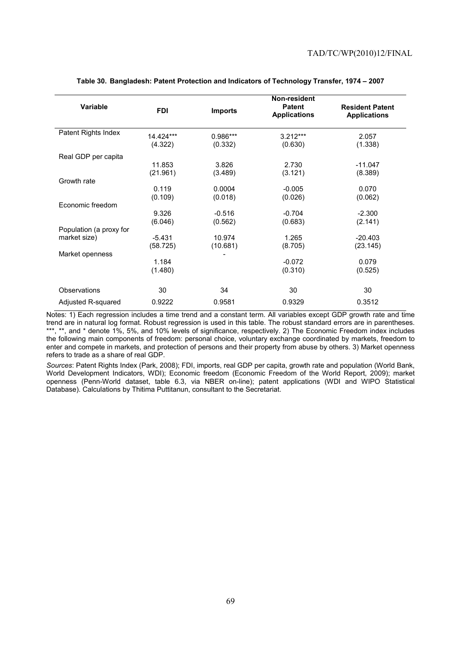|                         |            |                | Non-resident                         |                                               |
|-------------------------|------------|----------------|--------------------------------------|-----------------------------------------------|
| <b>Variable</b>         | <b>FDI</b> | <b>Imports</b> | <b>Patent</b><br><b>Applications</b> | <b>Resident Patent</b><br><b>Applications</b> |
| Patent Rights Index     | 14.424***  | 0.986***       | $3.212***$                           | 2.057                                         |
|                         | (4.322)    | (0.332)        | (0.630)                              | (1.338)                                       |
| Real GDP per capita     |            |                |                                      |                                               |
|                         | 11.853     | 3.826          | 2.730                                | $-11.047$                                     |
|                         | (21.961)   | (3.489)        | (3.121)                              | (8.389)                                       |
| Growth rate             |            |                |                                      |                                               |
|                         | 0.119      | 0.0004         | $-0.005$                             | 0.070                                         |
|                         | (0.109)    | (0.018)        | (0.026)                              | (0.062)                                       |
| Economic freedom        |            |                |                                      |                                               |
|                         | 9.326      | $-0.516$       | $-0.704$                             | $-2.300$                                      |
|                         | (6.046)    | (0.562)        | (0.683)                              | (2.141)                                       |
| Population (a proxy for |            |                |                                      |                                               |
| market size)            | $-5.431$   | 10.974         | 1.265                                | $-20.403$                                     |
|                         | (58.725)   | (10.681)       | (8.705)                              | (23.145)                                      |
| Market openness         |            |                |                                      |                                               |
|                         | 1.184      |                | $-0.072$                             | 0.079                                         |
|                         | (1.480)    |                | (0.310)                              | (0.525)                                       |
| Observations            | 30         | 34             | 30                                   | 30                                            |
| Adjusted R-squared      | 0.9222     | 0.9581         | 0.9329                               | 0.3512                                        |

## **Table 30. Bangladesh: Patent Protection and Indicators of Technology Transfer, 1974 – 2007**

Notes: 1) Each regression includes a time trend and a constant term. All variables except GDP growth rate and time trend are in natural log format. Robust regression is used in this table. The robust standard errors are in parentheses. \*\*\*, \*\*, and \* denote 1%, 5%, and 10% levels of significance, respectively. 2) The Economic Freedom index includes the following main components of freedom: personal choice, voluntary exchange coordinated by markets, freedom to enter and compete in markets, and protection of persons and their property from abuse by others. 3) Market openness refers to trade as a share of real GDP.

*Sources*: Patent Rights Index (Park, 2008); FDI, imports, real GDP per capita, growth rate and population (World Bank, World Development Indicators, WDI); Economic freedom (Economic Freedom of the World Report, 2009); market openness (Penn-World dataset, table 6.3, via NBER on-line); patent applications (WDI and WIPO Statistical Database). Calculations by Thitima Puttitanun, consultant to the Secretariat.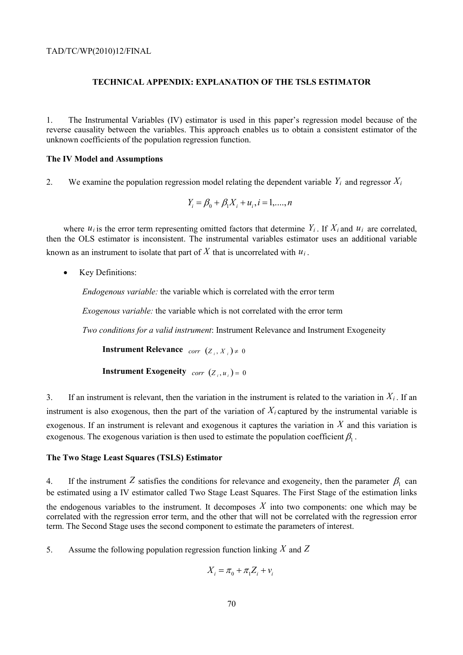# **TECHNICAL APPENDIX: EXPLANATION OF THE TSLS ESTIMATOR**

1. The Instrumental Variables (IV) estimator is used in this paper's regression model because of the reverse causality between the variables. This approach enables us to obtain a consistent estimator of the unknown coefficients of the population regression function.

#### **The IV Model and Assumptions**

2. We examine the population regression model relating the dependent variable  $Y_i$  and regressor  $X_i$ 

$$
Y_i = \beta_0 + \beta_1 X_i + u_i, i = 1, \dots, n
$$

where  $u_i$  is the error term representing omitted factors that determine  $Y_i$ . If  $X_i$  and  $u_i$  are correlated, then the OLS estimator is inconsistent. The instrumental variables estimator uses an additional variable known as an instrument to isolate that part of  $\overline{X}$  that is uncorrelated with  $u_i$ .

• Key Definitions:

*Endogenous variable:* the variable which is correlated with the error term

*Exogenous variable:* the variable which is not correlated with the error term

*Two conditions for a valid instrument*: Instrument Relevance and Instrument Exogeneity

**Instrument Relevance**  $\text{corr}$   $(Z_i, X_j) \neq 0$ 

**Instrument Exogeneity**  $corr (Z_{i}, u_{i}) = 0$ 

3. If an instrument is relevant, then the variation in the instrument is related to the variation in  $X_i$ . If an instrument is also exogenous, then the part of the variation of  $X_i$  captured by the instrumental variable is exogenous. If an instrument is relevant and exogenous it captures the variation in *X* and this variation is exogenous. The exogenous variation is then used to estimate the population coefficient  $\beta_1$ .

#### **The Two Stage Least Squares (TSLS) Estimator**

4. If the instrument *Z* satisfies the conditions for relevance and exogeneity, then the parameter  $\beta_1$  can be estimated using a IV estimator called Two Stage Least Squares. The First Stage of the estimation links the endogenous variables to the instrument. It decomposes  $X$  into two components: one which may be correlated with the regression error term, and the other that will not be correlated with the regression error term. The Second Stage uses the second component to estimate the parameters of interest.

5. Assume the following population regression function linking *X* and *Z*

$$
X_i = \pi_0 + \pi_1 Z_i + v_i
$$